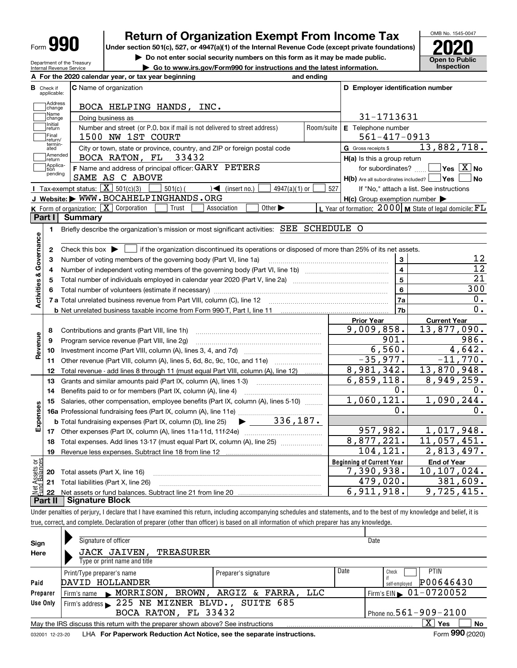| Form |
|------|
|------|

# **Return of Organization Exempt From Income Tax**

**Under section 501(c), 527, or 4947(a)(1) of the Internal Revenue Code (except private foundations) 2020**

**| Do not enter social security numbers on this form as it may be made public. | Go to www.irs.gov/Form990 for instructions and the latest information. Inspection**

**Open to Public** 

OMB No. 1545-0047

| Department of the Treasury |
|----------------------------|
| Internal Revenue Service   |
|                            |

|                                                 | A For the 2020 calendar year, or tax year beginning                                                                                                 | and ending |                                                     |                                                                                  |
|-------------------------------------------------|-----------------------------------------------------------------------------------------------------------------------------------------------------|------------|-----------------------------------------------------|----------------------------------------------------------------------------------|
| В<br>Check if<br>applicable:                    | <b>C</b> Name of organization                                                                                                                       |            | D Employer identification number                    |                                                                                  |
| Address<br>change                               | BOCA HELPING HANDS, INC.                                                                                                                            |            |                                                     |                                                                                  |
| Name<br>change                                  | Doing business as                                                                                                                                   |            | 31-1713631                                          |                                                                                  |
| Initial<br>]return                              | Number and street (or P.O. box if mail is not delivered to street address)                                                                          | Room/suite | E Telephone number                                  |                                                                                  |
| Final<br>Ireturn/                               | 1500 NW 1ST COURT                                                                                                                                   |            | $561 - 417 - 0913$                                  |                                                                                  |
| termin-<br>ated                                 | City or town, state or province, country, and ZIP or foreign postal code                                                                            |            | G Gross receipts \$                                 | 13,882,718.                                                                      |
| Amended<br>return                               | BOCA RATON, FL<br>33432                                                                                                                             |            | H(a) Is this a group return                         |                                                                                  |
| Applica-<br>tion                                | F Name and address of principal officer: GARY PETERS                                                                                                |            | for subordinates?                                   | $\sqrt{}$ Yes $\sqrt{}$ X $\sqrt{}$ No                                           |
| pending                                         | SAME AS C ABOVE                                                                                                                                     |            |                                                     | H(b) Are all subordinates included?   Yes   No                                   |
|                                                 | <b>I</b> Tax-exempt status: $\boxed{\mathbf{X}}$ 501(c)(3)<br>$501(c)$ (<br>$4947(a)(1)$ or<br>$\sqrt{\bullet}$ (insert no.)                        | 527        |                                                     | If "No," attach a list. See instructions                                         |
|                                                 | J Website: WWW.BOCAHELPINGHANDS.ORG                                                                                                                 |            | $H(c)$ Group exemption number $\blacktriangleright$ |                                                                                  |
|                                                 | <b>K</b> Form of organization: $\boxed{\mathbf{X}}$ Corporation<br>Other $\blacktriangleright$<br>Trust<br>Association                              |            |                                                     | L Year of formation: $2000 \text{   M}$ State of legal domicile: $FL$            |
| Part I                                          | <b>Summary</b>                                                                                                                                      |            |                                                     |                                                                                  |
| $\blacksquare$                                  | Briefly describe the organization's mission or most significant activities: <b>SEE</b> SCHEDULE O                                                   |            |                                                     |                                                                                  |
|                                                 |                                                                                                                                                     |            |                                                     |                                                                                  |
| 2                                               | Check this box $\blacktriangleright$ $\blacksquare$ if the organization discontinued its operations or disposed of more than 25% of its net assets. |            |                                                     |                                                                                  |
| Activities & Governance<br>3                    | Number of voting members of the governing body (Part VI, line 1a)                                                                                   |            | 3                                                   | 12                                                                               |
| 4                                               |                                                                                                                                                     |            | $\overline{4}$                                      | $\overline{12}$                                                                  |
| 5                                               |                                                                                                                                                     |            | 5                                                   | $\overline{21}$                                                                  |
| 6                                               |                                                                                                                                                     |            | 6                                                   | 300                                                                              |
|                                                 | 7 a Total unrelated business revenue from Part VIII, column (C), line 12 [11] [12] [11] [12] [11] [11] [12] [1                                      |            | 7a                                                  | 0.                                                                               |
|                                                 |                                                                                                                                                     |            | 7b                                                  | $\overline{0}$ .                                                                 |
|                                                 |                                                                                                                                                     |            | <b>Prior Year</b>                                   | <b>Current Year</b>                                                              |
| 8                                               | Contributions and grants (Part VIII, line 1h)                                                                                                       |            | 9,009,858.                                          | 13,877,090.                                                                      |
| Revenue<br>9                                    | Program service revenue (Part VIII, line 2g)                                                                                                        |            | 901.                                                | 986.                                                                             |
| 10                                              |                                                                                                                                                     |            | 6,560.                                              | 4,642.                                                                           |
| 11                                              | Other revenue (Part VIII, column (A), lines 5, 6d, 8c, 9c, 10c, and 11e)                                                                            |            | $-35,977.$                                          | $-11,770.$                                                                       |
| 12                                              | Total revenue - add lines 8 through 11 (must equal Part VIII, column (A), line 12)                                                                  |            | 8,981,342.                                          | 13,870,948.                                                                      |
| 13                                              | Grants and similar amounts paid (Part IX, column (A), lines 1-3)                                                                                    |            | 6,859,118.                                          | 8,949,259.                                                                       |
| 14                                              |                                                                                                                                                     |            |                                                     |                                                                                  |
|                                                 |                                                                                                                                                     |            |                                                     |                                                                                  |
|                                                 | Benefits paid to or for members (Part IX, column (A), line 4)                                                                                       |            | 0.                                                  |                                                                                  |
| 15                                              | Salaries, other compensation, employee benefits (Part IX, column (A), lines 5-10)                                                                   |            | 1,060,121.                                          |                                                                                  |
|                                                 |                                                                                                                                                     |            | 0.                                                  |                                                                                  |
|                                                 | $\blacktriangleright$ 336,187.<br><b>b</b> Total fundraising expenses (Part IX, column (D), line 25)                                                |            |                                                     |                                                                                  |
|                                                 |                                                                                                                                                     |            | 957,982.                                            |                                                                                  |
| 18                                              | Total expenses. Add lines 13-17 (must equal Part IX, column (A), line 25)                                                                           |            | 8,877,221.                                          |                                                                                  |
| 19                                              |                                                                                                                                                     |            | 104,121.                                            |                                                                                  |
|                                                 |                                                                                                                                                     |            | <b>Beginning of Current Year</b>                    | <b>End of Year</b>                                                               |
| Expenses<br>ăğ<br><b>Assets</b><br>Ralenc<br>20 | Total assets (Part X, line 16)                                                                                                                      |            | 7,390,938.                                          | 0.<br>1,090,244.<br>0.<br>1,017,948.<br>11,057,451.<br>2,813,497.<br>10,107,024. |
| 22                                              | 21 Total liabilities (Part X, line 26)                                                                                                              |            | 479,020.<br>6,911,918.                              | 381,609.<br>9,725,415.                                                           |

Under penalties of perjury, I declare that I have examined this return, including accompanying schedules and statements, and to the best of my knowledge and belief, it is true, correct, and complete. Declaration of preparer (other than officer) is based on all information of which preparer has any knowledge.

| Sign            | Signature of officer                                                            |                      |      | Date                                   |
|-----------------|---------------------------------------------------------------------------------|----------------------|------|----------------------------------------|
| Here            | <b>JACK JAIVEN,</b><br>TREASURER                                                |                      |      |                                        |
|                 | Type or print name and title                                                    |                      |      |                                        |
|                 | Print/Type preparer's name                                                      | Preparer's signature | Date | <b>PTIN</b><br>Check                   |
| Paid            | DAVID HOLLANDER                                                                 |                      |      | P00646430<br>self-employed             |
| Preparer        | Firm's name MORRISON, BROWN, ARGIZ & FARRA, LLC                                 |                      |      | Firm's EIN $\triangleright$ 01-0720052 |
| Use Only        | Firm's address > 225 NE MIZNER BLVD., SUITE 685                                 |                      |      |                                        |
|                 | BOCA RATON, FL 33432                                                            |                      |      | Phone no. $561 - 909 - 2100$           |
|                 | May the IRS discuss this return with the preparer shown above? See instructions |                      |      | $X \vert Y$ es<br>No                   |
| 032001 12-23-20 | LHA For Paperwork Reduction Act Notice, see the separate instructions.          |                      |      | Form 990 (2020)                        |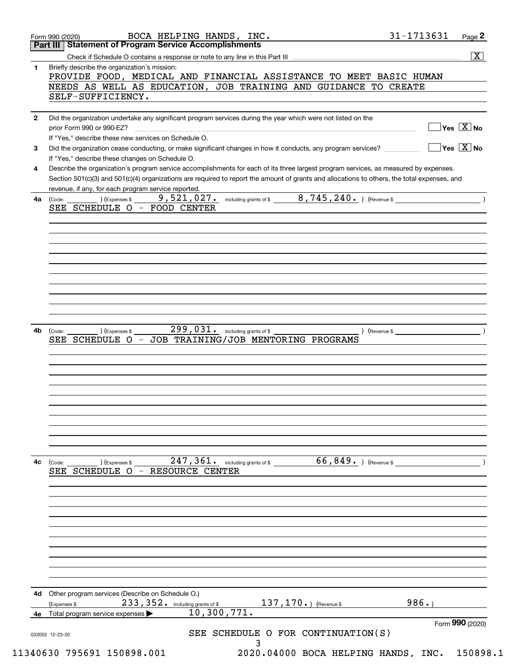|              | BOCA HELPING HANDS, INC.<br>Page 2<br>Form 990 (2020)<br>Part III Statement of Program Service Accomplishments                                                                                             |
|--------------|------------------------------------------------------------------------------------------------------------------------------------------------------------------------------------------------------------|
|              | $\overline{\mathbf{x}}$                                                                                                                                                                                    |
| 1            | Briefly describe the organization's mission:<br>PROVIDE FOOD, MEDICAL AND FINANCIAL ASSISTANCE TO MEET BASIC HUMAN<br>NEEDS AS WELL AS EDUCATION, JOB TRAINING AND GUIDANCE TO CREATE<br>SELF-SUFFICIENCY. |
| $\mathbf{2}$ | Did the organization undertake any significant program services during the year which were not listed on the                                                                                               |
|              | $\sqrt{}$ Yes $\sqrt{}$ X $\sqrt{}$ No<br>prior Form 990 or 990-EZ?<br>If "Yes," describe these new services on Schedule O.                                                                                |
| 3            | $\overline{\mathsf{Yes} \mathrel{\hspace{0.5pt}\mathsf{X}}}$ No<br>Did the organization cease conducting, or make significant changes in how it conducts, any program services?                            |
| 4            | If "Yes," describe these changes on Schedule O.<br>Describe the organization's program service accomplishments for each of its three largest program services, as measured by expenses.                    |
|              | Section 501(c)(3) and 501(c)(4) organizations are required to report the amount of grants and allocations to others, the total expenses, and<br>revenue, if any, for each program service reported.        |
| 4a           | 9,521,027. including grants of \$ 6,745,240. (Revenue \$<br>) (Expenses \$<br>(Code:<br>SEE SCHEDULE O - FOOD CENTER                                                                                       |
|              |                                                                                                                                                                                                            |
|              |                                                                                                                                                                                                            |
|              |                                                                                                                                                                                                            |
|              |                                                                                                                                                                                                            |
|              |                                                                                                                                                                                                            |
|              |                                                                                                                                                                                                            |
| 4b           | 299, 031. including grants of \$<br>) (Expenses \$<br>$\sqrt{2}$ (Revenue \$<br>(Code:<br>JOB TRAINING/JOB MENTORING PROGRAMS<br>SEE SCHEDULE O<br>$\overline{\phantom{m}}$                                |
|              |                                                                                                                                                                                                            |
|              |                                                                                                                                                                                                            |
|              |                                                                                                                                                                                                            |
|              |                                                                                                                                                                                                            |
|              |                                                                                                                                                                                                            |
|              |                                                                                                                                                                                                            |
|              |                                                                                                                                                                                                            |
| 4c           | 247, 361. including grants of \$ 66, 849. (Revenue \$<br>$\overline{\phantom{a}}$ ) (Expenses \$<br>(Code:<br>SEE SCHEDULE O - RESOURCE CENTER                                                             |
|              |                                                                                                                                                                                                            |
|              |                                                                                                                                                                                                            |
|              |                                                                                                                                                                                                            |
|              |                                                                                                                                                                                                            |
|              |                                                                                                                                                                                                            |
|              |                                                                                                                                                                                                            |
|              |                                                                                                                                                                                                            |
|              |                                                                                                                                                                                                            |
| 4d           | Other program services (Describe on Schedule O.)<br>986.<br>233, 352. including grants of \$<br>$137, 170.$ (Revenue \$<br>(Expenses \$                                                                    |
| 4e           | 10,300,771.<br>Total program service expenses<br>Form 990 (2020)                                                                                                                                           |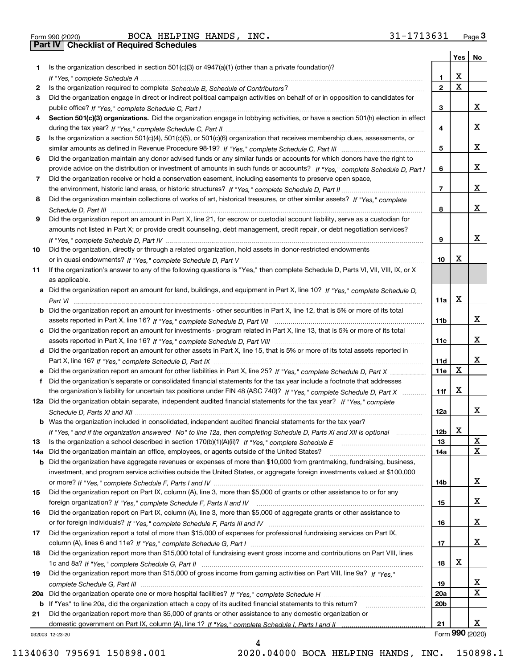Form 990 (2020) Page **3Part IV Checklist of Required Schedules** BOCA HELPING HANDS, INC. 31-1713631

|     |                                                                                                                                       |                 | Yes         | No              |
|-----|---------------------------------------------------------------------------------------------------------------------------------------|-----------------|-------------|-----------------|
| 1.  | Is the organization described in section $501(c)(3)$ or $4947(a)(1)$ (other than a private foundation)?                               |                 |             |                 |
|     |                                                                                                                                       | 1.              | X           |                 |
| 2   |                                                                                                                                       | $\overline{2}$  | $\mathbf X$ |                 |
| 3   | Did the organization engage in direct or indirect political campaign activities on behalf of or in opposition to candidates for       |                 |             |                 |
|     |                                                                                                                                       | 3               |             | x               |
| 4   | Section 501(c)(3) organizations. Did the organization engage in lobbying activities, or have a section 501(h) election in effect      |                 |             |                 |
|     |                                                                                                                                       | 4               |             | x               |
| 5   | Is the organization a section 501(c)(4), 501(c)(5), or 501(c)(6) organization that receives membership dues, assessments, or          |                 |             |                 |
|     |                                                                                                                                       | 5               |             | x               |
| 6   | Did the organization maintain any donor advised funds or any similar funds or accounts for which donors have the right to             |                 |             |                 |
|     | provide advice on the distribution or investment of amounts in such funds or accounts? If "Yes," complete Schedule D, Part I          | 6               |             | x               |
| 7   | Did the organization receive or hold a conservation easement, including easements to preserve open space,                             |                 |             |                 |
|     |                                                                                                                                       | $\overline{7}$  |             | x               |
| 8   | Did the organization maintain collections of works of art, historical treasures, or other similar assets? If "Yes," complete          |                 |             | x               |
|     |                                                                                                                                       | 8               |             |                 |
| 9   | Did the organization report an amount in Part X, line 21, for escrow or custodial account liability, serve as a custodian for         |                 |             |                 |
|     | amounts not listed in Part X; or provide credit counseling, debt management, credit repair, or debt negotiation services?             |                 |             | x               |
|     |                                                                                                                                       | 9               |             |                 |
| 10  | Did the organization, directly or through a related organization, hold assets in donor-restricted endowments                          | 10              | х           |                 |
|     | If the organization's answer to any of the following questions is "Yes," then complete Schedule D, Parts VI, VII, VIII, IX, or X      |                 |             |                 |
| 11  | as applicable.                                                                                                                        |                 |             |                 |
|     | a Did the organization report an amount for land, buildings, and equipment in Part X, line 10? If "Yes," complete Schedule D.         |                 |             |                 |
|     |                                                                                                                                       | 11a             | X           |                 |
|     | <b>b</b> Did the organization report an amount for investments - other securities in Part X, line 12, that is 5% or more of its total |                 |             |                 |
|     |                                                                                                                                       | 11 <sub>b</sub> |             | x               |
|     | c Did the organization report an amount for investments - program related in Part X, line 13, that is 5% or more of its total         |                 |             |                 |
|     |                                                                                                                                       | 11c             |             | x               |
|     | d Did the organization report an amount for other assets in Part X, line 15, that is 5% or more of its total assets reported in       |                 |             |                 |
|     |                                                                                                                                       | 11d             |             | x               |
|     | e Did the organization report an amount for other liabilities in Part X, line 25? If "Yes," complete Schedule D, Part X               | <b>11e</b>      | X           |                 |
| f   | Did the organization's separate or consolidated financial statements for the tax year include a footnote that addresses               |                 |             |                 |
|     | the organization's liability for uncertain tax positions under FIN 48 (ASC 740)? If "Yes," complete Schedule D, Part X                | 11f             | х           |                 |
|     | 12a Did the organization obtain separate, independent audited financial statements for the tax year? If "Yes," complete               |                 |             |                 |
|     |                                                                                                                                       | 12a             |             | x               |
|     | <b>b</b> Was the organization included in consolidated, independent audited financial statements for the tax year?                    |                 |             |                 |
|     | If "Yes," and if the organization answered "No" to line 12a, then completing Schedule D, Parts XI and XII is optional                 | 12 <sub>b</sub> | X           |                 |
| 13  |                                                                                                                                       | 13              |             | X               |
| 14a | Did the organization maintain an office, employees, or agents outside of the United States?                                           | 14a             |             | x               |
|     | <b>b</b> Did the organization have aggregate revenues or expenses of more than \$10,000 from grantmaking, fundraising, business,      |                 |             |                 |
|     | investment, and program service activities outside the United States, or aggregate foreign investments valued at \$100,000            |                 |             |                 |
|     |                                                                                                                                       | 14b             |             | x               |
| 15  | Did the organization report on Part IX, column (A), line 3, more than \$5,000 of grants or other assistance to or for any             |                 |             |                 |
|     |                                                                                                                                       | 15              |             | x               |
| 16  | Did the organization report on Part IX, column (A), line 3, more than \$5,000 of aggregate grants or other assistance to              |                 |             |                 |
|     |                                                                                                                                       | 16              |             | x               |
| 17  | Did the organization report a total of more than \$15,000 of expenses for professional fundraising services on Part IX,               |                 |             |                 |
|     |                                                                                                                                       | 17              |             | x               |
| 18  | Did the organization report more than \$15,000 total of fundraising event gross income and contributions on Part VIII, lines          |                 |             |                 |
|     |                                                                                                                                       | 18              | х           |                 |
| 19  | Did the organization report more than \$15,000 of gross income from gaming activities on Part VIII, line 9a? If "Yes."                |                 |             |                 |
|     |                                                                                                                                       | 19              |             | x               |
|     |                                                                                                                                       | 20a             |             | X               |
|     | <b>b</b> If "Yes" to line 20a, did the organization attach a copy of its audited financial statements to this return?                 | 20 <sub>b</sub> |             |                 |
| 21  | Did the organization report more than \$5,000 of grants or other assistance to any domestic organization or                           | 21              |             | x               |
|     |                                                                                                                                       |                 |             | Form 990 (2020) |
|     | 032003 12-23-20                                                                                                                       |                 |             |                 |

4

032003 12-23-20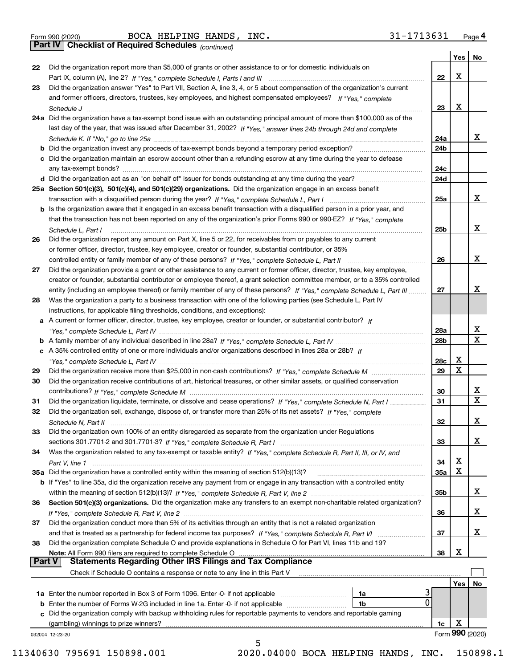Form 990 (2020) Page **4Part IV Checklist of Required Schedules** BOCA HELPING HANDS, INC. 31-1713631

*(continued)*

|    |                                                                                                                                                                                 |                 | Yes | No               |
|----|---------------------------------------------------------------------------------------------------------------------------------------------------------------------------------|-----------------|-----|------------------|
| 22 | Did the organization report more than \$5,000 of grants or other assistance to or for domestic individuals on                                                                   |                 |     |                  |
|    |                                                                                                                                                                                 | 22              | X   |                  |
| 23 | Did the organization answer "Yes" to Part VII, Section A, line 3, 4, or 5 about compensation of the organization's current                                                      |                 |     |                  |
|    | and former officers, directors, trustees, key employees, and highest compensated employees? If "Yes," complete                                                                  |                 |     |                  |
|    |                                                                                                                                                                                 | 23              | х   |                  |
|    | 24a Did the organization have a tax-exempt bond issue with an outstanding principal amount of more than \$100,000 as of the                                                     |                 |     |                  |
|    | last day of the year, that was issued after December 31, 2002? If "Yes," answer lines 24b through 24d and complete                                                              |                 |     |                  |
|    |                                                                                                                                                                                 | 24a             |     | x                |
|    | b Did the organization invest any proceeds of tax-exempt bonds beyond a temporary period exception?                                                                             | 24b             |     |                  |
|    | c Did the organization maintain an escrow account other than a refunding escrow at any time during the year to defease                                                          |                 |     |                  |
|    | any tax-exempt bonds?                                                                                                                                                           | 24c             |     |                  |
|    | d Did the organization act as an "on behalf of" issuer for bonds outstanding at any time during the year?                                                                       | 24d             |     |                  |
|    | 25a Section 501(c)(3), 501(c)(4), and 501(c)(29) organizations. Did the organization engage in an excess benefit                                                                |                 |     |                  |
|    |                                                                                                                                                                                 | 25a             |     | x                |
|    |                                                                                                                                                                                 |                 |     |                  |
|    | b Is the organization aware that it engaged in an excess benefit transaction with a disqualified person in a prior year, and                                                    |                 |     |                  |
|    | that the transaction has not been reported on any of the organization's prior Forms 990 or 990-EZ? If "Yes," complete                                                           |                 |     | x                |
|    | Schedule L, Part I                                                                                                                                                              | 25b             |     |                  |
| 26 | Did the organization report any amount on Part X, line 5 or 22, for receivables from or payables to any current                                                                 |                 |     |                  |
|    | or former officer, director, trustee, key employee, creator or founder, substantial contributor, or 35%                                                                         |                 |     |                  |
|    |                                                                                                                                                                                 | 26              |     | х                |
| 27 | Did the organization provide a grant or other assistance to any current or former officer, director, trustee, key employee,                                                     |                 |     |                  |
|    | creator or founder, substantial contributor or employee thereof, a grant selection committee member, or to a 35% controlled                                                     |                 |     |                  |
|    | entity (including an employee thereof) or family member of any of these persons? If "Yes," complete Schedule L, Part III                                                        | 27              |     | х                |
| 28 | Was the organization a party to a business transaction with one of the following parties (see Schedule L, Part IV                                                               |                 |     |                  |
|    | instructions, for applicable filing thresholds, conditions, and exceptions):                                                                                                    |                 |     |                  |
|    | a A current or former officer, director, trustee, key employee, creator or founder, or substantial contributor? If                                                              |                 |     |                  |
|    |                                                                                                                                                                                 | 28a             |     | x<br>$\mathbf x$ |
|    |                                                                                                                                                                                 | 28 <sub>b</sub> |     |                  |
|    | c A 35% controlled entity of one or more individuals and/or organizations described in lines 28a or 28b? If                                                                     |                 | х   |                  |
|    |                                                                                                                                                                                 | 28c             | X   |                  |
| 29 |                                                                                                                                                                                 | 29              |     |                  |
| 30 | Did the organization receive contributions of art, historical treasures, or other similar assets, or qualified conservation                                                     |                 |     |                  |
|    |                                                                                                                                                                                 | 30              |     | x<br>$\mathbf x$ |
| 31 | Did the organization liquidate, terminate, or dissolve and cease operations? If "Yes," complete Schedule N, Part I                                                              | 31              |     |                  |
| 32 | Did the organization sell, exchange, dispose of, or transfer more than 25% of its net assets? If "Yes." complete                                                                |                 |     |                  |
|    | Schedule N, Part II                                                                                                                                                             | 32              |     | х                |
| 33 | Did the organization own 100% of an entity disregarded as separate from the organization under Regulations                                                                      |                 |     |                  |
|    |                                                                                                                                                                                 | 33              |     | х                |
| 34 | Was the organization related to any tax-exempt or taxable entity? If "Yes," complete Schedule R, Part II, III, or IV, and                                                       |                 |     |                  |
|    |                                                                                                                                                                                 | 34              | х   |                  |
|    | 35a Did the organization have a controlled entity within the meaning of section 512(b)(13)?                                                                                     | 35a             | X   |                  |
|    | b If "Yes" to line 35a, did the organization receive any payment from or engage in any transaction with a controlled entity                                                     |                 |     |                  |
|    |                                                                                                                                                                                 | 35b             |     | X.               |
| 36 | Section 501(c)(3) organizations. Did the organization make any transfers to an exempt non-charitable related organization?                                                      |                 |     |                  |
|    |                                                                                                                                                                                 | 36              |     | x                |
| 37 | Did the organization conduct more than 5% of its activities through an entity that is not a related organization                                                                |                 |     |                  |
| 38 | and that is treated as a partnership for federal income tax purposes? If "Yes," complete Schedule R, Part VI                                                                    | 37              |     | x                |
|    | Did the organization complete Schedule O and provide explanations in Schedule O for Part VI, lines 11b and 19?<br>Note: All Form 990 filers are required to complete Schedule O | 38              | X   |                  |
|    | <b>Statements Regarding Other IRS Filings and Tax Compliance</b><br><b>Part V</b>                                                                                               |                 |     |                  |
|    | Check if Schedule O contains a response or note to any line in this Part V                                                                                                      |                 |     |                  |
|    |                                                                                                                                                                                 |                 | Yes | No               |
|    | <b>1a</b> Enter the number reported in Box 3 of Form 1096. Enter -0- if not applicable <i>manumumumum</i><br>1a                                                                 |                 |     |                  |
|    | $\mathbf{0}$<br><b>b</b> Enter the number of Forms W-2G included in line 1a. Enter -0- if not applicable <i>manumumumum</i><br>1b                                               |                 |     |                  |
|    | c Did the organization comply with backup withholding rules for reportable payments to vendors and reportable gaming                                                            |                 |     |                  |
|    | (gambling) winnings to prize winners?                                                                                                                                           | 1c              | х   |                  |
|    | 032004 12-23-20                                                                                                                                                                 |                 |     | Form 990 (2020)  |
|    | 5                                                                                                                                                                               |                 |     |                  |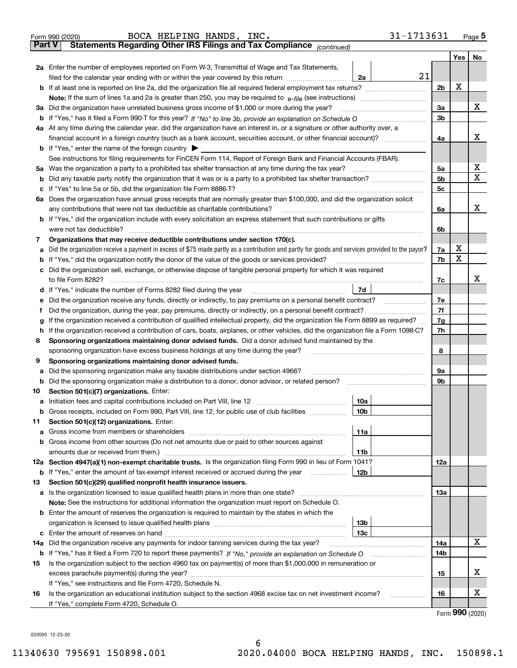|               | 31-1713631<br>BOCA HELPING HANDS, INC.<br>Form 990 (2020)                                                                                                                       |                |                    | $Page$ <sup>5</sup> |  |  |  |  |  |  |
|---------------|---------------------------------------------------------------------------------------------------------------------------------------------------------------------------------|----------------|--------------------|---------------------|--|--|--|--|--|--|
| <b>Part V</b> | Statements Regarding Other IRS Filings and Tax Compliance (continued)                                                                                                           |                |                    |                     |  |  |  |  |  |  |
|               |                                                                                                                                                                                 |                | Yes $ $            | No                  |  |  |  |  |  |  |
|               | 2a Enter the number of employees reported on Form W-3, Transmittal of Wage and Tax Statements,                                                                                  |                |                    |                     |  |  |  |  |  |  |
|               | 21<br>filed for the calendar year ending with or within the year covered by this return [11] [11] the calendar year ending with or within the year covered by this return<br>2a |                |                    |                     |  |  |  |  |  |  |
|               |                                                                                                                                                                                 |                |                    |                     |  |  |  |  |  |  |
|               |                                                                                                                                                                                 |                |                    |                     |  |  |  |  |  |  |
|               | 3a Did the organization have unrelated business gross income of \$1,000 or more during the year?                                                                                |                |                    |                     |  |  |  |  |  |  |
|               |                                                                                                                                                                                 | 3 <sub>b</sub> |                    |                     |  |  |  |  |  |  |
|               | 4a At any time during the calendar year, did the organization have an interest in, or a signature or other authority over, a                                                    |                |                    |                     |  |  |  |  |  |  |
|               |                                                                                                                                                                                 | 4a             |                    | x                   |  |  |  |  |  |  |
|               | <b>b</b> If "Yes," enter the name of the foreign country $\blacktriangleright$                                                                                                  |                |                    |                     |  |  |  |  |  |  |
|               | See instructions for filing requirements for FinCEN Form 114, Report of Foreign Bank and Financial Accounts (FBAR).                                                             |                |                    |                     |  |  |  |  |  |  |
|               | 5a Was the organization a party to a prohibited tax shelter transaction at any time during the tax year?                                                                        | 5a             |                    | х                   |  |  |  |  |  |  |
|               |                                                                                                                                                                                 | 5 <sub>b</sub> |                    | Х                   |  |  |  |  |  |  |
|               |                                                                                                                                                                                 | 5c             |                    |                     |  |  |  |  |  |  |
|               | 6a Does the organization have annual gross receipts that are normally greater than \$100,000, and did the organization solicit                                                  |                |                    |                     |  |  |  |  |  |  |
|               | any contributions that were not tax deductible as charitable contributions?                                                                                                     | 6a             |                    | x                   |  |  |  |  |  |  |
|               | <b>b</b> If "Yes," did the organization include with every solicitation an express statement that such contributions or gifts                                                   |                |                    |                     |  |  |  |  |  |  |
|               | were not tax deductible?                                                                                                                                                        | 6b             |                    |                     |  |  |  |  |  |  |
| 7             | Organizations that may receive deductible contributions under section 170(c).                                                                                                   |                |                    |                     |  |  |  |  |  |  |
| а             | Did the organization receive a payment in excess of \$75 made partly as a contribution and partly for goods and services provided to the payor?                                 | 7a             | х                  |                     |  |  |  |  |  |  |
|               | <b>b</b> If "Yes," did the organization notify the donor of the value of the goods or services provided?                                                                        | 7b             | X                  |                     |  |  |  |  |  |  |
|               | c Did the organization sell, exchange, or otherwise dispose of tangible personal property for which it was required                                                             |                |                    |                     |  |  |  |  |  |  |
|               |                                                                                                                                                                                 | 7c             |                    | x                   |  |  |  |  |  |  |
|               | 7d<br>d If "Yes," indicate the number of Forms 8282 filed during the year manufactured in the second of the New York                                                            |                |                    |                     |  |  |  |  |  |  |
|               | e Did the organization receive any funds, directly or indirectly, to pay premiums on a personal benefit contract?                                                               | 7e             |                    |                     |  |  |  |  |  |  |
|               | Did the organization, during the year, pay premiums, directly or indirectly, on a personal benefit contract?                                                                    | 7f             |                    |                     |  |  |  |  |  |  |
| g             | If the organization received a contribution of qualified intellectual property, did the organization file Form 8899 as required?                                                | 7g             |                    |                     |  |  |  |  |  |  |
|               | h If the organization received a contribution of cars, boats, airplanes, or other vehicles, did the organization file a Form 1098-C?                                            | 7h             |                    |                     |  |  |  |  |  |  |
| 8             | Sponsoring organizations maintaining donor advised funds. Did a donor advised fund maintained by the                                                                            |                |                    |                     |  |  |  |  |  |  |
|               | sponsoring organization have excess business holdings at any time during the year?                                                                                              | 8              |                    |                     |  |  |  |  |  |  |
| 9             | Sponsoring organizations maintaining donor advised funds.                                                                                                                       |                |                    |                     |  |  |  |  |  |  |
| а             | Did the sponsoring organization make any taxable distributions under section 4966?                                                                                              | 9а             |                    |                     |  |  |  |  |  |  |
|               |                                                                                                                                                                                 | 9b             |                    |                     |  |  |  |  |  |  |
| 10            | Section 501(c)(7) organizations. Enter:                                                                                                                                         |                |                    |                     |  |  |  |  |  |  |
|               | 10a                                                                                                                                                                             |                |                    |                     |  |  |  |  |  |  |
|               | <b>b</b> Gross receipts, included on Form 990, Part VIII, line 12, for public use of club facilities <i>manument</i><br>10b                                                     |                |                    |                     |  |  |  |  |  |  |
| 11            | Section 501(c)(12) organizations. Enter:                                                                                                                                        |                |                    |                     |  |  |  |  |  |  |
| a             | 11a                                                                                                                                                                             |                |                    |                     |  |  |  |  |  |  |
|               | <b>b</b> Gross income from other sources (Do not net amounts due or paid to other sources against                                                                               |                |                    |                     |  |  |  |  |  |  |
|               | amounts due or received from them.)<br>11b                                                                                                                                      |                |                    |                     |  |  |  |  |  |  |
|               | 12a Section 4947(a)(1) non-exempt charitable trusts. Is the organization filing Form 990 in lieu of Form 1041?                                                                  | 12a            |                    |                     |  |  |  |  |  |  |
|               | <b>b</b> If "Yes," enter the amount of tax-exempt interest received or accrued during the year<br>12b                                                                           |                |                    |                     |  |  |  |  |  |  |
| 13            | Section 501(c)(29) qualified nonprofit health insurance issuers.                                                                                                                |                |                    |                     |  |  |  |  |  |  |
|               | a Is the organization licensed to issue qualified health plans in more than one state?                                                                                          | 13а            |                    |                     |  |  |  |  |  |  |
|               | Note: See the instructions for additional information the organization must report on Schedule O.                                                                               |                |                    |                     |  |  |  |  |  |  |
|               | <b>b</b> Enter the amount of reserves the organization is required to maintain by the states in which the                                                                       |                |                    |                     |  |  |  |  |  |  |
|               | 13 <sub>b</sub>                                                                                                                                                                 |                |                    |                     |  |  |  |  |  |  |
|               | 13с                                                                                                                                                                             |                |                    |                     |  |  |  |  |  |  |
| 14a           | Did the organization receive any payments for indoor tanning services during the tax year?                                                                                      | 14a            |                    | х                   |  |  |  |  |  |  |
|               |                                                                                                                                                                                 | 14b            |                    |                     |  |  |  |  |  |  |
| 15            | Is the organization subject to the section 4960 tax on payment(s) of more than \$1,000,000 in remuneration or                                                                   |                |                    |                     |  |  |  |  |  |  |
|               |                                                                                                                                                                                 | 15             |                    | х                   |  |  |  |  |  |  |
|               | If "Yes," see instructions and file Form 4720, Schedule N.                                                                                                                      |                |                    |                     |  |  |  |  |  |  |
| 16            | Is the organization an educational institution subject to the section 4968 excise tax on net investment income?<br>.                                                            | 16             |                    | х                   |  |  |  |  |  |  |
|               | If "Yes," complete Form 4720, Schedule O.                                                                                                                                       |                | $000 \, \text{km}$ |                     |  |  |  |  |  |  |

6

Form (2020) **990**

032005 12-23-20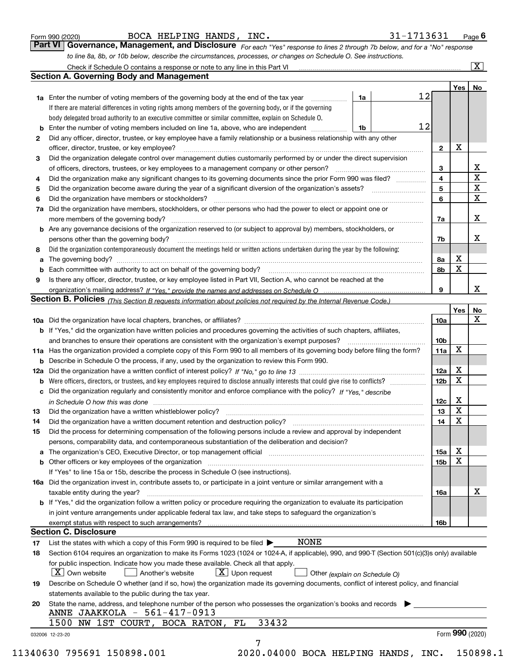|  | Form 990 (2020) |
|--|-----------------|
|  |                 |

BOCA HELPING HANDS, INC. 31-1713631

*For each "Yes" response to lines 2 through 7b below, and for a "No" response to line 8a, 8b, or 10b below, describe the circumstances, processes, or changes on Schedule O. See instructions.* Form 990 (2020) Page **6Part VI Governance, Management, and Disclosure**  Check if Schedule O contains a response or note to any line in this Part VI

|    | <b>1a</b> Enter the number of voting members of the governing body at the end of the tax year<br>.                                                                         | 1a | 12 |                 |                 |                         |
|----|----------------------------------------------------------------------------------------------------------------------------------------------------------------------------|----|----|-----------------|-----------------|-------------------------|
|    | If there are material differences in voting rights among members of the governing body, or if the governing                                                                |    |    |                 |                 |                         |
|    | body delegated broad authority to an executive committee or similar committee, explain on Schedule O.                                                                      |    |    |                 |                 |                         |
| b  | Enter the number of voting members included on line 1a, above, who are independent                                                                                         | 1b | 12 |                 |                 |                         |
| 2  | Did any officer, director, trustee, or key employee have a family relationship or a business relationship with any other                                                   |    |    |                 |                 |                         |
|    | officer, director, trustee, or key employee?                                                                                                                               |    |    | $\mathbf{2}$    | X               |                         |
| 3  | Did the organization delegate control over management duties customarily performed by or under the direct supervision                                                      |    |    |                 |                 |                         |
|    |                                                                                                                                                                            |    |    | 3               |                 | X                       |
| 4  | Did the organization make any significant changes to its governing documents since the prior Form 990 was filed?                                                           |    |    | 4               |                 | $\overline{\mathbf{x}}$ |
| 5  |                                                                                                                                                                            |    |    | 5               |                 | $\mathbf X$             |
| 6  | Did the organization have members or stockholders?                                                                                                                         |    |    | 6               |                 | X                       |
| 7a | Did the organization have members, stockholders, or other persons who had the power to elect or appoint one or                                                             |    |    |                 |                 |                         |
|    |                                                                                                                                                                            |    |    | 7a              |                 | x                       |
|    | <b>b</b> Are any governance decisions of the organization reserved to (or subject to approval by) members, stockholders, or                                                |    |    |                 |                 |                         |
|    | persons other than the governing body?                                                                                                                                     |    |    | 7b              |                 | х                       |
| 8  | Did the organization contemporaneously document the meetings held or written actions undertaken during the year by the following:                                          |    |    |                 |                 |                         |
| a  |                                                                                                                                                                            |    |    | 8a              | X               |                         |
| b  |                                                                                                                                                                            |    |    | 8b              | X               |                         |
| 9  | Is there any officer, director, trustee, or key employee listed in Part VII, Section A, who cannot be reached at the                                                       |    |    |                 |                 |                         |
|    |                                                                                                                                                                            |    |    | 9               |                 | х                       |
|    | <b>Section B. Policies</b> (This Section B requests information about policies not required by the Internal Revenue Code.)                                                 |    |    |                 |                 |                         |
|    |                                                                                                                                                                            |    |    |                 | Yes             | No                      |
|    |                                                                                                                                                                            |    |    | 10a             |                 | X                       |
|    | <b>b</b> If "Yes," did the organization have written policies and procedures governing the activities of such chapters, affiliates,                                        |    |    |                 |                 |                         |
|    |                                                                                                                                                                            |    |    | 10 <sub>b</sub> |                 |                         |
|    | 11a Has the organization provided a complete copy of this Form 990 to all members of its governing body before filing the form?                                            |    |    | 11a             | X               |                         |
|    | <b>b</b> Describe in Schedule O the process, if any, used by the organization to review this Form 990.                                                                     |    |    |                 |                 |                         |
|    |                                                                                                                                                                            |    |    | 12a             | Х               |                         |
| b  |                                                                                                                                                                            |    |    | 12b             | X               |                         |
|    | c Did the organization regularly and consistently monitor and enforce compliance with the policy? If "Yes." describe                                                       |    |    |                 |                 |                         |
|    | in Schedule O how this was done manufactured and continuum control of the state of the state of the state of t                                                             |    |    | 12c             | Х               |                         |
| 13 |                                                                                                                                                                            |    |    | 13              | X               |                         |
| 14 | Did the organization have a written document retention and destruction policy? manufactured and the organization have a written document retention and destruction policy? |    |    | 14              | X               |                         |
| 15 | Did the process for determining compensation of the following persons include a review and approval by independent                                                         |    |    |                 |                 |                         |
|    | persons, comparability data, and contemporaneous substantiation of the deliberation and decision?                                                                          |    |    |                 |                 |                         |
|    |                                                                                                                                                                            |    |    | <b>15a</b>      | X               |                         |
|    |                                                                                                                                                                            |    |    | 15b             | X               |                         |
|    | If "Yes" to line 15a or 15b, describe the process in Schedule O (see instructions).                                                                                        |    |    |                 |                 |                         |
|    | 16a Did the organization invest in, contribute assets to, or participate in a joint venture or similar arrangement with a                                                  |    |    |                 |                 |                         |
|    | taxable entity during the year?                                                                                                                                            |    |    | 16a             |                 | X                       |
|    | b If "Yes," did the organization follow a written policy or procedure requiring the organization to evaluate its participation                                             |    |    |                 |                 |                         |
|    | in joint venture arrangements under applicable federal tax law, and take steps to safeguard the organization's                                                             |    |    |                 |                 |                         |
|    | exempt status with respect to such arrangements?                                                                                                                           |    |    | 16b             |                 |                         |
|    | <b>Section C. Disclosure</b>                                                                                                                                               |    |    |                 |                 |                         |
| 17 | <b>NONE</b><br>List the states with which a copy of this Form 990 is required to be filed $\blacktriangleright$                                                            |    |    |                 |                 |                         |
| 18 | Section 6104 requires an organization to make its Forms 1023 (1024 or 1024-A, if applicable), 990, and 990-T (Section 501(c)(3)s only) available                           |    |    |                 |                 |                         |
|    | for public inspection. Indicate how you made these available. Check all that apply.                                                                                        |    |    |                 |                 |                         |
|    | $\boxed{\text{X}}$ Upon request<br>$\mid$ $\rm X \mid$ Own website<br>Another's website<br>Other (explain on Schedule O)                                                   |    |    |                 |                 |                         |
| 19 | Describe on Schedule O whether (and if so, how) the organization made its governing documents, conflict of interest policy, and financial                                  |    |    |                 |                 |                         |
|    | statements available to the public during the tax year.                                                                                                                    |    |    |                 |                 |                         |
| 20 | State the name, address, and telephone number of the person who possesses the organization's books and records<br>ANNE JAAKKOLA - 561-417-0913                             |    |    |                 |                 |                         |
|    | 33432<br>1500 NW 1ST COURT, BOCA RATON,<br>FL                                                                                                                              |    |    |                 |                 |                         |
|    | 032006 12-23-20                                                                                                                                                            |    |    |                 | Form 990 (2020) |                         |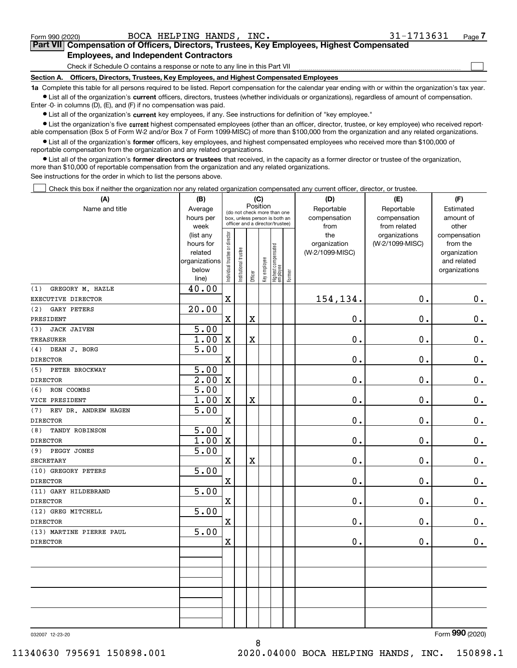|  | Form 990 (2020) |
|--|-----------------|
|  |                 |

 $\mathcal{L}^{\text{max}}$ 

## **7Part VII Compensation of Officers, Directors, Trustees, Key Employees, Highest Compensated Employees, and Independent Contractors**

Check if Schedule O contains a response or note to any line in this Part VII

**Section A. Officers, Directors, Trustees, Key Employees, and Highest Compensated Employees**

**1a**  Complete this table for all persons required to be listed. Report compensation for the calendar year ending with or within the organization's tax year. **•** List all of the organization's current officers, directors, trustees (whether individuals or organizations), regardless of amount of compensation.

Enter -0- in columns (D), (E), and (F) if no compensation was paid.

 $\bullet$  List all of the organization's  $\,$ current key employees, if any. See instructions for definition of "key employee."

**•** List the organization's five current highest compensated employees (other than an officer, director, trustee, or key employee) who received reportable compensation (Box 5 of Form W-2 and/or Box 7 of Form 1099-MISC) of more than \$100,000 from the organization and any related organizations.

**•** List all of the organization's former officers, key employees, and highest compensated employees who received more than \$100,000 of reportable compensation from the organization and any related organizations.

**former directors or trustees**  ¥ List all of the organization's that received, in the capacity as a former director or trustee of the organization, more than \$10,000 of reportable compensation from the organization and any related organizations.

See instructions for the order in which to list the persons above.

Check this box if neither the organization nor any related organization compensated any current officer, director, or trustee.  $\mathcal{L}^{\text{max}}$ 

| (A)                         | (B)               |                               |                                                                                                 |                         | (C)          |                                  |           | (D)             | (E)             | (F)           |
|-----------------------------|-------------------|-------------------------------|-------------------------------------------------------------------------------------------------|-------------------------|--------------|----------------------------------|-----------|-----------------|-----------------|---------------|
| Name and title              | Average           |                               |                                                                                                 |                         | Position     |                                  |           | Reportable      | Reportable      | Estimated     |
|                             | hours per         |                               | (do not check more than one<br>box, unless person is both an<br>officer and a director/trustee) |                         | compensation | compensation                     | amount of |                 |                 |               |
|                             | week              |                               |                                                                                                 |                         |              |                                  |           | from            | from related    | other         |
|                             | (list any         |                               |                                                                                                 |                         |              |                                  |           | the             | organizations   | compensation  |
|                             | hours for         |                               |                                                                                                 |                         |              |                                  |           | organization    | (W-2/1099-MISC) | from the      |
|                             | related           |                               |                                                                                                 |                         |              |                                  |           | (W-2/1099-MISC) |                 | organization  |
|                             | organizations     |                               |                                                                                                 |                         |              |                                  |           |                 |                 | and related   |
|                             | below<br>line)    | ndividual trustee or director | nstitutional trustee                                                                            | Officer                 | Key employee | Highest compensated<br> employee | Former    |                 |                 | organizations |
| GREGORY M. HAZLE<br>(1)     | 40.00             |                               |                                                                                                 |                         |              |                                  |           |                 |                 |               |
| EXECUTIVE DIRECTOR          |                   | $\rm X$                       |                                                                                                 |                         |              |                                  |           | 154,134.        | $\mathbf 0$ .   | $0_{.}$       |
| <b>GARY PETERS</b><br>(2)   | 20.00             |                               |                                                                                                 |                         |              |                                  |           |                 |                 |               |
| PRESIDENT                   |                   | $\overline{\textbf{X}}$       |                                                                                                 | X                       |              |                                  |           | 0.              | $\mathbf 0$ .   | $\mathbf 0$ . |
| <b>JACK JAIVEN</b><br>(3)   | $\overline{5.00}$ |                               |                                                                                                 |                         |              |                                  |           |                 |                 |               |
| TREASURER                   | 1.00              | $\mathbf X$                   |                                                                                                 | $\overline{\textbf{X}}$ |              |                                  |           | 0.              | 0.              | $0_{.}$       |
| DEAN J. BORG<br>(4)         | 5.00              |                               |                                                                                                 |                         |              |                                  |           |                 |                 |               |
| <b>DIRECTOR</b>             |                   | $\mathbf X$                   |                                                                                                 |                         |              |                                  |           | $0$ .           | 0.              | $0_{.}$       |
| (5)<br>PETER BROCKWAY       | 5.00              |                               |                                                                                                 |                         |              |                                  |           |                 |                 |               |
| <b>DIRECTOR</b>             | $\overline{2.00}$ | $\mathbf x$                   |                                                                                                 |                         |              |                                  |           | 0.              | 0.              | $\mathbf 0$ . |
| RON COOMBS<br>(6)           | 5.00              |                               |                                                                                                 |                         |              |                                  |           |                 |                 |               |
| VICE PRESIDENT              | 1.00              | $\mathbf x$                   |                                                                                                 | х                       |              |                                  |           | $0$ .           | $\mathbf 0$ .   | $0_{.}$       |
| REV DR. ANDREW HAGEN<br>(7) | $\overline{5.00}$ |                               |                                                                                                 |                         |              |                                  |           |                 |                 |               |
| <b>DIRECTOR</b>             |                   | $\mathbf X$                   |                                                                                                 |                         |              |                                  |           | 0.              | 0.              | $\mathbf 0$ . |
| (8)<br>TANDY ROBINSON       | 5.00              |                               |                                                                                                 |                         |              |                                  |           |                 |                 |               |
| <b>DIRECTOR</b>             | 1.00              | $\mathbf x$                   |                                                                                                 |                         |              |                                  |           | 0.              | $\mathbf{0}$ .  | 0.            |
| PEGGY JONES<br>(9)          | $\overline{5.00}$ |                               |                                                                                                 |                         |              |                                  |           |                 |                 |               |
| <b>SECRETARY</b>            |                   | $\overline{\textbf{X}}$       |                                                                                                 | X                       |              |                                  |           | 0.              | $\mathbf 0$ .   | $0_{.}$       |
| (10) GREGORY PETERS         | 5.00              |                               |                                                                                                 |                         |              |                                  |           |                 |                 |               |
| <b>DIRECTOR</b>             |                   | $\overline{\mathbf{X}}$       |                                                                                                 |                         |              |                                  |           | 0.              | $\mathbf{0}$ .  | $\mathbf 0$ . |
| (11) GARY HILDEBRAND        | 5.00              |                               |                                                                                                 |                         |              |                                  |           |                 |                 |               |
| <b>DIRECTOR</b>             |                   | $\mathbf X$                   |                                                                                                 |                         |              |                                  |           | 0.              | 0.              | $0_{.}$       |
| (12) GREG MITCHELL          | 5.00              |                               |                                                                                                 |                         |              |                                  |           |                 |                 |               |
| <b>DIRECTOR</b>             |                   | $\mathbf X$                   |                                                                                                 |                         |              |                                  |           | 0.              | $\mathbf 0$ .   | $\mathbf 0$ . |
| (13) MARTINE PIERRE PAUL    | 5.00              |                               |                                                                                                 |                         |              |                                  |           |                 |                 |               |
| <b>DIRECTOR</b>             |                   | $\mathbf X$                   |                                                                                                 |                         |              |                                  |           | 0.              | $\mathbf 0$ .   | $\mathbf 0$ . |
|                             |                   |                               |                                                                                                 |                         |              |                                  |           |                 |                 |               |
|                             |                   |                               |                                                                                                 |                         |              |                                  |           |                 |                 |               |
|                             |                   |                               |                                                                                                 |                         |              |                                  |           |                 |                 |               |
|                             |                   |                               |                                                                                                 |                         |              |                                  |           |                 |                 |               |
|                             |                   |                               |                                                                                                 |                         |              |                                  |           |                 |                 |               |
|                             |                   |                               |                                                                                                 |                         |              |                                  |           |                 |                 |               |
|                             |                   |                               |                                                                                                 |                         |              |                                  |           |                 |                 |               |
|                             |                   |                               |                                                                                                 |                         |              |                                  |           |                 |                 | nov           |

032007 12-23-20

Form (2020) **990**

8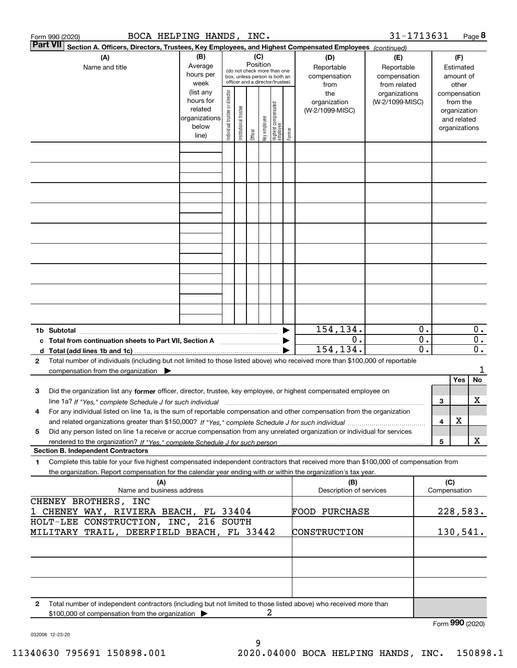|                                                                                                                                                                                                                                  | Form 990 (2020)                                                                                                                                                                                                                            | BOCA HELPING HANDS, INC. |                                                                              |                                |                        |         |              |                                 |                                   |                                                                                                        | 31-1713631                                       |                        |                               |                                                                                   | Page 8                    |
|----------------------------------------------------------------------------------------------------------------------------------------------------------------------------------------------------------------------------------|--------------------------------------------------------------------------------------------------------------------------------------------------------------------------------------------------------------------------------------------|--------------------------|------------------------------------------------------------------------------|--------------------------------|------------------------|---------|--------------|---------------------------------|-----------------------------------|--------------------------------------------------------------------------------------------------------|--------------------------------------------------|------------------------|-------------------------------|-----------------------------------------------------------------------------------|---------------------------|
|                                                                                                                                                                                                                                  | Part VII                                                                                                                                                                                                                                   |                          |                                                                              |                                |                        |         |              |                                 |                                   | Section A. Officers, Directors, Trustees, Key Employees, and Highest Compensated Employees (continued) |                                                  |                        |                               |                                                                                   |                           |
| (B)<br>(C)<br>(A)<br>Position<br>Average<br>Name and title<br>(do not check more than one<br>hours per<br>box, unless person is both an<br>officer and a director/trustee)                                                       |                                                                                                                                                                                                                                            |                          |                                                                              |                                |                        |         |              |                                 | (D)<br>Reportable<br>compensation | (E)<br>Reportable<br>compensation                                                                      |                                                  |                        | (F)<br>Estimated<br>amount of |                                                                                   |                           |
|                                                                                                                                                                                                                                  |                                                                                                                                                                                                                                            |                          | week<br>(list any<br>hours for<br>related<br>organizations<br>below<br>line) | Individual trustee or director | In stitutional trustee | Officer | Key employee | Highest compensated<br>employee | Former                            | from<br>the<br>organization<br>(W-2/1099-MISC)                                                         | from related<br>organizations<br>(W-2/1099-MISC) |                        |                               | other<br>compensation<br>from the<br>organization<br>and related<br>organizations |                           |
|                                                                                                                                                                                                                                  |                                                                                                                                                                                                                                            |                          |                                                                              |                                |                        |         |              |                                 |                                   |                                                                                                        |                                                  |                        |                               |                                                                                   |                           |
|                                                                                                                                                                                                                                  |                                                                                                                                                                                                                                            |                          |                                                                              |                                |                        |         |              |                                 |                                   |                                                                                                        |                                                  |                        |                               |                                                                                   |                           |
|                                                                                                                                                                                                                                  |                                                                                                                                                                                                                                            |                          |                                                                              |                                |                        |         |              |                                 |                                   |                                                                                                        |                                                  |                        |                               |                                                                                   |                           |
|                                                                                                                                                                                                                                  |                                                                                                                                                                                                                                            |                          |                                                                              |                                |                        |         |              |                                 |                                   |                                                                                                        |                                                  |                        |                               |                                                                                   |                           |
|                                                                                                                                                                                                                                  |                                                                                                                                                                                                                                            |                          |                                                                              |                                |                        |         |              |                                 |                                   |                                                                                                        |                                                  |                        |                               |                                                                                   |                           |
|                                                                                                                                                                                                                                  |                                                                                                                                                                                                                                            |                          |                                                                              |                                |                        |         |              |                                 |                                   |                                                                                                        |                                                  |                        |                               |                                                                                   |                           |
|                                                                                                                                                                                                                                  |                                                                                                                                                                                                                                            |                          |                                                                              |                                |                        |         |              |                                 |                                   |                                                                                                        |                                                  |                        |                               |                                                                                   |                           |
|                                                                                                                                                                                                                                  | 1b Subtotal                                                                                                                                                                                                                                |                          |                                                                              |                                |                        |         |              |                                 |                                   | 154,134.<br>0.                                                                                         |                                                  | 0.<br>$\overline{0}$ . |                               |                                                                                   | $0$ .<br>$\overline{0}$ . |
| c Total from continuation sheets to Part VII, Section A <b>manual</b> Testion by Section 3.<br>Total number of individuals (including but not limited to those listed above) who received more than \$100,000 of reportable<br>2 |                                                                                                                                                                                                                                            |                          |                                                                              |                                |                        |         |              |                                 | 154,134.                          |                                                                                                        | $\overline{\mathfrak{o}}$ .                      |                        |                               | $\overline{0}$ .                                                                  |                           |
|                                                                                                                                                                                                                                  | compensation from the organization $\blacktriangleright$                                                                                                                                                                                   |                          |                                                                              |                                |                        |         |              |                                 |                                   |                                                                                                        |                                                  |                        |                               |                                                                                   | 1                         |
| 3                                                                                                                                                                                                                                | Did the organization list any former officer, director, trustee, key employee, or highest compensated employee on                                                                                                                          |                          |                                                                              |                                |                        |         |              |                                 |                                   |                                                                                                        |                                                  |                        |                               | Yes                                                                               | No<br>х                   |
| 4                                                                                                                                                                                                                                | line 1a? If "Yes," complete Schedule J for such individual material content content to the complete Schedule J<br>For any individual listed on line 1a, is the sum of reportable compensation and other compensation from the organization |                          |                                                                              |                                |                        |         |              |                                 |                                   |                                                                                                        |                                                  |                        | 3<br>4                        | х                                                                                 |                           |
| Did any person listed on line 1a receive or accrue compensation from any unrelated organization or individual for services<br>5                                                                                                  |                                                                                                                                                                                                                                            |                          |                                                                              |                                |                        |         |              |                                 |                                   |                                                                                                        | 5                                                |                        | X                             |                                                                                   |                           |
| 1                                                                                                                                                                                                                                | <b>Section B. Independent Contractors</b><br>Complete this table for your five highest compensated independent contractors that received more than \$100,000 of compensation from                                                          |                          |                                                                              |                                |                        |         |              |                                 |                                   |                                                                                                        |                                                  |                        |                               |                                                                                   |                           |
| the organization. Report compensation for the calendar year ending with or within the organization's tax year.<br>(A)<br>Name and business address                                                                               |                                                                                                                                                                                                                                            |                          |                                                                              |                                |                        |         |              |                                 | (B)<br>Description of services    |                                                                                                        |                                                  | (C)                    | Compensation                  |                                                                                   |                           |
| CHENEY BROTHERS, INC<br>1 CHENEY WAY, RIVIERA BEACH, FL 33404<br>HOLT-LEE CONSTRUCTION, INC, 216 SOUTH                                                                                                                           |                                                                                                                                                                                                                                            |                          |                                                                              |                                |                        |         |              |                                 | <b>FOOD PURCHASE</b>              |                                                                                                        |                                                  | 228,583.               |                               |                                                                                   |                           |
|                                                                                                                                                                                                                                  | MILITARY TRAIL, DEERFIELD BEACH, FL 33442                                                                                                                                                                                                  |                          |                                                                              |                                |                        |         |              |                                 |                                   | CONSTRUCTION                                                                                           |                                                  |                        |                               | 130,541.                                                                          |                           |
|                                                                                                                                                                                                                                  |                                                                                                                                                                                                                                            |                          |                                                                              |                                |                        |         |              |                                 |                                   |                                                                                                        |                                                  |                        |                               |                                                                                   |                           |
| $\mathbf{2}$                                                                                                                                                                                                                     | Total number of independent contractors (including but not limited to those listed above) who received more than                                                                                                                           |                          |                                                                              |                                |                        |         |              |                                 |                                   |                                                                                                        |                                                  |                        |                               |                                                                                   |                           |
|                                                                                                                                                                                                                                  | \$100,000 of compensation from the organization >                                                                                                                                                                                          |                          |                                                                              |                                |                        |         | 2            |                                 |                                   |                                                                                                        |                                                  |                        |                               | Form 990 (2020)                                                                   |                           |

9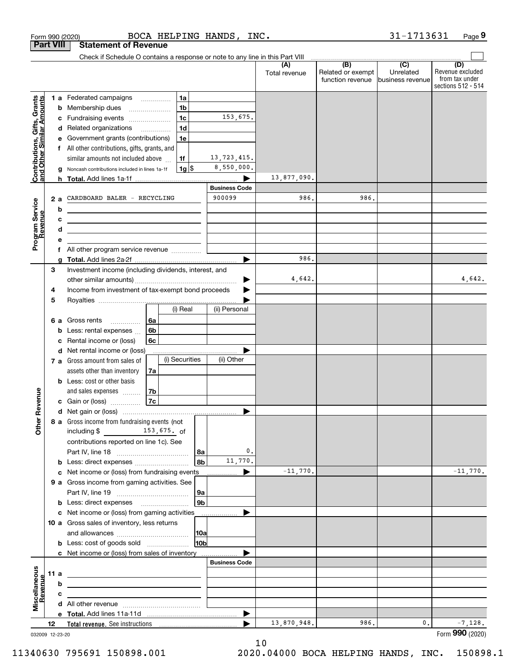|                                                           |                  | BOCA HELPING HANDS, INC.<br>Form 990 (2020)                                          |                                           |                                                     | 31-1713631                    | Page 9                                                          |
|-----------------------------------------------------------|------------------|--------------------------------------------------------------------------------------|-------------------------------------------|-----------------------------------------------------|-------------------------------|-----------------------------------------------------------------|
|                                                           | <b>Part VIII</b> | <b>Statement of Revenue</b>                                                          |                                           |                                                     |                               |                                                                 |
|                                                           |                  | Check if Schedule O contains a response or note to any line in this Part VIII        |                                           | $\overline{(\mathsf{B})}$ $\overline{(\mathsf{C})}$ |                               |                                                                 |
|                                                           |                  |                                                                                      | (A)<br>Total revenue                      | Related or exempt<br>function revenue               | Unrelated<br>business revenue | (D)<br>Revenue excluded<br>from tax under<br>sections 512 - 514 |
|                                                           |                  | 1a<br>1 a Federated campaigns                                                        |                                           |                                                     |                               |                                                                 |
| Contributions, Gifts, Grants<br>and Other Similar Amounts |                  | 1 <sub>b</sub><br><b>b</b> Membership dues                                           |                                           |                                                     |                               |                                                                 |
|                                                           |                  | 1c<br>153,675.<br>Fundraising events<br>с                                            |                                           |                                                     |                               |                                                                 |
|                                                           |                  | 1 <sub>d</sub><br>d Related organizations                                            |                                           |                                                     |                               |                                                                 |
|                                                           |                  | Government grants (contributions)<br>1e<br>е                                         |                                           |                                                     |                               |                                                                 |
|                                                           |                  | f All other contributions, gifts, grants, and                                        |                                           |                                                     |                               |                                                                 |
|                                                           |                  | 13,723,415.<br>similar amounts not included above<br>1f                              |                                           |                                                     |                               |                                                                 |
|                                                           |                  | 8,550,000.<br>$1g$ \$<br>Noncash contributions included in lines 1a-1f<br>g          |                                           |                                                     |                               |                                                                 |
|                                                           |                  |                                                                                      | 13,877,090.                               |                                                     |                               |                                                                 |
|                                                           |                  | <b>Business Code</b><br>900099                                                       | 986.                                      | 986.                                                |                               |                                                                 |
|                                                           | 2a               | CARDBOARD BALER - RECYCLING                                                          |                                           |                                                     |                               |                                                                 |
|                                                           |                  | b<br><u> 1989 - Johann Barn, mars eta bainar eta idazlea (</u>                       |                                           |                                                     |                               |                                                                 |
|                                                           |                  | c<br><u> 1989 - Andrea Stadt Britain, amerikansk politiker (</u><br>d                |                                           |                                                     |                               |                                                                 |
| Program Service<br>Revenue                                |                  | <u> 1989 - Johann Barn, amerikansk politiker (</u><br>е                              |                                           |                                                     |                               |                                                                 |
|                                                           |                  | All other program service revenue<br>f                                               |                                           |                                                     |                               |                                                                 |
|                                                           |                  | g                                                                                    | 986.                                      |                                                     |                               |                                                                 |
|                                                           | 3                | Investment income (including dividends, interest, and                                |                                           |                                                     |                               |                                                                 |
|                                                           |                  |                                                                                      | 4,642.<br>▶                               |                                                     |                               | 4,642.                                                          |
|                                                           | 4                | Income from investment of tax-exempt bond proceeds                                   |                                           |                                                     |                               |                                                                 |
|                                                           | 5                |                                                                                      |                                           |                                                     |                               |                                                                 |
|                                                           |                  | (ii) Personal<br>(i) Real                                                            |                                           |                                                     |                               |                                                                 |
|                                                           |                  | 6a<br>6 a Gross rents                                                                |                                           |                                                     |                               |                                                                 |
|                                                           |                  | 6b<br>Less: rental expenses<br>b                                                     |                                           |                                                     |                               |                                                                 |
|                                                           |                  | Rental income or (loss)<br>6c<br>с                                                   |                                           |                                                     |                               |                                                                 |
|                                                           |                  | d Net rental income or (loss)                                                        |                                           |                                                     |                               |                                                                 |
|                                                           |                  | (i) Securities<br>(ii) Other<br>7 a Gross amount from sales of                       |                                           |                                                     |                               |                                                                 |
|                                                           |                  | assets other than inventory<br>7a                                                    |                                           |                                                     |                               |                                                                 |
|                                                           |                  | <b>b</b> Less: cost or other basis                                                   |                                           |                                                     |                               |                                                                 |
| evenue                                                    |                  | 7b<br>and sales expenses<br>7c                                                       |                                           |                                                     |                               |                                                                 |
|                                                           |                  | c Gain or (loss)                                                                     |                                           |                                                     |                               |                                                                 |
| Other <sub>R</sub>                                        |                  | 8 a Gross income from fundraising events (not                                        |                                           |                                                     |                               |                                                                 |
|                                                           |                  | including \$ 153,675. of                                                             |                                           |                                                     |                               |                                                                 |
|                                                           |                  | contributions reported on line 1c). See                                              |                                           |                                                     |                               |                                                                 |
|                                                           |                  | 8a                                                                                   | 0.                                        |                                                     |                               |                                                                 |
|                                                           |                  | 11,770.<br>8b<br><b>b</b> Less: direct expenses <b>constants b</b>                   |                                           |                                                     |                               |                                                                 |
|                                                           |                  | c Net income or (loss) from fundraising events                                       | $-11,770.$<br>▶                           |                                                     |                               | $-11,770.$                                                      |
|                                                           |                  | 9 a Gross income from gaming activities. See                                         |                                           |                                                     |                               |                                                                 |
|                                                           |                  | 9a                                                                                   |                                           |                                                     |                               |                                                                 |
|                                                           |                  | 9 <sub>b</sub><br><b>b</b> Less: direct expenses <b>manually</b>                     |                                           |                                                     |                               |                                                                 |
|                                                           |                  | c Net income or (loss) from gaming activities<br>.                                   |                                           |                                                     |                               |                                                                 |
|                                                           |                  | 10 a Gross sales of inventory, less returns                                          |                                           |                                                     |                               |                                                                 |
|                                                           |                  | 10a                                                                                  |                                           |                                                     |                               |                                                                 |
|                                                           |                  | 10 <sub>b</sub><br><b>b</b> Less: cost of goods sold                                 |                                           |                                                     |                               |                                                                 |
|                                                           |                  | c Net income or (loss) from sales of inventory                                       |                                           |                                                     |                               |                                                                 |
|                                                           |                  | <b>Business Code</b>                                                                 |                                           |                                                     |                               |                                                                 |
| Miscellaneous                                             | 11 a             | <u> 1989 - Andrea Stadt Britain, amerikansk politiker (</u>                          |                                           |                                                     |                               |                                                                 |
| evenue                                                    |                  | b<br>the contract of the contract of the contract of the contract of the contract of |                                           |                                                     |                               |                                                                 |
|                                                           |                  | c<br>the control of the control of the control of the control of the control of      |                                           |                                                     |                               |                                                                 |
|                                                           |                  |                                                                                      |                                           |                                                     |                               |                                                                 |
|                                                           | 12               |                                                                                      | $\blacktriangleright$<br>13,870,948.<br>▶ | 986.                                                | 0.                            | $-7,128.$                                                       |
|                                                           |                  |                                                                                      |                                           |                                                     |                               | Form 990 (2020)                                                 |

10

032009 12-23-20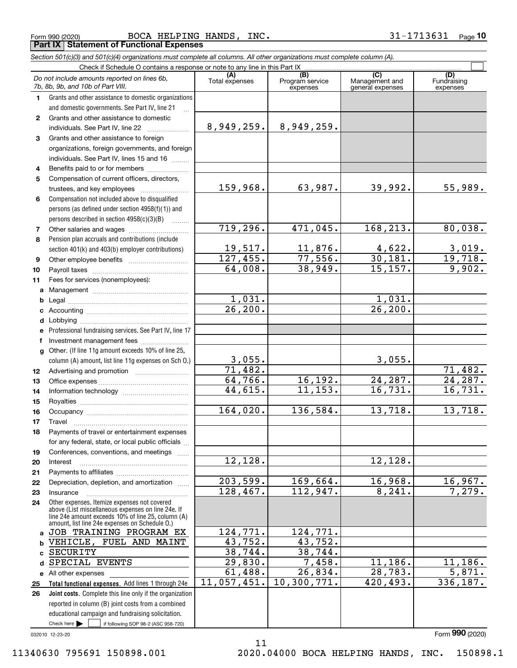Form 990 (2020) BOCA HELPING HANDS, INC. 3 $1\text{--}1713631$  Page **Part IX Statement of Functional Expenses**

*Section 501(c)(3) and 501(c)(4) organizations must complete all columns. All other organizations must complete column (A).*

|              | Do not include amounts reported on lines 6b,<br>7b, 8b, 9b, and 10b of Part VIII.                                                                        | (A)<br>Total expenses | (B)<br>Program service<br>expenses | (C)<br>Management and<br>general expenses | (D)<br>Fundraising<br>expenses |
|--------------|----------------------------------------------------------------------------------------------------------------------------------------------------------|-----------------------|------------------------------------|-------------------------------------------|--------------------------------|
| 1.           | Grants and other assistance to domestic organizations                                                                                                    |                       |                                    |                                           |                                |
|              | and domestic governments. See Part IV, line 21                                                                                                           |                       |                                    |                                           |                                |
| $\mathbf{2}$ | Grants and other assistance to domestic                                                                                                                  |                       |                                    |                                           |                                |
|              | individuals. See Part IV, line 22                                                                                                                        | 8,949,259.            | 8,949,259.                         |                                           |                                |
| 3            | Grants and other assistance to foreign                                                                                                                   |                       |                                    |                                           |                                |
|              | organizations, foreign governments, and foreign                                                                                                          |                       |                                    |                                           |                                |
|              | individuals. See Part IV, lines 15 and 16                                                                                                                |                       |                                    |                                           |                                |
| 4            | Benefits paid to or for members                                                                                                                          |                       |                                    |                                           |                                |
| 5            | Compensation of current officers, directors,                                                                                                             |                       |                                    |                                           |                                |
|              | trustees, and key employees                                                                                                                              | 159,968.              | 63,987.                            | 39,992.                                   | 55,989.                        |
| 6            | Compensation not included above to disqualified                                                                                                          |                       |                                    |                                           |                                |
|              | persons (as defined under section 4958(f)(1)) and                                                                                                        |                       |                                    |                                           |                                |
|              | persons described in section 4958(c)(3)(B)                                                                                                               |                       |                                    |                                           |                                |
| 7            |                                                                                                                                                          | 719,296.              | 471,045.                           | 168,213.                                  | 80,038.                        |
| 8            | Pension plan accruals and contributions (include                                                                                                         |                       |                                    |                                           |                                |
|              | section 401(k) and 403(b) employer contributions)                                                                                                        | 19,517.               | 11,876.                            | $\frac{4,622}{30,181}$ .                  | $\frac{3,019.}{19,718.}$       |
| 9            |                                                                                                                                                          | 127,455.              | 77,556.                            |                                           |                                |
| 10           |                                                                                                                                                          | 64,008.               | 38,949.                            | 15, 157.                                  | 9,902.                         |
| 11           | Fees for services (nonemployees):                                                                                                                        |                       |                                    |                                           |                                |
| a            |                                                                                                                                                          |                       |                                    |                                           |                                |
| b            |                                                                                                                                                          | 1,031.                |                                    | 1,031.                                    |                                |
| c            |                                                                                                                                                          | $\overline{26,200}$ . |                                    | 26, 200.                                  |                                |
| d            |                                                                                                                                                          |                       |                                    |                                           |                                |
|              | e Professional fundraising services. See Part IV, line 17                                                                                                |                       |                                    |                                           |                                |
| f            | Investment management fees                                                                                                                               |                       |                                    |                                           |                                |
| g            | Other. (If line 11g amount exceeds 10% of line 25,                                                                                                       |                       |                                    |                                           |                                |
|              | column (A) amount, list line 11g expenses on Sch 0.)                                                                                                     | 3,055.                |                                    | 3,055.                                    |                                |
| 12           |                                                                                                                                                          | 71,482.               |                                    |                                           | 71,482.                        |
| 13           |                                                                                                                                                          | 64,766.               | 16, 192.                           | 24,287.                                   | 24, 287.                       |
| 14           |                                                                                                                                                          | 44,615.               | 11, 153.                           | 16,731.                                   | 16,731.                        |
| 15           |                                                                                                                                                          |                       |                                    |                                           |                                |
| 16           |                                                                                                                                                          | 164,020.              | 136,584.                           | 13,718.                                   | 13,718.                        |
| 17           | Travel                                                                                                                                                   |                       |                                    |                                           |                                |
| 18           | Payments of travel or entertainment expenses                                                                                                             |                       |                                    |                                           |                                |
|              | for any federal, state, or local public officials                                                                                                        |                       |                                    |                                           |                                |
| 19           | Conferences, conventions, and meetings                                                                                                                   |                       |                                    |                                           |                                |
| 20           | Interest                                                                                                                                                 | 12, 128.              |                                    | 12, 128.                                  |                                |
| 21           |                                                                                                                                                          |                       |                                    |                                           |                                |
| 22           | Depreciation, depletion, and amortization                                                                                                                | 203,599.              | 169,664.                           | 16,968.                                   | 16,967.                        |
| 23           | Insurance                                                                                                                                                | 128,467.              | 112,947.                           | 8, 241.                                   | 7,279.                         |
| 24           | Other expenses. Itemize expenses not covered<br>above (List miscellaneous expenses on line 24e. If<br>line 24e amount exceeds 10% of line 25, column (A) |                       |                                    |                                           |                                |
| a            | amount, list line 24e expenses on Schedule 0.)<br>JOB TRAINING PROGRAM EX                                                                                | 124,771.              | 124,771.                           |                                           |                                |
| b            | VEHICLE, FUEL AND MAINT                                                                                                                                  | 43,752.               | 43,752.                            |                                           |                                |
| c            | SECURITY                                                                                                                                                 | 38,744.               | 38,744.                            |                                           |                                |
| d            | SPECIAL EVENTS                                                                                                                                           | 29,830.               | 7,458.                             | 11, 186.                                  | 11,186.                        |
|              | e All other expenses                                                                                                                                     | 61,488.               | $\overline{26}$ , 834.             | 28,783.                                   | 5,871.                         |
| 25           | Total functional expenses. Add lines 1 through 24e                                                                                                       | 11,057,451.           | 10,300,771.                        | 420,493.                                  | 336,187.                       |
| 26           | Joint costs. Complete this line only if the organization                                                                                                 |                       |                                    |                                           |                                |
|              | reported in column (B) joint costs from a combined                                                                                                       |                       |                                    |                                           |                                |
|              | educational campaign and fundraising solicitation.                                                                                                       |                       |                                    |                                           |                                |
|              | Check here $\blacktriangleright$<br>if following SOP 98-2 (ASC 958-720)                                                                                  |                       |                                    |                                           |                                |

11

032010 12-23-20

Form (2020) **990**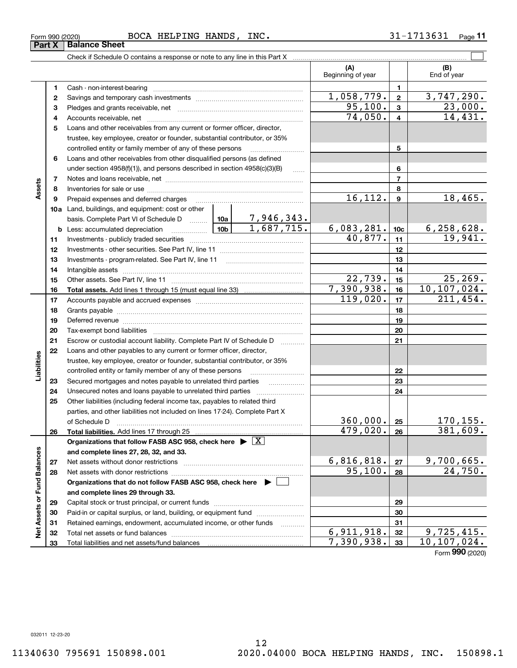$\overline{\phantom{0}}$ 

| 1,058,779.<br>3,747,290.<br>$\mathbf{2}$<br>2<br>95,100.<br>$\mathbf{3}$<br>з<br>74,050.<br>$\overline{\mathbf{4}}$<br>4<br>Loans and other receivables from any current or former officer, director,<br>5<br>trustee, key employee, creator or founder, substantial contributor, or 35%<br>5<br>controlled entity or family member of any of these persons<br>Loans and other receivables from other disqualified persons (as defined<br>6<br>6<br>under section $4958(f)(1)$ , and persons described in section $4958(c)(3)(B)$<br>.<br>$\overline{7}$<br>7<br>Assets<br>8<br>8<br>16, 112.<br>$\mathbf{9}$<br>9<br>Prepaid expenses and deferred charges<br><b>10a</b> Land, buildings, and equipment: cost or other<br>6,083,281.<br>$\frac{6,258,628.}{19,941.}$<br>10 <sub>c</sub><br><b>b</b> Less: accumulated depreciation<br>40,877.<br>11<br>11<br>12<br>12<br>13<br>13<br>14<br>14<br>22,739.<br>15<br>15<br>7,390,938.<br>10, 107, 024.<br>16<br>16<br>119,020.<br>211,454.<br>17<br>17<br>18<br>18<br>19<br>19<br>20<br>20<br>21<br>21<br>Escrow or custodial account liability. Complete Part IV of Schedule D<br>1.1.1.1.1.1.1.1.1.1<br>22<br>Loans and other payables to any current or former officer, director,<br>Liabilities<br>trustee, key employee, creator or founder, substantial contributor, or 35%<br>22<br>controlled entity or family member of any of these persons | 23,000.<br>14,431.<br>18,465. |
|-----------------------------------------------------------------------------------------------------------------------------------------------------------------------------------------------------------------------------------------------------------------------------------------------------------------------------------------------------------------------------------------------------------------------------------------------------------------------------------------------------------------------------------------------------------------------------------------------------------------------------------------------------------------------------------------------------------------------------------------------------------------------------------------------------------------------------------------------------------------------------------------------------------------------------------------------------------------------------------------------------------------------------------------------------------------------------------------------------------------------------------------------------------------------------------------------------------------------------------------------------------------------------------------------------------------------------------------------------------------------------------------------------|-------------------------------|
|                                                                                                                                                                                                                                                                                                                                                                                                                                                                                                                                                                                                                                                                                                                                                                                                                                                                                                                                                                                                                                                                                                                                                                                                                                                                                                                                                                                                     |                               |
|                                                                                                                                                                                                                                                                                                                                                                                                                                                                                                                                                                                                                                                                                                                                                                                                                                                                                                                                                                                                                                                                                                                                                                                                                                                                                                                                                                                                     |                               |
|                                                                                                                                                                                                                                                                                                                                                                                                                                                                                                                                                                                                                                                                                                                                                                                                                                                                                                                                                                                                                                                                                                                                                                                                                                                                                                                                                                                                     |                               |
|                                                                                                                                                                                                                                                                                                                                                                                                                                                                                                                                                                                                                                                                                                                                                                                                                                                                                                                                                                                                                                                                                                                                                                                                                                                                                                                                                                                                     |                               |
|                                                                                                                                                                                                                                                                                                                                                                                                                                                                                                                                                                                                                                                                                                                                                                                                                                                                                                                                                                                                                                                                                                                                                                                                                                                                                                                                                                                                     |                               |
|                                                                                                                                                                                                                                                                                                                                                                                                                                                                                                                                                                                                                                                                                                                                                                                                                                                                                                                                                                                                                                                                                                                                                                                                                                                                                                                                                                                                     |                               |
|                                                                                                                                                                                                                                                                                                                                                                                                                                                                                                                                                                                                                                                                                                                                                                                                                                                                                                                                                                                                                                                                                                                                                                                                                                                                                                                                                                                                     |                               |
|                                                                                                                                                                                                                                                                                                                                                                                                                                                                                                                                                                                                                                                                                                                                                                                                                                                                                                                                                                                                                                                                                                                                                                                                                                                                                                                                                                                                     |                               |
|                                                                                                                                                                                                                                                                                                                                                                                                                                                                                                                                                                                                                                                                                                                                                                                                                                                                                                                                                                                                                                                                                                                                                                                                                                                                                                                                                                                                     |                               |
|                                                                                                                                                                                                                                                                                                                                                                                                                                                                                                                                                                                                                                                                                                                                                                                                                                                                                                                                                                                                                                                                                                                                                                                                                                                                                                                                                                                                     |                               |
|                                                                                                                                                                                                                                                                                                                                                                                                                                                                                                                                                                                                                                                                                                                                                                                                                                                                                                                                                                                                                                                                                                                                                                                                                                                                                                                                                                                                     |                               |
|                                                                                                                                                                                                                                                                                                                                                                                                                                                                                                                                                                                                                                                                                                                                                                                                                                                                                                                                                                                                                                                                                                                                                                                                                                                                                                                                                                                                     |                               |
|                                                                                                                                                                                                                                                                                                                                                                                                                                                                                                                                                                                                                                                                                                                                                                                                                                                                                                                                                                                                                                                                                                                                                                                                                                                                                                                                                                                                     |                               |
|                                                                                                                                                                                                                                                                                                                                                                                                                                                                                                                                                                                                                                                                                                                                                                                                                                                                                                                                                                                                                                                                                                                                                                                                                                                                                                                                                                                                     |                               |
|                                                                                                                                                                                                                                                                                                                                                                                                                                                                                                                                                                                                                                                                                                                                                                                                                                                                                                                                                                                                                                                                                                                                                                                                                                                                                                                                                                                                     |                               |
|                                                                                                                                                                                                                                                                                                                                                                                                                                                                                                                                                                                                                                                                                                                                                                                                                                                                                                                                                                                                                                                                                                                                                                                                                                                                                                                                                                                                     |                               |
|                                                                                                                                                                                                                                                                                                                                                                                                                                                                                                                                                                                                                                                                                                                                                                                                                                                                                                                                                                                                                                                                                                                                                                                                                                                                                                                                                                                                     |                               |
|                                                                                                                                                                                                                                                                                                                                                                                                                                                                                                                                                                                                                                                                                                                                                                                                                                                                                                                                                                                                                                                                                                                                                                                                                                                                                                                                                                                                     |                               |
|                                                                                                                                                                                                                                                                                                                                                                                                                                                                                                                                                                                                                                                                                                                                                                                                                                                                                                                                                                                                                                                                                                                                                                                                                                                                                                                                                                                                     | 25, 269.                      |
|                                                                                                                                                                                                                                                                                                                                                                                                                                                                                                                                                                                                                                                                                                                                                                                                                                                                                                                                                                                                                                                                                                                                                                                                                                                                                                                                                                                                     |                               |
|                                                                                                                                                                                                                                                                                                                                                                                                                                                                                                                                                                                                                                                                                                                                                                                                                                                                                                                                                                                                                                                                                                                                                                                                                                                                                                                                                                                                     |                               |
|                                                                                                                                                                                                                                                                                                                                                                                                                                                                                                                                                                                                                                                                                                                                                                                                                                                                                                                                                                                                                                                                                                                                                                                                                                                                                                                                                                                                     |                               |
|                                                                                                                                                                                                                                                                                                                                                                                                                                                                                                                                                                                                                                                                                                                                                                                                                                                                                                                                                                                                                                                                                                                                                                                                                                                                                                                                                                                                     |                               |
|                                                                                                                                                                                                                                                                                                                                                                                                                                                                                                                                                                                                                                                                                                                                                                                                                                                                                                                                                                                                                                                                                                                                                                                                                                                                                                                                                                                                     |                               |
|                                                                                                                                                                                                                                                                                                                                                                                                                                                                                                                                                                                                                                                                                                                                                                                                                                                                                                                                                                                                                                                                                                                                                                                                                                                                                                                                                                                                     |                               |
|                                                                                                                                                                                                                                                                                                                                                                                                                                                                                                                                                                                                                                                                                                                                                                                                                                                                                                                                                                                                                                                                                                                                                                                                                                                                                                                                                                                                     |                               |
|                                                                                                                                                                                                                                                                                                                                                                                                                                                                                                                                                                                                                                                                                                                                                                                                                                                                                                                                                                                                                                                                                                                                                                                                                                                                                                                                                                                                     |                               |
|                                                                                                                                                                                                                                                                                                                                                                                                                                                                                                                                                                                                                                                                                                                                                                                                                                                                                                                                                                                                                                                                                                                                                                                                                                                                                                                                                                                                     |                               |
| 23<br>Secured mortgages and notes payable to unrelated third parties<br>23                                                                                                                                                                                                                                                                                                                                                                                                                                                                                                                                                                                                                                                                                                                                                                                                                                                                                                                                                                                                                                                                                                                                                                                                                                                                                                                          |                               |
| 24<br>24<br>Unsecured notes and loans payable to unrelated third parties                                                                                                                                                                                                                                                                                                                                                                                                                                                                                                                                                                                                                                                                                                                                                                                                                                                                                                                                                                                                                                                                                                                                                                                                                                                                                                                            |                               |
| Other liabilities (including federal income tax, payables to related third<br>25                                                                                                                                                                                                                                                                                                                                                                                                                                                                                                                                                                                                                                                                                                                                                                                                                                                                                                                                                                                                                                                                                                                                                                                                                                                                                                                    |                               |
| parties, and other liabilities not included on lines 17-24). Complete Part X                                                                                                                                                                                                                                                                                                                                                                                                                                                                                                                                                                                                                                                                                                                                                                                                                                                                                                                                                                                                                                                                                                                                                                                                                                                                                                                        |                               |
| 360,000.<br>25<br>of Schedule D                                                                                                                                                                                                                                                                                                                                                                                                                                                                                                                                                                                                                                                                                                                                                                                                                                                                                                                                                                                                                                                                                                                                                                                                                                                                                                                                                                     |                               |
| 479,020.<br>26<br>26                                                                                                                                                                                                                                                                                                                                                                                                                                                                                                                                                                                                                                                                                                                                                                                                                                                                                                                                                                                                                                                                                                                                                                                                                                                                                                                                                                                | $\frac{170,155.}{381,609.}$   |
| Organizations that follow FASB ASC 958, check here $\triangleright \lfloor X \rfloor$                                                                                                                                                                                                                                                                                                                                                                                                                                                                                                                                                                                                                                                                                                                                                                                                                                                                                                                                                                                                                                                                                                                                                                                                                                                                                                               |                               |
| and complete lines 27, 28, 32, and 33.                                                                                                                                                                                                                                                                                                                                                                                                                                                                                                                                                                                                                                                                                                                                                                                                                                                                                                                                                                                                                                                                                                                                                                                                                                                                                                                                                              |                               |
| 6,816,818.<br>9,700,665.<br>27<br>${\bf 27}$                                                                                                                                                                                                                                                                                                                                                                                                                                                                                                                                                                                                                                                                                                                                                                                                                                                                                                                                                                                                                                                                                                                                                                                                                                                                                                                                                        |                               |
| 95,100.<br>28<br>28<br>Net assets with donor restrictions                                                                                                                                                                                                                                                                                                                                                                                                                                                                                                                                                                                                                                                                                                                                                                                                                                                                                                                                                                                                                                                                                                                                                                                                                                                                                                                                           | 24,750.                       |
| Organizations that do not follow FASB ASC 958, check here $\blacktriangleright$                                                                                                                                                                                                                                                                                                                                                                                                                                                                                                                                                                                                                                                                                                                                                                                                                                                                                                                                                                                                                                                                                                                                                                                                                                                                                                                     |                               |
| and complete lines 29 through 33.                                                                                                                                                                                                                                                                                                                                                                                                                                                                                                                                                                                                                                                                                                                                                                                                                                                                                                                                                                                                                                                                                                                                                                                                                                                                                                                                                                   |                               |
| 29<br>29                                                                                                                                                                                                                                                                                                                                                                                                                                                                                                                                                                                                                                                                                                                                                                                                                                                                                                                                                                                                                                                                                                                                                                                                                                                                                                                                                                                            |                               |
| Paid-in or capital surplus, or land, building, or equipment fund<br>30<br>30                                                                                                                                                                                                                                                                                                                                                                                                                                                                                                                                                                                                                                                                                                                                                                                                                                                                                                                                                                                                                                                                                                                                                                                                                                                                                                                        |                               |
| 31<br>Retained earnings, endowment, accumulated income, or other funds<br>31<br>1.1.1.1.1.1.1.1.1.1                                                                                                                                                                                                                                                                                                                                                                                                                                                                                                                                                                                                                                                                                                                                                                                                                                                                                                                                                                                                                                                                                                                                                                                                                                                                                                 |                               |
| Net Assets or Fund Balances<br>6,911,918.<br>$\overline{9,725},415.$<br>32<br>Total net assets or fund balances<br>32                                                                                                                                                                                                                                                                                                                                                                                                                                                                                                                                                                                                                                                                                                                                                                                                                                                                                                                                                                                                                                                                                                                                                                                                                                                                               |                               |
| 7,390,938.<br>10, 107, 024.<br>33<br>Total liabilities and net assets/fund balances<br>33                                                                                                                                                                                                                                                                                                                                                                                                                                                                                                                                                                                                                                                                                                                                                                                                                                                                                                                                                                                                                                                                                                                                                                                                                                                                                                           |                               |
| Form 990 (2020)                                                                                                                                                                                                                                                                                                                                                                                                                                                                                                                                                                                                                                                                                                                                                                                                                                                                                                                                                                                                                                                                                                                                                                                                                                                                                                                                                                                     |                               |

### Form 990 (2020) BOCA HELPING HANDS, INC. 3 $1\text{--}1713631$  Page

Check if Schedule O contains a response or note to any line in this Part X

**11**

 $(B)$ <br>End of year

 $\mathcal{L}^{\text{max}}$ 

**(A) (B)**

Beginning of year | | End of year

**Part X Balance Sheet**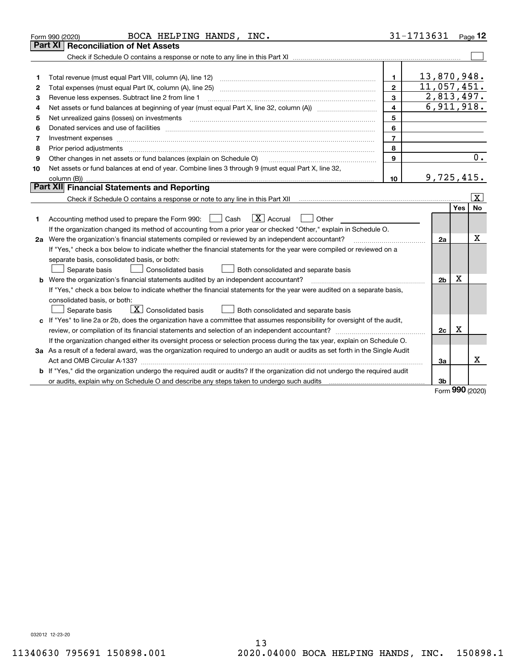|    | BOCA HELPING HANDS, INC.<br>Form 990 (2020)                                                                                                                                                                                    |                | 31-1713631     |            | Page $12$               |
|----|--------------------------------------------------------------------------------------------------------------------------------------------------------------------------------------------------------------------------------|----------------|----------------|------------|-------------------------|
|    | <b>Reconciliation of Net Assets</b><br>Part XI                                                                                                                                                                                 |                |                |            |                         |
|    |                                                                                                                                                                                                                                |                |                |            |                         |
|    |                                                                                                                                                                                                                                |                |                |            |                         |
| 1  | Total revenue (must equal Part VIII, column (A), line 12)                                                                                                                                                                      | $\mathbf{1}$   | 13,870,948.    |            |                         |
| 2  |                                                                                                                                                                                                                                | $\mathbf{2}$   | 11,057,451.    |            |                         |
| 3  | Revenue less expenses. Subtract line 2 from line 1                                                                                                                                                                             | 3              | 2,813,497.     |            |                         |
| 4  |                                                                                                                                                                                                                                | 4              | 6,911,918.     |            |                         |
| 5  | Net unrealized gains (losses) on investments [11] matter continuum matter is a set of the set of the set of the                                                                                                                | 5              |                |            |                         |
| 6  | Donated services and use of facilities [111] matter contracts and the service of facilities [11] matter contracts and use of facilities [11] matter contracts and the service of facilities [11] matter contracts and the serv | 6              |                |            |                         |
| 7  | Investment expenses www.communication.communication.com/www.communication.com/www.communication.com                                                                                                                            | $\overline{7}$ |                |            |                         |
| 8  | Prior period adjustments                                                                                                                                                                                                       | 8              |                |            |                         |
| 9  | Other changes in net assets or fund balances (explain on Schedule O)                                                                                                                                                           | 9              |                |            | 0.                      |
| 10 | Net assets or fund balances at end of year. Combine lines 3 through 9 (must equal Part X, line 32,                                                                                                                             |                |                |            |                         |
|    |                                                                                                                                                                                                                                | 10             | 9,725,415.     |            |                         |
|    | Part XII Financial Statements and Reporting                                                                                                                                                                                    |                |                |            |                         |
|    | Check if Schedule O contains a response or note to any line in this Part XII [11] [12] Check if Schedule O contains a response or note to any line in this Part XII                                                            |                |                |            | $\overline{\mathbf{X}}$ |
|    |                                                                                                                                                                                                                                |                |                | Yes        | No                      |
| 1  | $\boxed{\text{X}}$ Accrual<br>Accounting method used to prepare the Form 990: <u>I</u> Cash<br>Other                                                                                                                           |                |                |            |                         |
|    | If the organization changed its method of accounting from a prior year or checked "Other," explain in Schedule O.                                                                                                              |                |                |            |                         |
|    | 2a Were the organization's financial statements compiled or reviewed by an independent accountant?                                                                                                                             |                | 2a             |            | x                       |
|    | If "Yes," check a box below to indicate whether the financial statements for the year were compiled or reviewed on a                                                                                                           |                |                |            |                         |
|    | separate basis, consolidated basis, or both:                                                                                                                                                                                   |                |                |            |                         |
|    | Separate basis<br><b>Consolidated basis</b><br>Both consolidated and separate basis                                                                                                                                            |                |                |            |                         |
|    | <b>b</b> Were the organization's financial statements audited by an independent accountant?                                                                                                                                    |                | 2 <sub>b</sub> | Х          |                         |
|    | If "Yes," check a box below to indicate whether the financial statements for the year were audited on a separate basis,                                                                                                        |                |                |            |                         |
|    | consolidated basis, or both:                                                                                                                                                                                                   |                |                |            |                         |
|    | $\overline{X}$ Consolidated basis<br>Both consolidated and separate basis<br>Separate basis                                                                                                                                    |                |                |            |                         |
|    | c If "Yes" to line 2a or 2b, does the organization have a committee that assumes responsibility for oversight of the audit,                                                                                                    |                |                |            |                         |
|    |                                                                                                                                                                                                                                |                | 2c             | х          |                         |
|    | If the organization changed either its oversight process or selection process during the tax year, explain on Schedule O.                                                                                                      |                |                |            |                         |
|    | 3a As a result of a federal award, was the organization required to undergo an audit or audits as set forth in the Single Audit                                                                                                |                |                |            |                         |
|    |                                                                                                                                                                                                                                |                | Зa             |            | х                       |
|    | b If "Yes," did the organization undergo the required audit or audits? If the organization did not undergo the required audit                                                                                                  |                |                |            |                         |
|    |                                                                                                                                                                                                                                |                | 3b             | <u>nnn</u> |                         |

Form (2020) **990**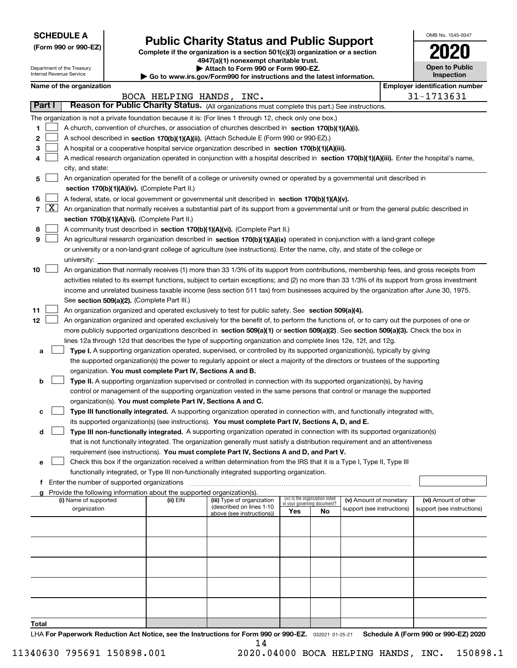| <b>SCHEDULE A</b> |
|-------------------|
|-------------------|

Department of the Treasury Internal Revenue Service

**(Form 990 or 990-EZ)**

## **Public Charity Status and Public Support**

**Complete if the organization is a section 501(c)(3) organization or a section 4947(a)(1) nonexempt charitable trust.**

| Attach to Form 990 or Form 990-EZ. |  |
|------------------------------------|--|
|------------------------------------|--|

**| Go to www.irs.gov/Form990 for instructions and the latest information.**

| OMB No. 1545-0047                   |
|-------------------------------------|
|                                     |
| <b>Open to Public</b><br>Inspection |

 $\blacksquare$ 

## **Name of the organization Employer identification** number

|                                         |                     |                                                                                                                                                                                                                                                                                                                                                                                                                                                                                                                                                                                                                                                                                                                                                                                                                                                                                                                                                                                                                                                                                                                                                                                                                                                                                                                                                                                                                                                                                                                                                                                                                                                                                                                                                                                                                                                                                                                                                                                                                                                                                                                                                                                                                                                 |                                                                                                                                                                                                                                                                                                                                                                                                                                                                                                                                                                                                                                                                                                                      | BOCA HELPING HANDS, INC. |                                                                                     |                                                                       |    |                                                      |  | 31-1713631                                         |  |  |
|-----------------------------------------|---------------------|-------------------------------------------------------------------------------------------------------------------------------------------------------------------------------------------------------------------------------------------------------------------------------------------------------------------------------------------------------------------------------------------------------------------------------------------------------------------------------------------------------------------------------------------------------------------------------------------------------------------------------------------------------------------------------------------------------------------------------------------------------------------------------------------------------------------------------------------------------------------------------------------------------------------------------------------------------------------------------------------------------------------------------------------------------------------------------------------------------------------------------------------------------------------------------------------------------------------------------------------------------------------------------------------------------------------------------------------------------------------------------------------------------------------------------------------------------------------------------------------------------------------------------------------------------------------------------------------------------------------------------------------------------------------------------------------------------------------------------------------------------------------------------------------------------------------------------------------------------------------------------------------------------------------------------------------------------------------------------------------------------------------------------------------------------------------------------------------------------------------------------------------------------------------------------------------------------------------------------------------------|----------------------------------------------------------------------------------------------------------------------------------------------------------------------------------------------------------------------------------------------------------------------------------------------------------------------------------------------------------------------------------------------------------------------------------------------------------------------------------------------------------------------------------------------------------------------------------------------------------------------------------------------------------------------------------------------------------------------|--------------------------|-------------------------------------------------------------------------------------|-----------------------------------------------------------------------|----|------------------------------------------------------|--|----------------------------------------------------|--|--|
|                                         | Part I              | Reason for Public Charity Status. (All organizations must complete this part.) See instructions.                                                                                                                                                                                                                                                                                                                                                                                                                                                                                                                                                                                                                                                                                                                                                                                                                                                                                                                                                                                                                                                                                                                                                                                                                                                                                                                                                                                                                                                                                                                                                                                                                                                                                                                                                                                                                                                                                                                                                                                                                                                                                                                                                |                                                                                                                                                                                                                                                                                                                                                                                                                                                                                                                                                                                                                                                                                                                      |                          |                                                                                     |                                                                       |    |                                                      |  |                                                    |  |  |
| 1.<br>$\mathbf{2}$<br>З<br>4<br>5       |                     |                                                                                                                                                                                                                                                                                                                                                                                                                                                                                                                                                                                                                                                                                                                                                                                                                                                                                                                                                                                                                                                                                                                                                                                                                                                                                                                                                                                                                                                                                                                                                                                                                                                                                                                                                                                                                                                                                                                                                                                                                                                                                                                                                                                                                                                 | The organization is not a private foundation because it is: (For lines 1 through 12, check only one box.)<br>A church, convention of churches, or association of churches described in section 170(b)(1)(A)(i).<br>A school described in section 170(b)(1)(A)(ii). (Attach Schedule E (Form 990 or 990-EZ).)<br>A hospital or a cooperative hospital service organization described in section 170(b)(1)(A)(iii).<br>A medical research organization operated in conjunction with a hospital described in section 170(b)(1)(A)(iii). Enter the hospital's name,<br>city, and state:<br>An organization operated for the benefit of a college or university owned or operated by a governmental unit described in     |                          |                                                                                     |                                                                       |    |                                                      |  |                                                    |  |  |
| 6<br>$\overline{7}$<br>8<br>9           | $\lfloor x \rfloor$ |                                                                                                                                                                                                                                                                                                                                                                                                                                                                                                                                                                                                                                                                                                                                                                                                                                                                                                                                                                                                                                                                                                                                                                                                                                                                                                                                                                                                                                                                                                                                                                                                                                                                                                                                                                                                                                                                                                                                                                                                                                                                                                                                                                                                                                                 | section 170(b)(1)(A)(iv). (Complete Part II.)<br>A federal, state, or local government or governmental unit described in section $170(b)(1)(A)(v)$ .<br>An organization that normally receives a substantial part of its support from a governmental unit or from the general public described in<br>section 170(b)(1)(A)(vi). (Complete Part II.)<br>A community trust described in section 170(b)(1)(A)(vi). (Complete Part II.)<br>An agricultural research organization described in section 170(b)(1)(A)(ix) operated in conjunction with a land-grant college<br>or university or a non-land-grant college of agriculture (see instructions). Enter the name, city, and state of the college or<br>university: |                          |                                                                                     |                                                                       |    |                                                      |  |                                                    |  |  |
| 10<br>11<br>12<br>а<br>b<br>с<br>d<br>е |                     | An organization that normally receives (1) more than 33 1/3% of its support from contributions, membership fees, and gross receipts from<br>activities related to its exempt functions, subject to certain exceptions; and (2) no more than 33 1/3% of its support from gross investment<br>income and unrelated business taxable income (less section 511 tax) from businesses acquired by the organization after June 30, 1975.<br>See section 509(a)(2). (Complete Part III.)<br>An organization organized and operated exclusively to test for public safety. See section 509(a)(4).<br>An organization organized and operated exclusively for the benefit of, to perform the functions of, or to carry out the purposes of one or<br>more publicly supported organizations described in section 509(a)(1) or section 509(a)(2). See section 509(a)(3). Check the box in<br>lines 12a through 12d that describes the type of supporting organization and complete lines 12e, 12f, and 12g.<br>Type I. A supporting organization operated, supervised, or controlled by its supported organization(s), typically by giving<br>the supported organization(s) the power to regularly appoint or elect a majority of the directors or trustees of the supporting<br>organization. You must complete Part IV, Sections A and B.<br>Type II. A supporting organization supervised or controlled in connection with its supported organization(s), by having<br>control or management of the supporting organization vested in the same persons that control or manage the supported<br>organization(s). You must complete Part IV, Sections A and C.<br>Type III functionally integrated. A supporting organization operated in connection with, and functionally integrated with,<br>its supported organization(s) (see instructions). You must complete Part IV, Sections A, D, and E.<br>Type III non-functionally integrated. A supporting organization operated in connection with its supported organization(s)<br>that is not functionally integrated. The organization generally must satisfy a distribution requirement and an attentiveness<br>requirement (see instructions). You must complete Part IV, Sections A and D, and Part V. |                                                                                                                                                                                                                                                                                                                                                                                                                                                                                                                                                                                                                                                                                                                      |                          |                                                                                     |                                                                       |    |                                                      |  |                                                    |  |  |
| f<br>a                                  |                     |                                                                                                                                                                                                                                                                                                                                                                                                                                                                                                                                                                                                                                                                                                                                                                                                                                                                                                                                                                                                                                                                                                                                                                                                                                                                                                                                                                                                                                                                                                                                                                                                                                                                                                                                                                                                                                                                                                                                                                                                                                                                                                                                                                                                                                                 | functionally integrated, or Type III non-functionally integrated supporting organization.<br>Enter the number of supported organizations<br>Provide the following information about the supported organization(s).                                                                                                                                                                                                                                                                                                                                                                                                                                                                                                   |                          |                                                                                     |                                                                       |    |                                                      |  |                                                    |  |  |
|                                         |                     |                                                                                                                                                                                                                                                                                                                                                                                                                                                                                                                                                                                                                                                                                                                                                                                                                                                                                                                                                                                                                                                                                                                                                                                                                                                                                                                                                                                                                                                                                                                                                                                                                                                                                                                                                                                                                                                                                                                                                                                                                                                                                                                                                                                                                                                 | (i) Name of supported<br>organization                                                                                                                                                                                                                                                                                                                                                                                                                                                                                                                                                                                                                                                                                | (ii) EIN                 | (iii) Type of organization<br>(described on lines 1-10<br>above (see instructions)) | (iv) Is the organization listed<br>in your governing document?<br>Yes | No | (v) Amount of monetary<br>support (see instructions) |  | (vi) Amount of other<br>support (see instructions) |  |  |
|                                         |                     |                                                                                                                                                                                                                                                                                                                                                                                                                                                                                                                                                                                                                                                                                                                                                                                                                                                                                                                                                                                                                                                                                                                                                                                                                                                                                                                                                                                                                                                                                                                                                                                                                                                                                                                                                                                                                                                                                                                                                                                                                                                                                                                                                                                                                                                 |                                                                                                                                                                                                                                                                                                                                                                                                                                                                                                                                                                                                                                                                                                                      |                          |                                                                                     |                                                                       |    |                                                      |  |                                                    |  |  |
|                                         |                     |                                                                                                                                                                                                                                                                                                                                                                                                                                                                                                                                                                                                                                                                                                                                                                                                                                                                                                                                                                                                                                                                                                                                                                                                                                                                                                                                                                                                                                                                                                                                                                                                                                                                                                                                                                                                                                                                                                                                                                                                                                                                                                                                                                                                                                                 |                                                                                                                                                                                                                                                                                                                                                                                                                                                                                                                                                                                                                                                                                                                      |                          |                                                                                     |                                                                       |    |                                                      |  |                                                    |  |  |
|                                         |                     |                                                                                                                                                                                                                                                                                                                                                                                                                                                                                                                                                                                                                                                                                                                                                                                                                                                                                                                                                                                                                                                                                                                                                                                                                                                                                                                                                                                                                                                                                                                                                                                                                                                                                                                                                                                                                                                                                                                                                                                                                                                                                                                                                                                                                                                 |                                                                                                                                                                                                                                                                                                                                                                                                                                                                                                                                                                                                                                                                                                                      |                          |                                                                                     |                                                                       |    |                                                      |  |                                                    |  |  |
|                                         |                     |                                                                                                                                                                                                                                                                                                                                                                                                                                                                                                                                                                                                                                                                                                                                                                                                                                                                                                                                                                                                                                                                                                                                                                                                                                                                                                                                                                                                                                                                                                                                                                                                                                                                                                                                                                                                                                                                                                                                                                                                                                                                                                                                                                                                                                                 |                                                                                                                                                                                                                                                                                                                                                                                                                                                                                                                                                                                                                                                                                                                      |                          |                                                                                     |                                                                       |    |                                                      |  |                                                    |  |  |
|                                         |                     |                                                                                                                                                                                                                                                                                                                                                                                                                                                                                                                                                                                                                                                                                                                                                                                                                                                                                                                                                                                                                                                                                                                                                                                                                                                                                                                                                                                                                                                                                                                                                                                                                                                                                                                                                                                                                                                                                                                                                                                                                                                                                                                                                                                                                                                 |                                                                                                                                                                                                                                                                                                                                                                                                                                                                                                                                                                                                                                                                                                                      |                          |                                                                                     |                                                                       |    |                                                      |  |                                                    |  |  |
| Total                                   |                     |                                                                                                                                                                                                                                                                                                                                                                                                                                                                                                                                                                                                                                                                                                                                                                                                                                                                                                                                                                                                                                                                                                                                                                                                                                                                                                                                                                                                                                                                                                                                                                                                                                                                                                                                                                                                                                                                                                                                                                                                                                                                                                                                                                                                                                                 |                                                                                                                                                                                                                                                                                                                                                                                                                                                                                                                                                                                                                                                                                                                      |                          |                                                                                     |                                                                       |    |                                                      |  |                                                    |  |  |

LHA For Paperwork Reduction Act Notice, see the Instructions for Form 990 or 990-EZ. <sub>032021</sub> o1-25-21 Schedule A (Form 990 or 990-EZ) 2020 14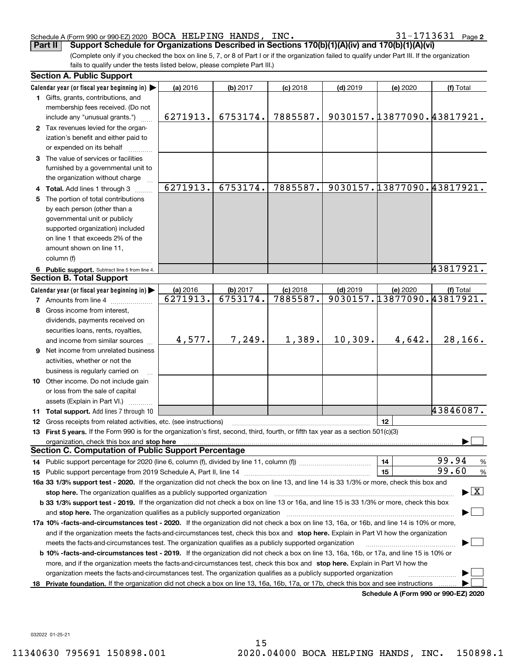#### Schedule A (Form 990 or 990-EZ) 2020 BOCA HELPING HANDS, INC。 3I-I7I3b3l Page BOCA HELPING HANDS, INC. 31-1713631

31-1713631 Page 2

(Complete only if you checked the box on line 5, 7, or 8 of Part I or if the organization failed to qualify under Part III. If the organization fails to qualify under the tests listed below, please complete Part III.) **Part II Support Schedule for Organizations Described in Sections 170(b)(1)(A)(iv) and 170(b)(1)(A)(vi)**

| Calendar year (or fiscal year beginning in) $\blacktriangleright$<br>(a) 2016<br>(b) 2017<br>$(c)$ 2018<br>$(d)$ 2019<br>(e) 2020<br>(f) Total<br>1 Gifts, grants, contributions, and<br>membership fees received. (Do not<br>9030157.13877090.43817921.<br>6753174.<br>7885587.<br>6271913.<br>include any "unusual grants.")<br>2 Tax revenues levied for the organ-<br>ization's benefit and either paid to<br>or expended on its behalf<br>3 The value of services or facilities<br>furnished by a governmental unit to<br>the organization without charge<br>6271913.<br>9030157.13877090.43817921.<br>6753174.<br>7885587.<br>4 Total. Add lines 1 through 3<br>The portion of total contributions<br>5.<br>by each person (other than a<br>governmental unit or publicly<br>supported organization) included<br>on line 1 that exceeds 2% of the<br>amount shown on line 11,<br>column (f)<br>43817921.<br>6 Public support. Subtract line 5 from line 4.<br><b>Section B. Total Support</b><br>Calendar year (or fiscal year beginning in)<br>(b) 2017<br>$(d)$ 2019<br>(e) 2020<br>(a) 2016<br>$(c)$ 2018<br>(f) Total<br>9030157.13877090.43817921.<br>6271913.<br>6753174.<br>7885587.<br><b>7</b> Amounts from line 4<br>Gross income from interest,<br>8<br>dividends, payments received on<br>securities loans, rents, royalties,<br>10, 309.<br>28,166.<br>4,577.<br>7,249.<br>1,389.<br>4,642.<br>and income from similar sources<br><b>9</b> Net income from unrelated business<br>activities, whether or not the<br>business is regularly carried on<br>10 Other income. Do not include gain<br>or loss from the sale of capital<br>assets (Explain in Part VI.)<br>43846087.<br>11 Total support. Add lines 7 through 10<br>12<br>12 Gross receipts from related activities, etc. (see instructions)<br>13 First 5 years. If the Form 990 is for the organization's first, second, third, fourth, or fifth tax year as a section 501(c)(3)<br>organization, check this box and stop here manufactured and according to the state of the state of the state of the state of the state of the state of the state of the state of the state of the state of the state of the st<br><b>Section C. Computation of Public Support Percentage</b><br>99.94<br>14<br>% |                                                                                                                                       |  |  |                                      |  |
|-----------------------------------------------------------------------------------------------------------------------------------------------------------------------------------------------------------------------------------------------------------------------------------------------------------------------------------------------------------------------------------------------------------------------------------------------------------------------------------------------------------------------------------------------------------------------------------------------------------------------------------------------------------------------------------------------------------------------------------------------------------------------------------------------------------------------------------------------------------------------------------------------------------------------------------------------------------------------------------------------------------------------------------------------------------------------------------------------------------------------------------------------------------------------------------------------------------------------------------------------------------------------------------------------------------------------------------------------------------------------------------------------------------------------------------------------------------------------------------------------------------------------------------------------------------------------------------------------------------------------------------------------------------------------------------------------------------------------------------------------------------------------------------------------------------------------------------------------------------------------------------------------------------------------------------------------------------------------------------------------------------------------------------------------------------------------------------------------------------------------------------------------------------------------------------------------------------------------------------------------------------------------------------|---------------------------------------------------------------------------------------------------------------------------------------|--|--|--------------------------------------|--|
|                                                                                                                                                                                                                                                                                                                                                                                                                                                                                                                                                                                                                                                                                                                                                                                                                                                                                                                                                                                                                                                                                                                                                                                                                                                                                                                                                                                                                                                                                                                                                                                                                                                                                                                                                                                                                                                                                                                                                                                                                                                                                                                                                                                                                                                                                   |                                                                                                                                       |  |  |                                      |  |
|                                                                                                                                                                                                                                                                                                                                                                                                                                                                                                                                                                                                                                                                                                                                                                                                                                                                                                                                                                                                                                                                                                                                                                                                                                                                                                                                                                                                                                                                                                                                                                                                                                                                                                                                                                                                                                                                                                                                                                                                                                                                                                                                                                                                                                                                                   |                                                                                                                                       |  |  |                                      |  |
|                                                                                                                                                                                                                                                                                                                                                                                                                                                                                                                                                                                                                                                                                                                                                                                                                                                                                                                                                                                                                                                                                                                                                                                                                                                                                                                                                                                                                                                                                                                                                                                                                                                                                                                                                                                                                                                                                                                                                                                                                                                                                                                                                                                                                                                                                   |                                                                                                                                       |  |  |                                      |  |
|                                                                                                                                                                                                                                                                                                                                                                                                                                                                                                                                                                                                                                                                                                                                                                                                                                                                                                                                                                                                                                                                                                                                                                                                                                                                                                                                                                                                                                                                                                                                                                                                                                                                                                                                                                                                                                                                                                                                                                                                                                                                                                                                                                                                                                                                                   |                                                                                                                                       |  |  |                                      |  |
|                                                                                                                                                                                                                                                                                                                                                                                                                                                                                                                                                                                                                                                                                                                                                                                                                                                                                                                                                                                                                                                                                                                                                                                                                                                                                                                                                                                                                                                                                                                                                                                                                                                                                                                                                                                                                                                                                                                                                                                                                                                                                                                                                                                                                                                                                   |                                                                                                                                       |  |  |                                      |  |
|                                                                                                                                                                                                                                                                                                                                                                                                                                                                                                                                                                                                                                                                                                                                                                                                                                                                                                                                                                                                                                                                                                                                                                                                                                                                                                                                                                                                                                                                                                                                                                                                                                                                                                                                                                                                                                                                                                                                                                                                                                                                                                                                                                                                                                                                                   |                                                                                                                                       |  |  |                                      |  |
|                                                                                                                                                                                                                                                                                                                                                                                                                                                                                                                                                                                                                                                                                                                                                                                                                                                                                                                                                                                                                                                                                                                                                                                                                                                                                                                                                                                                                                                                                                                                                                                                                                                                                                                                                                                                                                                                                                                                                                                                                                                                                                                                                                                                                                                                                   |                                                                                                                                       |  |  |                                      |  |
|                                                                                                                                                                                                                                                                                                                                                                                                                                                                                                                                                                                                                                                                                                                                                                                                                                                                                                                                                                                                                                                                                                                                                                                                                                                                                                                                                                                                                                                                                                                                                                                                                                                                                                                                                                                                                                                                                                                                                                                                                                                                                                                                                                                                                                                                                   |                                                                                                                                       |  |  |                                      |  |
|                                                                                                                                                                                                                                                                                                                                                                                                                                                                                                                                                                                                                                                                                                                                                                                                                                                                                                                                                                                                                                                                                                                                                                                                                                                                                                                                                                                                                                                                                                                                                                                                                                                                                                                                                                                                                                                                                                                                                                                                                                                                                                                                                                                                                                                                                   |                                                                                                                                       |  |  |                                      |  |
|                                                                                                                                                                                                                                                                                                                                                                                                                                                                                                                                                                                                                                                                                                                                                                                                                                                                                                                                                                                                                                                                                                                                                                                                                                                                                                                                                                                                                                                                                                                                                                                                                                                                                                                                                                                                                                                                                                                                                                                                                                                                                                                                                                                                                                                                                   |                                                                                                                                       |  |  |                                      |  |
|                                                                                                                                                                                                                                                                                                                                                                                                                                                                                                                                                                                                                                                                                                                                                                                                                                                                                                                                                                                                                                                                                                                                                                                                                                                                                                                                                                                                                                                                                                                                                                                                                                                                                                                                                                                                                                                                                                                                                                                                                                                                                                                                                                                                                                                                                   |                                                                                                                                       |  |  |                                      |  |
|                                                                                                                                                                                                                                                                                                                                                                                                                                                                                                                                                                                                                                                                                                                                                                                                                                                                                                                                                                                                                                                                                                                                                                                                                                                                                                                                                                                                                                                                                                                                                                                                                                                                                                                                                                                                                                                                                                                                                                                                                                                                                                                                                                                                                                                                                   |                                                                                                                                       |  |  |                                      |  |
|                                                                                                                                                                                                                                                                                                                                                                                                                                                                                                                                                                                                                                                                                                                                                                                                                                                                                                                                                                                                                                                                                                                                                                                                                                                                                                                                                                                                                                                                                                                                                                                                                                                                                                                                                                                                                                                                                                                                                                                                                                                                                                                                                                                                                                                                                   |                                                                                                                                       |  |  |                                      |  |
|                                                                                                                                                                                                                                                                                                                                                                                                                                                                                                                                                                                                                                                                                                                                                                                                                                                                                                                                                                                                                                                                                                                                                                                                                                                                                                                                                                                                                                                                                                                                                                                                                                                                                                                                                                                                                                                                                                                                                                                                                                                                                                                                                                                                                                                                                   |                                                                                                                                       |  |  |                                      |  |
|                                                                                                                                                                                                                                                                                                                                                                                                                                                                                                                                                                                                                                                                                                                                                                                                                                                                                                                                                                                                                                                                                                                                                                                                                                                                                                                                                                                                                                                                                                                                                                                                                                                                                                                                                                                                                                                                                                                                                                                                                                                                                                                                                                                                                                                                                   |                                                                                                                                       |  |  |                                      |  |
|                                                                                                                                                                                                                                                                                                                                                                                                                                                                                                                                                                                                                                                                                                                                                                                                                                                                                                                                                                                                                                                                                                                                                                                                                                                                                                                                                                                                                                                                                                                                                                                                                                                                                                                                                                                                                                                                                                                                                                                                                                                                                                                                                                                                                                                                                   |                                                                                                                                       |  |  |                                      |  |
|                                                                                                                                                                                                                                                                                                                                                                                                                                                                                                                                                                                                                                                                                                                                                                                                                                                                                                                                                                                                                                                                                                                                                                                                                                                                                                                                                                                                                                                                                                                                                                                                                                                                                                                                                                                                                                                                                                                                                                                                                                                                                                                                                                                                                                                                                   |                                                                                                                                       |  |  |                                      |  |
|                                                                                                                                                                                                                                                                                                                                                                                                                                                                                                                                                                                                                                                                                                                                                                                                                                                                                                                                                                                                                                                                                                                                                                                                                                                                                                                                                                                                                                                                                                                                                                                                                                                                                                                                                                                                                                                                                                                                                                                                                                                                                                                                                                                                                                                                                   |                                                                                                                                       |  |  |                                      |  |
|                                                                                                                                                                                                                                                                                                                                                                                                                                                                                                                                                                                                                                                                                                                                                                                                                                                                                                                                                                                                                                                                                                                                                                                                                                                                                                                                                                                                                                                                                                                                                                                                                                                                                                                                                                                                                                                                                                                                                                                                                                                                                                                                                                                                                                                                                   |                                                                                                                                       |  |  |                                      |  |
|                                                                                                                                                                                                                                                                                                                                                                                                                                                                                                                                                                                                                                                                                                                                                                                                                                                                                                                                                                                                                                                                                                                                                                                                                                                                                                                                                                                                                                                                                                                                                                                                                                                                                                                                                                                                                                                                                                                                                                                                                                                                                                                                                                                                                                                                                   |                                                                                                                                       |  |  |                                      |  |
|                                                                                                                                                                                                                                                                                                                                                                                                                                                                                                                                                                                                                                                                                                                                                                                                                                                                                                                                                                                                                                                                                                                                                                                                                                                                                                                                                                                                                                                                                                                                                                                                                                                                                                                                                                                                                                                                                                                                                                                                                                                                                                                                                                                                                                                                                   |                                                                                                                                       |  |  |                                      |  |
|                                                                                                                                                                                                                                                                                                                                                                                                                                                                                                                                                                                                                                                                                                                                                                                                                                                                                                                                                                                                                                                                                                                                                                                                                                                                                                                                                                                                                                                                                                                                                                                                                                                                                                                                                                                                                                                                                                                                                                                                                                                                                                                                                                                                                                                                                   |                                                                                                                                       |  |  |                                      |  |
|                                                                                                                                                                                                                                                                                                                                                                                                                                                                                                                                                                                                                                                                                                                                                                                                                                                                                                                                                                                                                                                                                                                                                                                                                                                                                                                                                                                                                                                                                                                                                                                                                                                                                                                                                                                                                                                                                                                                                                                                                                                                                                                                                                                                                                                                                   |                                                                                                                                       |  |  |                                      |  |
|                                                                                                                                                                                                                                                                                                                                                                                                                                                                                                                                                                                                                                                                                                                                                                                                                                                                                                                                                                                                                                                                                                                                                                                                                                                                                                                                                                                                                                                                                                                                                                                                                                                                                                                                                                                                                                                                                                                                                                                                                                                                                                                                                                                                                                                                                   |                                                                                                                                       |  |  |                                      |  |
|                                                                                                                                                                                                                                                                                                                                                                                                                                                                                                                                                                                                                                                                                                                                                                                                                                                                                                                                                                                                                                                                                                                                                                                                                                                                                                                                                                                                                                                                                                                                                                                                                                                                                                                                                                                                                                                                                                                                                                                                                                                                                                                                                                                                                                                                                   |                                                                                                                                       |  |  |                                      |  |
|                                                                                                                                                                                                                                                                                                                                                                                                                                                                                                                                                                                                                                                                                                                                                                                                                                                                                                                                                                                                                                                                                                                                                                                                                                                                                                                                                                                                                                                                                                                                                                                                                                                                                                                                                                                                                                                                                                                                                                                                                                                                                                                                                                                                                                                                                   |                                                                                                                                       |  |  |                                      |  |
|                                                                                                                                                                                                                                                                                                                                                                                                                                                                                                                                                                                                                                                                                                                                                                                                                                                                                                                                                                                                                                                                                                                                                                                                                                                                                                                                                                                                                                                                                                                                                                                                                                                                                                                                                                                                                                                                                                                                                                                                                                                                                                                                                                                                                                                                                   |                                                                                                                                       |  |  |                                      |  |
|                                                                                                                                                                                                                                                                                                                                                                                                                                                                                                                                                                                                                                                                                                                                                                                                                                                                                                                                                                                                                                                                                                                                                                                                                                                                                                                                                                                                                                                                                                                                                                                                                                                                                                                                                                                                                                                                                                                                                                                                                                                                                                                                                                                                                                                                                   |                                                                                                                                       |  |  |                                      |  |
|                                                                                                                                                                                                                                                                                                                                                                                                                                                                                                                                                                                                                                                                                                                                                                                                                                                                                                                                                                                                                                                                                                                                                                                                                                                                                                                                                                                                                                                                                                                                                                                                                                                                                                                                                                                                                                                                                                                                                                                                                                                                                                                                                                                                                                                                                   |                                                                                                                                       |  |  |                                      |  |
|                                                                                                                                                                                                                                                                                                                                                                                                                                                                                                                                                                                                                                                                                                                                                                                                                                                                                                                                                                                                                                                                                                                                                                                                                                                                                                                                                                                                                                                                                                                                                                                                                                                                                                                                                                                                                                                                                                                                                                                                                                                                                                                                                                                                                                                                                   |                                                                                                                                       |  |  |                                      |  |
|                                                                                                                                                                                                                                                                                                                                                                                                                                                                                                                                                                                                                                                                                                                                                                                                                                                                                                                                                                                                                                                                                                                                                                                                                                                                                                                                                                                                                                                                                                                                                                                                                                                                                                                                                                                                                                                                                                                                                                                                                                                                                                                                                                                                                                                                                   |                                                                                                                                       |  |  |                                      |  |
|                                                                                                                                                                                                                                                                                                                                                                                                                                                                                                                                                                                                                                                                                                                                                                                                                                                                                                                                                                                                                                                                                                                                                                                                                                                                                                                                                                                                                                                                                                                                                                                                                                                                                                                                                                                                                                                                                                                                                                                                                                                                                                                                                                                                                                                                                   |                                                                                                                                       |  |  |                                      |  |
|                                                                                                                                                                                                                                                                                                                                                                                                                                                                                                                                                                                                                                                                                                                                                                                                                                                                                                                                                                                                                                                                                                                                                                                                                                                                                                                                                                                                                                                                                                                                                                                                                                                                                                                                                                                                                                                                                                                                                                                                                                                                                                                                                                                                                                                                                   |                                                                                                                                       |  |  |                                      |  |
|                                                                                                                                                                                                                                                                                                                                                                                                                                                                                                                                                                                                                                                                                                                                                                                                                                                                                                                                                                                                                                                                                                                                                                                                                                                                                                                                                                                                                                                                                                                                                                                                                                                                                                                                                                                                                                                                                                                                                                                                                                                                                                                                                                                                                                                                                   |                                                                                                                                       |  |  |                                      |  |
|                                                                                                                                                                                                                                                                                                                                                                                                                                                                                                                                                                                                                                                                                                                                                                                                                                                                                                                                                                                                                                                                                                                                                                                                                                                                                                                                                                                                                                                                                                                                                                                                                                                                                                                                                                                                                                                                                                                                                                                                                                                                                                                                                                                                                                                                                   |                                                                                                                                       |  |  |                                      |  |
|                                                                                                                                                                                                                                                                                                                                                                                                                                                                                                                                                                                                                                                                                                                                                                                                                                                                                                                                                                                                                                                                                                                                                                                                                                                                                                                                                                                                                                                                                                                                                                                                                                                                                                                                                                                                                                                                                                                                                                                                                                                                                                                                                                                                                                                                                   |                                                                                                                                       |  |  |                                      |  |
|                                                                                                                                                                                                                                                                                                                                                                                                                                                                                                                                                                                                                                                                                                                                                                                                                                                                                                                                                                                                                                                                                                                                                                                                                                                                                                                                                                                                                                                                                                                                                                                                                                                                                                                                                                                                                                                                                                                                                                                                                                                                                                                                                                                                                                                                                   |                                                                                                                                       |  |  |                                      |  |
|                                                                                                                                                                                                                                                                                                                                                                                                                                                                                                                                                                                                                                                                                                                                                                                                                                                                                                                                                                                                                                                                                                                                                                                                                                                                                                                                                                                                                                                                                                                                                                                                                                                                                                                                                                                                                                                                                                                                                                                                                                                                                                                                                                                                                                                                                   |                                                                                                                                       |  |  |                                      |  |
|                                                                                                                                                                                                                                                                                                                                                                                                                                                                                                                                                                                                                                                                                                                                                                                                                                                                                                                                                                                                                                                                                                                                                                                                                                                                                                                                                                                                                                                                                                                                                                                                                                                                                                                                                                                                                                                                                                                                                                                                                                                                                                                                                                                                                                                                                   |                                                                                                                                       |  |  |                                      |  |
| 99.60<br>15<br>$\%$                                                                                                                                                                                                                                                                                                                                                                                                                                                                                                                                                                                                                                                                                                                                                                                                                                                                                                                                                                                                                                                                                                                                                                                                                                                                                                                                                                                                                                                                                                                                                                                                                                                                                                                                                                                                                                                                                                                                                                                                                                                                                                                                                                                                                                                               |                                                                                                                                       |  |  |                                      |  |
| 16a 33 1/3% support test - 2020. If the organization did not check the box on line 13, and line 14 is 33 1/3% or more, check this box and                                                                                                                                                                                                                                                                                                                                                                                                                                                                                                                                                                                                                                                                                                                                                                                                                                                                                                                                                                                                                                                                                                                                                                                                                                                                                                                                                                                                                                                                                                                                                                                                                                                                                                                                                                                                                                                                                                                                                                                                                                                                                                                                         |                                                                                                                                       |  |  |                                      |  |
| $\blacktriangleright$ $\boxed{\text{X}}$<br>stop here. The organization qualifies as a publicly supported organization                                                                                                                                                                                                                                                                                                                                                                                                                                                                                                                                                                                                                                                                                                                                                                                                                                                                                                                                                                                                                                                                                                                                                                                                                                                                                                                                                                                                                                                                                                                                                                                                                                                                                                                                                                                                                                                                                                                                                                                                                                                                                                                                                            |                                                                                                                                       |  |  |                                      |  |
| b 33 1/3% support test - 2019. If the organization did not check a box on line 13 or 16a, and line 15 is 33 1/3% or more, check this box                                                                                                                                                                                                                                                                                                                                                                                                                                                                                                                                                                                                                                                                                                                                                                                                                                                                                                                                                                                                                                                                                                                                                                                                                                                                                                                                                                                                                                                                                                                                                                                                                                                                                                                                                                                                                                                                                                                                                                                                                                                                                                                                          |                                                                                                                                       |  |  |                                      |  |
| and stop here. The organization qualifies as a publicly supported organization                                                                                                                                                                                                                                                                                                                                                                                                                                                                                                                                                                                                                                                                                                                                                                                                                                                                                                                                                                                                                                                                                                                                                                                                                                                                                                                                                                                                                                                                                                                                                                                                                                                                                                                                                                                                                                                                                                                                                                                                                                                                                                                                                                                                    |                                                                                                                                       |  |  |                                      |  |
| 17a 10% -facts-and-circumstances test - 2020. If the organization did not check a box on line 13, 16a, or 16b, and line 14 is 10% or more,                                                                                                                                                                                                                                                                                                                                                                                                                                                                                                                                                                                                                                                                                                                                                                                                                                                                                                                                                                                                                                                                                                                                                                                                                                                                                                                                                                                                                                                                                                                                                                                                                                                                                                                                                                                                                                                                                                                                                                                                                                                                                                                                        |                                                                                                                                       |  |  |                                      |  |
| and if the organization meets the facts-and-circumstances test, check this box and stop here. Explain in Part VI how the organization                                                                                                                                                                                                                                                                                                                                                                                                                                                                                                                                                                                                                                                                                                                                                                                                                                                                                                                                                                                                                                                                                                                                                                                                                                                                                                                                                                                                                                                                                                                                                                                                                                                                                                                                                                                                                                                                                                                                                                                                                                                                                                                                             |                                                                                                                                       |  |  |                                      |  |
| meets the facts-and-circumstances test. The organization qualifies as a publicly supported organization                                                                                                                                                                                                                                                                                                                                                                                                                                                                                                                                                                                                                                                                                                                                                                                                                                                                                                                                                                                                                                                                                                                                                                                                                                                                                                                                                                                                                                                                                                                                                                                                                                                                                                                                                                                                                                                                                                                                                                                                                                                                                                                                                                           |                                                                                                                                       |  |  |                                      |  |
| <b>b 10% -facts-and-circumstances test - 2019.</b> If the organization did not check a box on line 13, 16a, 16b, or 17a, and line 15 is 10% or                                                                                                                                                                                                                                                                                                                                                                                                                                                                                                                                                                                                                                                                                                                                                                                                                                                                                                                                                                                                                                                                                                                                                                                                                                                                                                                                                                                                                                                                                                                                                                                                                                                                                                                                                                                                                                                                                                                                                                                                                                                                                                                                    |                                                                                                                                       |  |  |                                      |  |
| more, and if the organization meets the facts-and-circumstances test, check this box and stop here. Explain in Part VI how the                                                                                                                                                                                                                                                                                                                                                                                                                                                                                                                                                                                                                                                                                                                                                                                                                                                                                                                                                                                                                                                                                                                                                                                                                                                                                                                                                                                                                                                                                                                                                                                                                                                                                                                                                                                                                                                                                                                                                                                                                                                                                                                                                    |                                                                                                                                       |  |  |                                      |  |
| organization meets the facts-and-circumstances test. The organization qualifies as a publicly supported organization                                                                                                                                                                                                                                                                                                                                                                                                                                                                                                                                                                                                                                                                                                                                                                                                                                                                                                                                                                                                                                                                                                                                                                                                                                                                                                                                                                                                                                                                                                                                                                                                                                                                                                                                                                                                                                                                                                                                                                                                                                                                                                                                                              |                                                                                                                                       |  |  |                                      |  |
|                                                                                                                                                                                                                                                                                                                                                                                                                                                                                                                                                                                                                                                                                                                                                                                                                                                                                                                                                                                                                                                                                                                                                                                                                                                                                                                                                                                                                                                                                                                                                                                                                                                                                                                                                                                                                                                                                                                                                                                                                                                                                                                                                                                                                                                                                   | 18 Private foundation. If the organization did not check a box on line 13, 16a, 16b, 17a, or 17b, check this box and see instructions |  |  | Schodule A (Form 000 or 000 EZ) 2020 |  |

**Schedule A (Form 990 or 990-EZ) 2020**

032022 01-25-21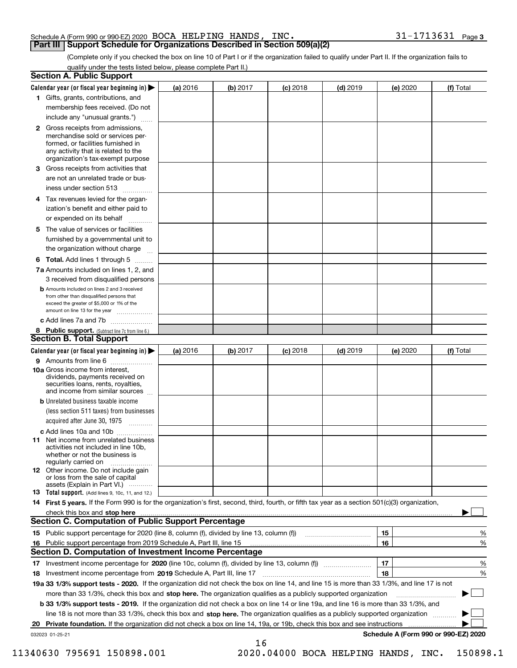#### Schedule A (Form 990 or 990-EZ) 2020 Page BOCA HELPING HANDS, INC. 31-1713631 **Part III Support Schedule for Organizations Described in Section 509(a)(2)**

(Complete only if you checked the box on line 10 of Part I or if the organization failed to qualify under Part II. If the organization fails to qualify under the tests listed below, please complete Part II.)

| <b>Section A. Public Support</b>                                                                                                                                                                                                     |          |          |            |            |          |                                      |
|--------------------------------------------------------------------------------------------------------------------------------------------------------------------------------------------------------------------------------------|----------|----------|------------|------------|----------|--------------------------------------|
| Calendar year (or fiscal year beginning in) $\blacktriangleright$                                                                                                                                                                    | (a) 2016 | (b) 2017 | $(c)$ 2018 | $(d)$ 2019 | (e) 2020 | (f) Total                            |
| 1 Gifts, grants, contributions, and                                                                                                                                                                                                  |          |          |            |            |          |                                      |
| membership fees received. (Do not                                                                                                                                                                                                    |          |          |            |            |          |                                      |
| include any "unusual grants.")                                                                                                                                                                                                       |          |          |            |            |          |                                      |
| 2 Gross receipts from admissions,<br>merchandise sold or services per-<br>formed, or facilities furnished in<br>any activity that is related to the<br>organization's tax-exempt purpose                                             |          |          |            |            |          |                                      |
| 3 Gross receipts from activities that<br>are not an unrelated trade or bus-                                                                                                                                                          |          |          |            |            |          |                                      |
| iness under section 513                                                                                                                                                                                                              |          |          |            |            |          |                                      |
| 4 Tax revenues levied for the organ-<br>ization's benefit and either paid to<br>or expended on its behalf                                                                                                                            |          |          |            |            |          |                                      |
| .<br>5 The value of services or facilities                                                                                                                                                                                           |          |          |            |            |          |                                      |
| furnished by a governmental unit to<br>the organization without charge                                                                                                                                                               |          |          |            |            |          |                                      |
| <b>6 Total.</b> Add lines 1 through 5                                                                                                                                                                                                |          |          |            |            |          |                                      |
| 7a Amounts included on lines 1, 2, and<br>3 received from disqualified persons                                                                                                                                                       |          |          |            |            |          |                                      |
| <b>b</b> Amounts included on lines 2 and 3 received<br>from other than disqualified persons that<br>exceed the greater of \$5,000 or 1% of the<br>amount on line 13 for the year                                                     |          |          |            |            |          |                                      |
| c Add lines 7a and 7b                                                                                                                                                                                                                |          |          |            |            |          |                                      |
| 8 Public support. (Subtract line 7c from line 6.)                                                                                                                                                                                    |          |          |            |            |          |                                      |
| <b>Section B. Total Support</b>                                                                                                                                                                                                      |          |          |            |            |          |                                      |
| Calendar year (or fiscal year beginning in)                                                                                                                                                                                          | (a) 2016 | (b) 2017 | $(c)$ 2018 | $(d)$ 2019 | (e) 2020 | (f) Total                            |
| 9 Amounts from line 6                                                                                                                                                                                                                |          |          |            |            |          |                                      |
| 10a Gross income from interest,<br>dividends, payments received on<br>securities loans, rents, royalties,<br>and income from similar sources                                                                                         |          |          |            |            |          |                                      |
| <b>b</b> Unrelated business taxable income<br>(less section 511 taxes) from businesses<br>acquired after June 30, 1975                                                                                                               |          |          |            |            |          |                                      |
| c Add lines 10a and 10b                                                                                                                                                                                                              |          |          |            |            |          |                                      |
| <b>11</b> Net income from unrelated business<br>activities not included in line 10b,<br>whether or not the business is<br>regularly carried on                                                                                       |          |          |            |            |          |                                      |
| <b>12</b> Other income. Do not include gain<br>or loss from the sale of capital<br>assets (Explain in Part VI.)                                                                                                                      |          |          |            |            |          |                                      |
| <b>13</b> Total support. (Add lines 9, 10c, 11, and 12.)                                                                                                                                                                             |          |          |            |            |          |                                      |
| 14 First 5 years. If the Form 990 is for the organization's first, second, third, fourth, or fifth tax year as a section 501(c)(3) organization,                                                                                     |          |          |            |            |          |                                      |
| check this box and stop here <b>contract the contract of the contract of the state of the state of the state of the state of the state of the state of the state of the state of the state of the state of the state of the stat</b> |          |          |            |            |          |                                      |
| <b>Section C. Computation of Public Support Percentage</b>                                                                                                                                                                           |          |          |            |            |          |                                      |
|                                                                                                                                                                                                                                      |          |          |            |            | 15       | %                                    |
| 16 Public support percentage from 2019 Schedule A, Part III, line 15                                                                                                                                                                 |          |          |            |            | 16       | %                                    |
| <b>Section D. Computation of Investment Income Percentage</b>                                                                                                                                                                        |          |          |            |            |          |                                      |
| 17 Investment income percentage for 2020 (line 10c, column (f), divided by line 13, column (f))                                                                                                                                      |          |          |            |            | 17       | %                                    |
| 18 Investment income percentage from 2019 Schedule A, Part III, line 17                                                                                                                                                              |          |          |            |            | 18       | %                                    |
| 19a 33 1/3% support tests - 2020. If the organization did not check the box on line 14, and line 15 is more than 33 1/3%, and line 17 is not                                                                                         |          |          |            |            |          |                                      |
| more than 33 1/3%, check this box and stop here. The organization qualifies as a publicly supported organization                                                                                                                     |          |          |            |            |          | ▶                                    |
| b 33 1/3% support tests - 2019. If the organization did not check a box on line 14 or line 19a, and line 16 is more than 33 1/3%, and                                                                                                |          |          |            |            |          |                                      |
| line 18 is not more than 33 1/3%, check this box and stop here. The organization qualifies as a publicly supported organization                                                                                                      |          |          |            |            |          |                                      |
| 20 Private foundation. If the organization did not check a box on line 14, 19a, or 19b, check this box and see instructions                                                                                                          |          |          |            |            |          |                                      |
| 032023 01-25-21                                                                                                                                                                                                                      |          | 16       |            |            |          | Schedule A (Form 990 or 990-EZ) 2020 |

 <sup>11340630 795691 150898.001 2020.04000</sup> BOCA HELPING HANDS, INC. 150898.1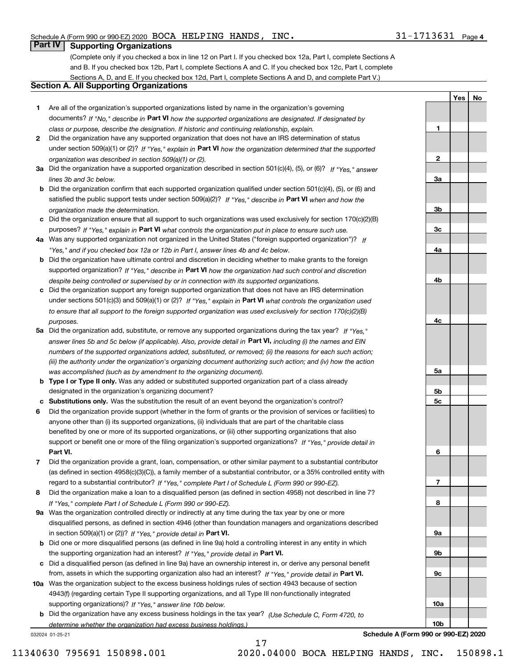**1**

**2**

**3a**

**3b**

**3c**

**4a**

**4b**

**4c**

**5a**

**5b5c**

**6**

**7**

**8**

**9a**

**9b**

**9c**

**10a**

**10b**

**YesNo**

### **Part IV Supporting Organizations**

(Complete only if you checked a box in line 12 on Part I. If you checked box 12a, Part I, complete Sections A and B. If you checked box 12b, Part I, complete Sections A and C. If you checked box 12c, Part I, complete Sections A, D, and E. If you checked box 12d, Part I, complete Sections A and D, and complete Part V.)

### **Section A. All Supporting Organizations**

- **1** Are all of the organization's supported organizations listed by name in the organization's governing documents? If "No," describe in **Part VI** how the supported organizations are designated. If designated by *class or purpose, describe the designation. If historic and continuing relationship, explain.*
- **2** Did the organization have any supported organization that does not have an IRS determination of status under section 509(a)(1) or (2)? If "Yes," explain in Part VI how the organization determined that the supported *organization was described in section 509(a)(1) or (2).*
- **3a** Did the organization have a supported organization described in section 501(c)(4), (5), or (6)? If "Yes," answer *lines 3b and 3c below.*
- **b** Did the organization confirm that each supported organization qualified under section 501(c)(4), (5), or (6) and satisfied the public support tests under section 509(a)(2)? If "Yes," describe in **Part VI** when and how the *organization made the determination.*
- **c**Did the organization ensure that all support to such organizations was used exclusively for section 170(c)(2)(B) purposes? If "Yes," explain in **Part VI** what controls the organization put in place to ensure such use.
- **4a***If* Was any supported organization not organized in the United States ("foreign supported organization")? *"Yes," and if you checked box 12a or 12b in Part I, answer lines 4b and 4c below.*
- **b** Did the organization have ultimate control and discretion in deciding whether to make grants to the foreign supported organization? If "Yes," describe in **Part VI** how the organization had such control and discretion *despite being controlled or supervised by or in connection with its supported organizations.*
- **c** Did the organization support any foreign supported organization that does not have an IRS determination under sections 501(c)(3) and 509(a)(1) or (2)? If "Yes," explain in **Part VI** what controls the organization used *to ensure that all support to the foreign supported organization was used exclusively for section 170(c)(2)(B) purposes.*
- **5a** Did the organization add, substitute, or remove any supported organizations during the tax year? If "Yes," answer lines 5b and 5c below (if applicable). Also, provide detail in **Part VI,** including (i) the names and EIN *numbers of the supported organizations added, substituted, or removed; (ii) the reasons for each such action; (iii) the authority under the organization's organizing document authorizing such action; and (iv) how the action was accomplished (such as by amendment to the organizing document).*
- **b** Type I or Type II only. Was any added or substituted supported organization part of a class already designated in the organization's organizing document?
- **cSubstitutions only.**  Was the substitution the result of an event beyond the organization's control?
- **6** Did the organization provide support (whether in the form of grants or the provision of services or facilities) to **Part VI.** *If "Yes," provide detail in* support or benefit one or more of the filing organization's supported organizations? anyone other than (i) its supported organizations, (ii) individuals that are part of the charitable class benefited by one or more of its supported organizations, or (iii) other supporting organizations that also
- **7**Did the organization provide a grant, loan, compensation, or other similar payment to a substantial contributor *If "Yes," complete Part I of Schedule L (Form 990 or 990-EZ).* regard to a substantial contributor? (as defined in section 4958(c)(3)(C)), a family member of a substantial contributor, or a 35% controlled entity with
- **8** Did the organization make a loan to a disqualified person (as defined in section 4958) not described in line 7? *If "Yes," complete Part I of Schedule L (Form 990 or 990-EZ).*
- **9a** Was the organization controlled directly or indirectly at any time during the tax year by one or more in section 509(a)(1) or (2))? If "Yes," *provide detail in* <code>Part VI.</code> disqualified persons, as defined in section 4946 (other than foundation managers and organizations described
- **b** Did one or more disqualified persons (as defined in line 9a) hold a controlling interest in any entity in which the supporting organization had an interest? If "Yes," provide detail in P**art VI**.
- **c**Did a disqualified person (as defined in line 9a) have an ownership interest in, or derive any personal benefit from, assets in which the supporting organization also had an interest? If "Yes," provide detail in P**art VI.**
- **10a** Was the organization subject to the excess business holdings rules of section 4943 because of section supporting organizations)? If "Yes," answer line 10b below. 4943(f) (regarding certain Type II supporting organizations, and all Type III non-functionally integrated
- **b** Did the organization have any excess business holdings in the tax year? (Use Schedule C, Form 4720, to *determine whether the organization had excess business holdings.)*

17

032024 01-25-21

**Schedule A (Form 990 or 990-EZ) 2020**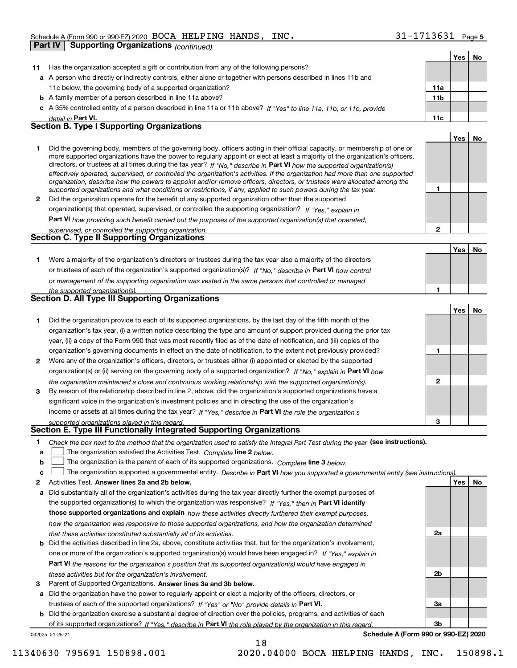|              |                                                                                                                                                                                                                         |                | Yes | No |
|--------------|-------------------------------------------------------------------------------------------------------------------------------------------------------------------------------------------------------------------------|----------------|-----|----|
| 11           | Has the organization accepted a gift or contribution from any of the following persons?                                                                                                                                 |                |     |    |
|              | a A person who directly or indirectly controls, either alone or together with persons described in lines 11b and                                                                                                        |                |     |    |
|              | 11c below, the governing body of a supported organization?                                                                                                                                                              | 11a            |     |    |
|              | <b>b</b> A family member of a person described in line 11a above?                                                                                                                                                       | 11b            |     |    |
| с            | A 35% controlled entity of a person described in line 11a or 11b above? If "Yes" to line 11a, 11b, or 11c, provide                                                                                                      |                |     |    |
|              | detail in Part VI.<br>Section B. Type I Supporting Organizations                                                                                                                                                        | 11c            |     |    |
|              |                                                                                                                                                                                                                         |                |     |    |
| 1            | Did the governing body, members of the governing body, officers acting in their official capacity, or membership of one or                                                                                              |                | Yes | No |
|              | more supported organizations have the power to regularly appoint or elect at least a majority of the organization's officers,                                                                                           |                |     |    |
|              | directors, or trustees at all times during the tax year? If "No," describe in Part VI how the supported organization(s)                                                                                                 |                |     |    |
|              | effectively operated, supervised, or controlled the organization's activities. If the organization had more than one supported                                                                                          |                |     |    |
|              | organization, describe how the powers to appoint and/or remove officers, directors, or trustees were allocated among the                                                                                                | 1              |     |    |
| $\mathbf{2}$ | supported organizations and what conditions or restrictions, if any, applied to such powers during the tax year.<br>Did the organization operate for the benefit of any supported organization other than the supported |                |     |    |
|              | organization(s) that operated, supervised, or controlled the supporting organization? If "Yes," explain in                                                                                                              |                |     |    |
|              |                                                                                                                                                                                                                         |                |     |    |
|              | Part VI how providing such benefit carried out the purposes of the supported organization(s) that operated,                                                                                                             | $\mathbf{2}$   |     |    |
|              | supervised, or controlled the supporting organization.<br>Section C. Type II Supporting Organizations                                                                                                                   |                |     |    |
|              |                                                                                                                                                                                                                         |                | Yes | No |
| 1.           | Were a majority of the organization's directors or trustees during the tax year also a majority of the directors                                                                                                        |                |     |    |
|              | or trustees of each of the organization's supported organization(s)? If "No," describe in Part VI how control                                                                                                           |                |     |    |
|              | or management of the supporting organization was vested in the same persons that controlled or managed                                                                                                                  |                |     |    |
|              | the supported organization(s).                                                                                                                                                                                          | 1              |     |    |
|              | Section D. All Type III Supporting Organizations                                                                                                                                                                        |                |     |    |
|              |                                                                                                                                                                                                                         |                | Yes | No |
| 1.           | Did the organization provide to each of its supported organizations, by the last day of the fifth month of the                                                                                                          |                |     |    |
|              | organization's tax year, (i) a written notice describing the type and amount of support provided during the prior tax                                                                                                   |                |     |    |
|              | year, (ii) a copy of the Form 990 that was most recently filed as of the date of notification, and (iii) copies of the                                                                                                  |                |     |    |
|              | organization's governing documents in effect on the date of notification, to the extent not previously provided?                                                                                                        | 1              |     |    |
| 2            | Were any of the organization's officers, directors, or trustees either (i) appointed or elected by the supported                                                                                                        |                |     |    |
|              | organization(s) or (ii) serving on the governing body of a supported organization? If "No," explain in Part VI how                                                                                                      |                |     |    |
|              | the organization maintained a close and continuous working relationship with the supported organization(s).                                                                                                             | $\mathbf{2}$   |     |    |
| 3            | By reason of the relationship described in line 2, above, did the organization's supported organizations have a                                                                                                         |                |     |    |
|              | significant voice in the organization's investment policies and in directing the use of the organization's                                                                                                              |                |     |    |
|              | income or assets at all times during the tax year? If "Yes," describe in Part VI the role the organization's                                                                                                            |                |     |    |
|              | supported organizations played in this regard.                                                                                                                                                                          | 3              |     |    |
|              | Section E. Type III Functionally Integrated Supporting Organizations                                                                                                                                                    |                |     |    |
| 1            | Check the box next to the method that the organization used to satisfy the Integral Part Test during the year (see instructions).                                                                                       |                |     |    |
| a            | The organization satisfied the Activities Test. Complete line 2 below.                                                                                                                                                  |                |     |    |
| b            | The organization is the parent of each of its supported organizations. Complete line 3 below.                                                                                                                           |                |     |    |
| c            | The organization supported a governmental entity. Describe in Part VI how you supported a governmental entity (see instructions)                                                                                        |                |     |    |
| 2            | Activities Test. Answer lines 2a and 2b below.                                                                                                                                                                          |                | Yes | No |
| а            | Did substantially all of the organization's activities during the tax year directly further the exempt purposes of                                                                                                      |                |     |    |
|              | the supported organization(s) to which the organization was responsive? If "Yes," then in Part VI identify                                                                                                              |                |     |    |
|              | those supported organizations and explain how these activities directly furthered their exempt purposes,                                                                                                                |                |     |    |
|              | how the organization was responsive to those supported organizations, and how the organization determined                                                                                                               |                |     |    |
|              | that these activities constituted substantially all of its activities.                                                                                                                                                  | 2a             |     |    |
| b            | Did the activities described in line 2a, above, constitute activities that, but for the organization's involvement,                                                                                                     |                |     |    |
|              | one or more of the organization's supported organization(s) would have been engaged in? If "Yes," explain in                                                                                                            |                |     |    |
|              | Part VI the reasons for the organization's position that its supported organization(s) would have engaged in                                                                                                            |                |     |    |
|              | these activities but for the organization's involvement.                                                                                                                                                                | 2 <sub>b</sub> |     |    |
| з            | Parent of Supported Organizations. Answer lines 3a and 3b below.                                                                                                                                                        |                |     |    |
| a            | Did the organization have the power to regularly appoint or elect a majority of the officers, directors, or                                                                                                             |                |     |    |
|              | trustees of each of the supported organizations? If "Yes" or "No" provide details in Part VI.                                                                                                                           | За             |     |    |

**b** Did the organization exercise a substantial degree of direction over the policies, programs, and activities of each of its supported organizations? If "Yes," describe in Part VI the role played by the organization in this regard.

18

032025 01-25-21

**Schedule A (Form 990 or 990-EZ) 2020**

**3b**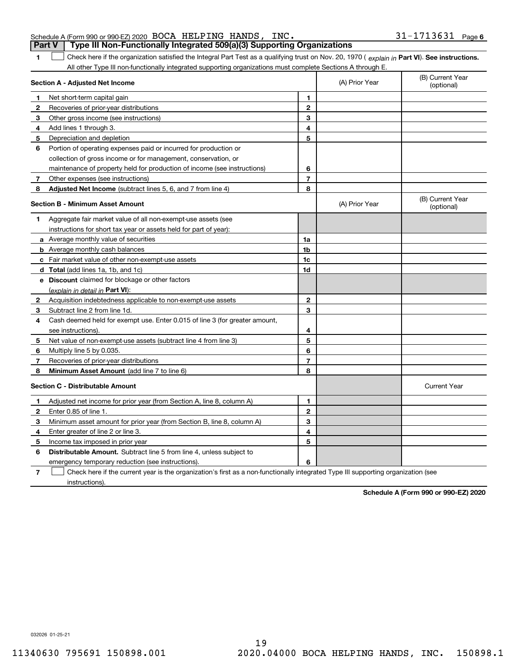| <b>Part V</b> Type III Non-Functionally Integrated 509(a)(3) Supporting Organizations |  |                   |  |
|---------------------------------------------------------------------------------------|--|-------------------|--|
| Schedule A (Form 990 or 990-EZ) 2020 BOCA HELPING HANDS, INC.                         |  | 31-1713631 Page 6 |  |

**1**1 Check here if the organization satisfied the Integral Part Test as a qualifying trust on Nov. 20, 1970 (explain in Part VI). See instructions. All other Type III non-functionally integrated supporting organizations must complete Sections A through E.

|              | Section A - Adjusted Net Income                                             |                | (A) Prior Year | (B) Current Year<br>(optional) |
|--------------|-----------------------------------------------------------------------------|----------------|----------------|--------------------------------|
| 1            | Net short-term capital gain                                                 | 1              |                |                                |
| 2            | Recoveries of prior-year distributions                                      | $\overline{2}$ |                |                                |
| з            | Other gross income (see instructions)                                       | 3              |                |                                |
| 4            | Add lines 1 through 3.                                                      | 4              |                |                                |
| 5            | Depreciation and depletion                                                  | 5              |                |                                |
| 6            | Portion of operating expenses paid or incurred for production or            |                |                |                                |
|              | collection of gross income or for management, conservation, or              |                |                |                                |
|              | maintenance of property held for production of income (see instructions)    | 6              |                |                                |
| 7            | Other expenses (see instructions)                                           | $\overline{7}$ |                |                                |
| 8            | Adjusted Net Income (subtract lines 5, 6, and 7 from line 4)                | 8              |                |                                |
|              | Section B - Minimum Asset Amount                                            |                | (A) Prior Year | (B) Current Year<br>(optional) |
| 1            | Aggregate fair market value of all non-exempt-use assets (see               |                |                |                                |
|              | instructions for short tax year or assets held for part of year):           |                |                |                                |
|              | <b>a</b> Average monthly value of securities                                | 1a             |                |                                |
|              | <b>b</b> Average monthly cash balances                                      | 1 <sub>b</sub> |                |                                |
|              | c Fair market value of other non-exempt-use assets                          | 1c             |                |                                |
|              | <b>d</b> Total (add lines 1a, 1b, and 1c)                                   | 1d             |                |                                |
|              | <b>e</b> Discount claimed for blockage or other factors                     |                |                |                                |
|              | (explain in detail in Part VI):                                             |                |                |                                |
| 2            | Acquisition indebtedness applicable to non-exempt-use assets                | $\overline{2}$ |                |                                |
| 3            | Subtract line 2 from line 1d.                                               | 3              |                |                                |
| 4            | Cash deemed held for exempt use. Enter 0.015 of line 3 (for greater amount, |                |                |                                |
|              | see instructions)                                                           | 4              |                |                                |
| 5            | Net value of non-exempt-use assets (subtract line 4 from line 3)            | 5              |                |                                |
| 6            | Multiply line 5 by 0.035.                                                   | 6              |                |                                |
| 7            | Recoveries of prior-year distributions                                      | $\overline{7}$ |                |                                |
| 8            | Minimum Asset Amount (add line 7 to line 6)                                 | 8              |                |                                |
|              | <b>Section C - Distributable Amount</b>                                     |                |                | <b>Current Year</b>            |
| 1            | Adjusted net income for prior year (from Section A, line 8, column A)       | 1              |                |                                |
| $\mathbf{2}$ | Enter 0.85 of line 1                                                        | $\overline{2}$ |                |                                |
| 3            | Minimum asset amount for prior year (from Section B, line 8, column A)      | 3              |                |                                |
| 4            | Enter greater of line 2 or line 3.                                          | 4              |                |                                |
| 5            | Income tax imposed in prior year                                            | 5              |                |                                |
| 6            | <b>Distributable Amount.</b> Subtract line 5 from line 4, unless subject to |                |                |                                |
|              | emergency temporary reduction (see instructions).                           | 6              |                |                                |
|              |                                                                             |                |                |                                |

**7**Check here if the current year is the organization's first as a non-functionally integrated Type III supporting organization (see instructions).

**Schedule A (Form 990 or 990-EZ) 2020**

032026 01-25-21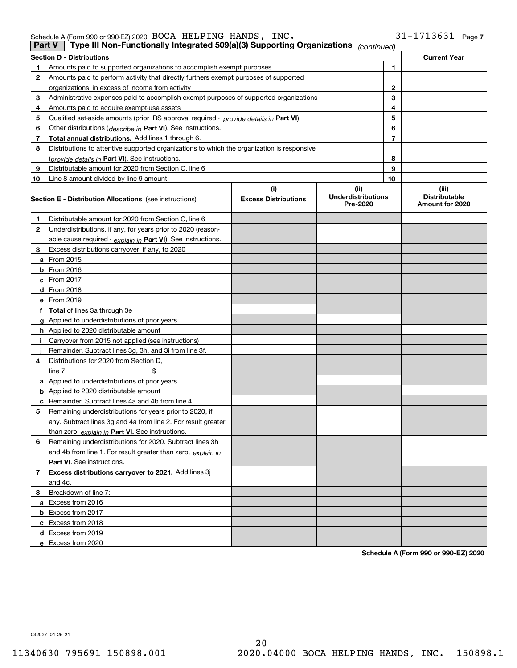| Schedule A (Form 990 or 990-EZ) 2020 $\,$ BOCA $\,$ HELPING $\,$ HANDS , |  | INC. | 31-1713631 | - $Paae^-$ |
|--------------------------------------------------------------------------|--|------|------------|------------|
|                                                                          |  |      |            |            |

| <b>Part V</b> | Type III Non-Functionally Integrated 509(a)(3) Supporting Organizations                    |                             | (continued)                           |    |                                         |  |  |  |  |
|---------------|--------------------------------------------------------------------------------------------|-----------------------------|---------------------------------------|----|-----------------------------------------|--|--|--|--|
|               | <b>Section D - Distributions</b><br><b>Current Year</b>                                    |                             |                                       |    |                                         |  |  |  |  |
| 1             | Amounts paid to supported organizations to accomplish exempt purposes                      |                             | 1                                     |    |                                         |  |  |  |  |
| 2             | Amounts paid to perform activity that directly furthers exempt purposes of supported       |                             |                                       |    |                                         |  |  |  |  |
|               | organizations, in excess of income from activity                                           |                             |                                       | 2  |                                         |  |  |  |  |
| 3             | Administrative expenses paid to accomplish exempt purposes of supported organizations      |                             |                                       | 3  |                                         |  |  |  |  |
| 4             | Amounts paid to acquire exempt-use assets                                                  |                             |                                       | 4  |                                         |  |  |  |  |
| 5             | Qualified set-aside amounts (prior IRS approval required - provide details in Part VI)     |                             |                                       | 5  |                                         |  |  |  |  |
| 6             | Other distributions (describe in Part VI). See instructions.                               |                             |                                       | 6  |                                         |  |  |  |  |
| 7             | Total annual distributions. Add lines 1 through 6.                                         |                             |                                       | 7  |                                         |  |  |  |  |
| 8             | Distributions to attentive supported organizations to which the organization is responsive |                             |                                       |    |                                         |  |  |  |  |
|               | (provide details in Part VI). See instructions.                                            |                             |                                       | 8  |                                         |  |  |  |  |
| 9             | Distributable amount for 2020 from Section C, line 6                                       |                             |                                       | 9  |                                         |  |  |  |  |
| 10            | Line 8 amount divided by line 9 amount                                                     |                             |                                       | 10 |                                         |  |  |  |  |
|               |                                                                                            | (i)                         | (ii)                                  |    | (iii)                                   |  |  |  |  |
|               | <b>Section E - Distribution Allocations</b> (see instructions)                             | <b>Excess Distributions</b> | <b>Underdistributions</b><br>Pre-2020 |    | <b>Distributable</b><br>Amount for 2020 |  |  |  |  |
| 1             | Distributable amount for 2020 from Section C, line 6                                       |                             |                                       |    |                                         |  |  |  |  |
| 2             | Underdistributions, if any, for years prior to 2020 (reason-                               |                             |                                       |    |                                         |  |  |  |  |
|               | able cause required - explain in Part VI). See instructions.                               |                             |                                       |    |                                         |  |  |  |  |
| 3             | Excess distributions carryover, if any, to 2020                                            |                             |                                       |    |                                         |  |  |  |  |
|               | <b>a</b> From 2015                                                                         |                             |                                       |    |                                         |  |  |  |  |
|               | <b>b</b> From 2016                                                                         |                             |                                       |    |                                         |  |  |  |  |
|               | c From 2017                                                                                |                             |                                       |    |                                         |  |  |  |  |
|               | <b>d</b> From 2018                                                                         |                             |                                       |    |                                         |  |  |  |  |
|               | e From 2019                                                                                |                             |                                       |    |                                         |  |  |  |  |
|               | f Total of lines 3a through 3e                                                             |                             |                                       |    |                                         |  |  |  |  |
|               | g Applied to underdistributions of prior years                                             |                             |                                       |    |                                         |  |  |  |  |
|               | <b>h</b> Applied to 2020 distributable amount                                              |                             |                                       |    |                                         |  |  |  |  |
|               | Carryover from 2015 not applied (see instructions)                                         |                             |                                       |    |                                         |  |  |  |  |
|               | Remainder. Subtract lines 3g, 3h, and 3i from line 3f.                                     |                             |                                       |    |                                         |  |  |  |  |
| 4             | Distributions for 2020 from Section D,                                                     |                             |                                       |    |                                         |  |  |  |  |
|               | line $7:$                                                                                  |                             |                                       |    |                                         |  |  |  |  |
|               | a Applied to underdistributions of prior years                                             |                             |                                       |    |                                         |  |  |  |  |
|               | <b>b</b> Applied to 2020 distributable amount                                              |                             |                                       |    |                                         |  |  |  |  |
|               | c Remainder. Subtract lines 4a and 4b from line 4.                                         |                             |                                       |    |                                         |  |  |  |  |
| 5             | Remaining underdistributions for years prior to 2020, if                                   |                             |                                       |    |                                         |  |  |  |  |
|               | any. Subtract lines 3g and 4a from line 2. For result greater                              |                             |                                       |    |                                         |  |  |  |  |
|               | than zero, explain in Part VI. See instructions.                                           |                             |                                       |    |                                         |  |  |  |  |
| 6             | Remaining underdistributions for 2020. Subtract lines 3h                                   |                             |                                       |    |                                         |  |  |  |  |
|               | and 4b from line 1. For result greater than zero, explain in                               |                             |                                       |    |                                         |  |  |  |  |
|               | Part VI. See instructions.                                                                 |                             |                                       |    |                                         |  |  |  |  |
| 7             | Excess distributions carryover to 2021. Add lines 3j                                       |                             |                                       |    |                                         |  |  |  |  |
|               | and 4c.                                                                                    |                             |                                       |    |                                         |  |  |  |  |
| 8             | Breakdown of line 7:                                                                       |                             |                                       |    |                                         |  |  |  |  |
|               | a Excess from 2016                                                                         |                             |                                       |    |                                         |  |  |  |  |
|               | <b>b</b> Excess from 2017                                                                  |                             |                                       |    |                                         |  |  |  |  |
|               | c Excess from 2018                                                                         |                             |                                       |    |                                         |  |  |  |  |
|               | d Excess from 2019                                                                         |                             |                                       |    |                                         |  |  |  |  |
|               | e Excess from 2020                                                                         |                             |                                       |    |                                         |  |  |  |  |

**Schedule A (Form 990 or 990-EZ) 2020**

032027 01-25-21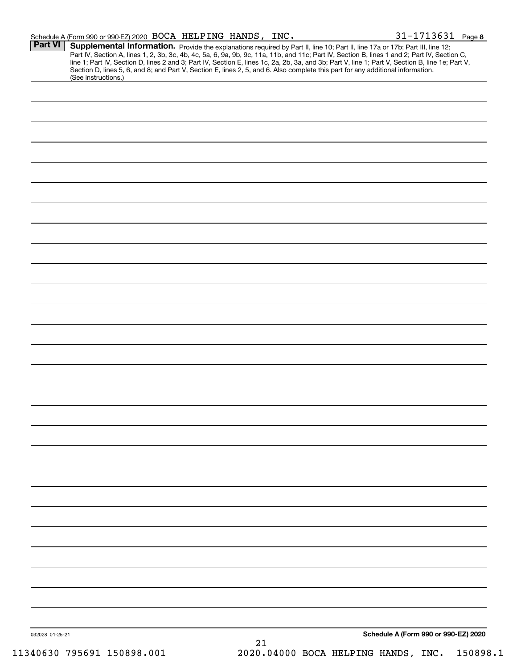|                 | Schedule A (Form 990 or 990-EZ) 2020 BOCA HELPING HANDS, INC.                                                                                                                                                                                                                                                                                                                                                                                                                                                                                                        |    |                                    | $31 - 1713631$ Page 8                |
|-----------------|----------------------------------------------------------------------------------------------------------------------------------------------------------------------------------------------------------------------------------------------------------------------------------------------------------------------------------------------------------------------------------------------------------------------------------------------------------------------------------------------------------------------------------------------------------------------|----|------------------------------------|--------------------------------------|
| <b>Part VI</b>  | Supplemental Information. Provide the explanations required by Part II, line 10; Part II, line 17a or 17b; Part III, line 12;<br>Part IV, Section A, lines 1, 2, 3b, 3c, 4b, 4c, 5a, 6, 9a, 9b, 9c, 11a, 11b, and 11c; Part IV, Section B, lines 1 and 2; Part IV, Section C,<br>line 1; Part IV, Section D, lines 2 and 3; Part IV, Section E, lines 1c, 2a, 2b, 3a, and 3b; Part V, line 1; Part V, Section B, line 1e; Part V,<br>Section D, lines 5, 6, and 8; and Part V, Section E, lines 2, 5, and 6. Also complete this part for any additional information. |    |                                    |                                      |
|                 | (See instructions.)                                                                                                                                                                                                                                                                                                                                                                                                                                                                                                                                                  |    |                                    |                                      |
|                 |                                                                                                                                                                                                                                                                                                                                                                                                                                                                                                                                                                      |    |                                    |                                      |
|                 |                                                                                                                                                                                                                                                                                                                                                                                                                                                                                                                                                                      |    |                                    |                                      |
|                 |                                                                                                                                                                                                                                                                                                                                                                                                                                                                                                                                                                      |    |                                    |                                      |
|                 |                                                                                                                                                                                                                                                                                                                                                                                                                                                                                                                                                                      |    |                                    |                                      |
|                 |                                                                                                                                                                                                                                                                                                                                                                                                                                                                                                                                                                      |    |                                    |                                      |
|                 |                                                                                                                                                                                                                                                                                                                                                                                                                                                                                                                                                                      |    |                                    |                                      |
|                 |                                                                                                                                                                                                                                                                                                                                                                                                                                                                                                                                                                      |    |                                    |                                      |
|                 |                                                                                                                                                                                                                                                                                                                                                                                                                                                                                                                                                                      |    |                                    |                                      |
|                 |                                                                                                                                                                                                                                                                                                                                                                                                                                                                                                                                                                      |    |                                    |                                      |
|                 |                                                                                                                                                                                                                                                                                                                                                                                                                                                                                                                                                                      |    |                                    |                                      |
|                 |                                                                                                                                                                                                                                                                                                                                                                                                                                                                                                                                                                      |    |                                    |                                      |
|                 |                                                                                                                                                                                                                                                                                                                                                                                                                                                                                                                                                                      |    |                                    |                                      |
|                 |                                                                                                                                                                                                                                                                                                                                                                                                                                                                                                                                                                      |    |                                    |                                      |
|                 |                                                                                                                                                                                                                                                                                                                                                                                                                                                                                                                                                                      |    |                                    |                                      |
|                 |                                                                                                                                                                                                                                                                                                                                                                                                                                                                                                                                                                      |    |                                    |                                      |
|                 |                                                                                                                                                                                                                                                                                                                                                                                                                                                                                                                                                                      |    |                                    |                                      |
|                 |                                                                                                                                                                                                                                                                                                                                                                                                                                                                                                                                                                      |    |                                    |                                      |
|                 |                                                                                                                                                                                                                                                                                                                                                                                                                                                                                                                                                                      |    |                                    |                                      |
|                 |                                                                                                                                                                                                                                                                                                                                                                                                                                                                                                                                                                      |    |                                    |                                      |
|                 |                                                                                                                                                                                                                                                                                                                                                                                                                                                                                                                                                                      |    |                                    |                                      |
|                 |                                                                                                                                                                                                                                                                                                                                                                                                                                                                                                                                                                      |    |                                    |                                      |
|                 |                                                                                                                                                                                                                                                                                                                                                                                                                                                                                                                                                                      |    |                                    |                                      |
|                 |                                                                                                                                                                                                                                                                                                                                                                                                                                                                                                                                                                      |    |                                    |                                      |
|                 |                                                                                                                                                                                                                                                                                                                                                                                                                                                                                                                                                                      |    |                                    |                                      |
|                 |                                                                                                                                                                                                                                                                                                                                                                                                                                                                                                                                                                      |    |                                    |                                      |
|                 |                                                                                                                                                                                                                                                                                                                                                                                                                                                                                                                                                                      |    |                                    |                                      |
|                 |                                                                                                                                                                                                                                                                                                                                                                                                                                                                                                                                                                      |    |                                    |                                      |
|                 |                                                                                                                                                                                                                                                                                                                                                                                                                                                                                                                                                                      |    |                                    |                                      |
|                 |                                                                                                                                                                                                                                                                                                                                                                                                                                                                                                                                                                      |    |                                    |                                      |
|                 |                                                                                                                                                                                                                                                                                                                                                                                                                                                                                                                                                                      |    |                                    |                                      |
|                 |                                                                                                                                                                                                                                                                                                                                                                                                                                                                                                                                                                      |    |                                    |                                      |
|                 |                                                                                                                                                                                                                                                                                                                                                                                                                                                                                                                                                                      |    |                                    |                                      |
|                 |                                                                                                                                                                                                                                                                                                                                                                                                                                                                                                                                                                      |    |                                    |                                      |
|                 |                                                                                                                                                                                                                                                                                                                                                                                                                                                                                                                                                                      |    |                                    |                                      |
| 032028 01-25-21 |                                                                                                                                                                                                                                                                                                                                                                                                                                                                                                                                                                      |    |                                    | Schedule A (Form 990 or 990-EZ) 2020 |
|                 | 110630 705601 150808 001                                                                                                                                                                                                                                                                                                                                                                                                                                                                                                                                             | 21 | 2020 04000 BOCA UFI PING UANDS INC | $150808$                             |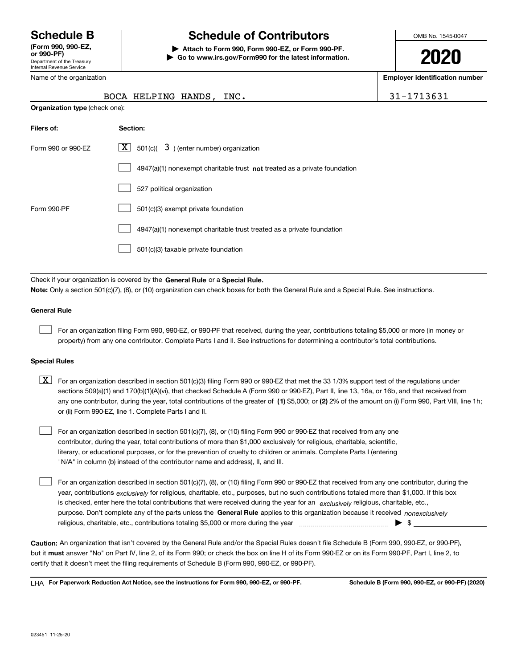Department of the Treasury Internal Revenue Service **(Form 990, 990-EZ, or 990-PF)**

Name of the organization

## **Schedule B Schedule of Contributors**

**| Attach to Form 990, Form 990-EZ, or Form 990-PF. | Go to www.irs.gov/Form990 for the latest information.** OMB No. 1545-0047

**2020**

**Employer identification number**

| 31-1713631 |  |
|------------|--|
|------------|--|

|                                       | BOCA HELPING HANDS, INC.                                                     | 31-1713631 |
|---------------------------------------|------------------------------------------------------------------------------|------------|
| <b>Organization type (check one):</b> |                                                                              |            |
| Filers of:                            | Section:                                                                     |            |
| Form 990 or 990-EZ                    | 501(c)( $3$ ) (enter number) organization<br>$X \mid$                        |            |
|                                       | 4947(a)(1) nonexempt charitable trust not treated as a private foundation    |            |
|                                       | 527 political organization                                                   |            |
| Form 990-PF                           | 501(c)(3) exempt private foundation                                          |            |
|                                       | 4947(a)(1) nonexempt charitable trust treated as a private foundation        |            |
|                                       | 501(c)(3) taxable private foundation                                         |            |
|                                       |                                                                              |            |
|                                       | Check if your organization is covered by the General Rule or a Special Rule. |            |

**Note:**  Only a section 501(c)(7), (8), or (10) organization can check boxes for both the General Rule and a Special Rule. See instructions.

#### **General Rule**

 $\mathcal{L}^{\text{max}}$ 

For an organization filing Form 990, 990-EZ, or 990-PF that received, during the year, contributions totaling \$5,000 or more (in money or property) from any one contributor. Complete Parts I and II. See instructions for determining a contributor's total contributions.

#### **Special Rules**

any one contributor, during the year, total contributions of the greater of  $\,$  (1) \$5,000; or **(2)** 2% of the amount on (i) Form 990, Part VIII, line 1h;  $\boxed{\textbf{X}}$  For an organization described in section 501(c)(3) filing Form 990 or 990-EZ that met the 33 1/3% support test of the regulations under sections 509(a)(1) and 170(b)(1)(A)(vi), that checked Schedule A (Form 990 or 990-EZ), Part II, line 13, 16a, or 16b, and that received from or (ii) Form 990-EZ, line 1. Complete Parts I and II.

For an organization described in section 501(c)(7), (8), or (10) filing Form 990 or 990-EZ that received from any one contributor, during the year, total contributions of more than \$1,000 exclusively for religious, charitable, scientific, literary, or educational purposes, or for the prevention of cruelty to children or animals. Complete Parts I (entering "N/A" in column (b) instead of the contributor name and address), II, and III.  $\mathcal{L}^{\text{max}}$ 

purpose. Don't complete any of the parts unless the **General Rule** applies to this organization because it received *nonexclusively* year, contributions <sub>exclusively</sub> for religious, charitable, etc., purposes, but no such contributions totaled more than \$1,000. If this box is checked, enter here the total contributions that were received during the year for an  $\;$ exclusively religious, charitable, etc., For an organization described in section 501(c)(7), (8), or (10) filing Form 990 or 990-EZ that received from any one contributor, during the religious, charitable, etc., contributions totaling \$5,000 or more during the year  $\Box$ — $\Box$   $\Box$   $\Box$  $\mathcal{L}^{\text{max}}$ 

**Caution:**  An organization that isn't covered by the General Rule and/or the Special Rules doesn't file Schedule B (Form 990, 990-EZ, or 990-PF),  **must** but it answer "No" on Part IV, line 2, of its Form 990; or check the box on line H of its Form 990-EZ or on its Form 990-PF, Part I, line 2, to certify that it doesn't meet the filing requirements of Schedule B (Form 990, 990-EZ, or 990-PF).

**For Paperwork Reduction Act Notice, see the instructions for Form 990, 990-EZ, or 990-PF. Schedule B (Form 990, 990-EZ, or 990-PF) (2020)** LHA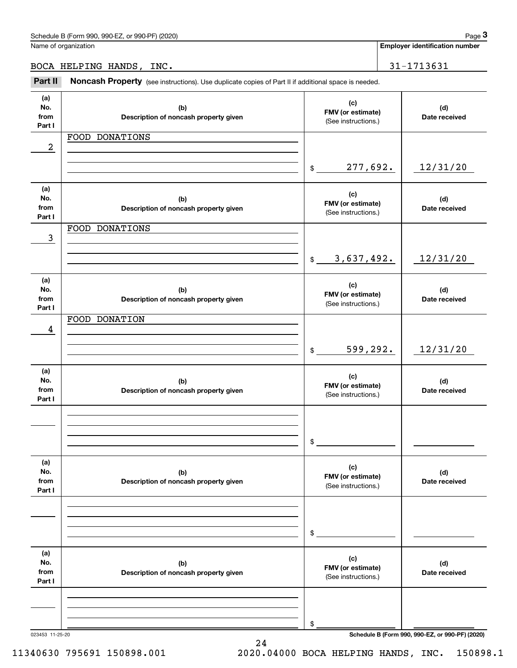**Employer identification number**

BOCA HELPING HANDS, INC. | 31-1713631

Employer identification Page 3<br>
Jame of organization<br>
30CA HELPING HANDS, INC.<br> **Part II Noncash Property** (see instructions). Use duplicate copies of Part II if additional space is needed.

| (a)<br>No.<br>from<br>Part I | (b)<br>Description of noncash property given | (c)<br>FMV (or estimate)<br>(See instructions.) | (d)<br>Date received                            |
|------------------------------|----------------------------------------------|-------------------------------------------------|-------------------------------------------------|
|                              | FOOD DONATIONS                               |                                                 |                                                 |
| 2                            |                                              |                                                 |                                                 |
|                              |                                              |                                                 |                                                 |
|                              |                                              | 277,692.<br>$\mathfrak{S}$                      | 12/31/20                                        |
|                              |                                              |                                                 |                                                 |
| (a)                          |                                              | (c)                                             |                                                 |
| No.                          | (b)                                          | FMV (or estimate)                               | (d)                                             |
| from                         | Description of noncash property given        | (See instructions.)                             | Date received                                   |
| Part I                       |                                              |                                                 |                                                 |
|                              | FOOD DONATIONS                               |                                                 |                                                 |
| 3                            |                                              |                                                 |                                                 |
|                              |                                              | 3,637,492.<br>$\frac{1}{2}$                     | 12/31/20                                        |
|                              |                                              |                                                 |                                                 |
| (a)                          |                                              |                                                 |                                                 |
| No.                          | (b)                                          | (c)                                             | (d)                                             |
| from                         | Description of noncash property given        | FMV (or estimate)                               | Date received                                   |
| Part I                       |                                              | (See instructions.)                             |                                                 |
|                              | FOOD DONATION                                |                                                 |                                                 |
| 4                            |                                              |                                                 |                                                 |
|                              |                                              |                                                 |                                                 |
|                              |                                              | 599,292.<br>$\frac{1}{2}$                       | 12/31/20                                        |
|                              |                                              |                                                 |                                                 |
| (a)                          |                                              | (c)                                             |                                                 |
| No.                          | (b)                                          | FMV (or estimate)                               | (d)                                             |
| from<br>Part I               | Description of noncash property given        | (See instructions.)                             | Date received                                   |
|                              |                                              |                                                 |                                                 |
|                              |                                              |                                                 |                                                 |
|                              |                                              |                                                 |                                                 |
|                              |                                              | \$                                              |                                                 |
|                              |                                              |                                                 |                                                 |
| (a)                          |                                              |                                                 |                                                 |
| No.                          | (b)                                          | (c)                                             | (d)                                             |
| from                         | Description of noncash property given        | FMV (or estimate)<br>(See instructions.)        | Date received                                   |
| Part I                       |                                              |                                                 |                                                 |
|                              |                                              |                                                 |                                                 |
|                              |                                              |                                                 |                                                 |
|                              |                                              |                                                 |                                                 |
|                              |                                              | \$                                              |                                                 |
|                              |                                              |                                                 |                                                 |
| (a)                          |                                              | (c)                                             |                                                 |
| No.                          | (b)                                          | FMV (or estimate)                               | (d)                                             |
| from<br>Part I               | Description of noncash property given        | (See instructions.)                             | Date received                                   |
|                              |                                              |                                                 |                                                 |
|                              |                                              |                                                 |                                                 |
|                              |                                              |                                                 |                                                 |
|                              |                                              | \$                                              |                                                 |
| 023453 11-25-20              |                                              |                                                 | Schedule B (Form 990, 990-EZ, or 990-PF) (2020) |
|                              |                                              |                                                 |                                                 |

24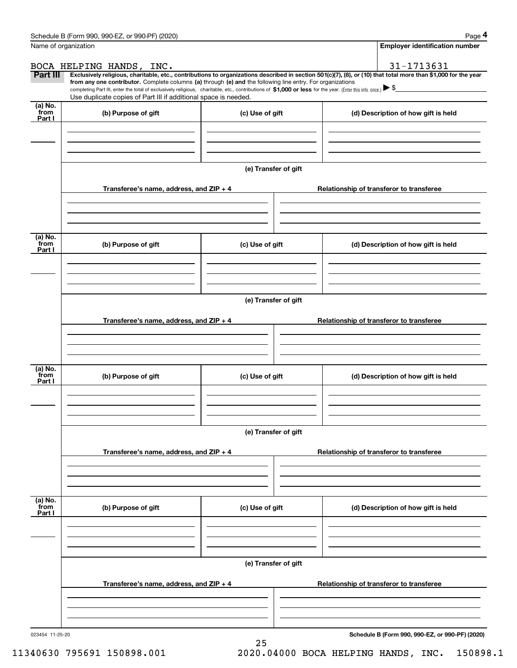|                           | Schedule B (Form 990, 990-EZ, or 990-PF) (2020)                                                                                                                                                                                                                            |                      | Page 4                                                                                                                                                         |  |  |  |  |  |
|---------------------------|----------------------------------------------------------------------------------------------------------------------------------------------------------------------------------------------------------------------------------------------------------------------------|----------------------|----------------------------------------------------------------------------------------------------------------------------------------------------------------|--|--|--|--|--|
|                           | Name of organization                                                                                                                                                                                                                                                       |                      | Employer identification number                                                                                                                                 |  |  |  |  |  |
|                           | BOCA HELPING HANDS, INC.                                                                                                                                                                                                                                                   |                      | 31-1713631                                                                                                                                                     |  |  |  |  |  |
| <b>Part III</b>           | from any one contributor. Complete columns (a) through (e) and the following line entry. For organizations<br>completing Part III, enter the total of exclusively religious, charitable, etc., contributions of \$1,000 or less for the year. (Enter this info. once.) \\$ |                      | Exclusively religious, charitable, etc., contributions to organizations described in section 501(c)(7), (8), or (10) that total more than \$1,000 for the year |  |  |  |  |  |
|                           | Use duplicate copies of Part III if additional space is needed.                                                                                                                                                                                                            |                      |                                                                                                                                                                |  |  |  |  |  |
| (a) No.<br>from<br>Part I | (b) Purpose of gift                                                                                                                                                                                                                                                        | (c) Use of gift      | (d) Description of how gift is held                                                                                                                            |  |  |  |  |  |
|                           |                                                                                                                                                                                                                                                                            |                      |                                                                                                                                                                |  |  |  |  |  |
|                           |                                                                                                                                                                                                                                                                            |                      |                                                                                                                                                                |  |  |  |  |  |
|                           |                                                                                                                                                                                                                                                                            | (e) Transfer of gift |                                                                                                                                                                |  |  |  |  |  |
|                           | Transferee's name, address, and ZIP + 4                                                                                                                                                                                                                                    |                      | Relationship of transferor to transferee                                                                                                                       |  |  |  |  |  |
|                           |                                                                                                                                                                                                                                                                            |                      |                                                                                                                                                                |  |  |  |  |  |
| (a) No.<br>from           | (b) Purpose of gift                                                                                                                                                                                                                                                        | (c) Use of gift      | (d) Description of how gift is held                                                                                                                            |  |  |  |  |  |
| Part I                    |                                                                                                                                                                                                                                                                            |                      |                                                                                                                                                                |  |  |  |  |  |
|                           |                                                                                                                                                                                                                                                                            |                      |                                                                                                                                                                |  |  |  |  |  |
|                           | (e) Transfer of gift                                                                                                                                                                                                                                                       |                      |                                                                                                                                                                |  |  |  |  |  |
|                           | Transferee's name, address, and ZIP + 4                                                                                                                                                                                                                                    |                      | Relationship of transferor to transferee                                                                                                                       |  |  |  |  |  |
|                           |                                                                                                                                                                                                                                                                            |                      |                                                                                                                                                                |  |  |  |  |  |
|                           |                                                                                                                                                                                                                                                                            |                      |                                                                                                                                                                |  |  |  |  |  |
| (a) No.<br>from<br>Part I | (b) Purpose of gift                                                                                                                                                                                                                                                        | (c) Use of gift      | (d) Description of how gift is held                                                                                                                            |  |  |  |  |  |
|                           |                                                                                                                                                                                                                                                                            |                      |                                                                                                                                                                |  |  |  |  |  |
|                           |                                                                                                                                                                                                                                                                            |                      |                                                                                                                                                                |  |  |  |  |  |
|                           | (e) Transfer of gift                                                                                                                                                                                                                                                       |                      |                                                                                                                                                                |  |  |  |  |  |
|                           | Transferee's name, address, and ZIP + 4                                                                                                                                                                                                                                    |                      | Relationship of transferor to transferee                                                                                                                       |  |  |  |  |  |
|                           |                                                                                                                                                                                                                                                                            |                      |                                                                                                                                                                |  |  |  |  |  |
| (a) No.<br>from<br>Part I | (b) Purpose of gift                                                                                                                                                                                                                                                        | (c) Use of gift      | (d) Description of how gift is held                                                                                                                            |  |  |  |  |  |
|                           |                                                                                                                                                                                                                                                                            |                      |                                                                                                                                                                |  |  |  |  |  |
|                           |                                                                                                                                                                                                                                                                            |                      |                                                                                                                                                                |  |  |  |  |  |
|                           |                                                                                                                                                                                                                                                                            | (e) Transfer of gift |                                                                                                                                                                |  |  |  |  |  |
|                           | Transferee's name, address, and $ZIP + 4$                                                                                                                                                                                                                                  |                      | Relationship of transferor to transferee                                                                                                                       |  |  |  |  |  |
|                           |                                                                                                                                                                                                                                                                            |                      |                                                                                                                                                                |  |  |  |  |  |
|                           |                                                                                                                                                                                                                                                                            |                      |                                                                                                                                                                |  |  |  |  |  |

25

**Schedule B (Form 990, 990-EZ, or 990-PF) (2020)**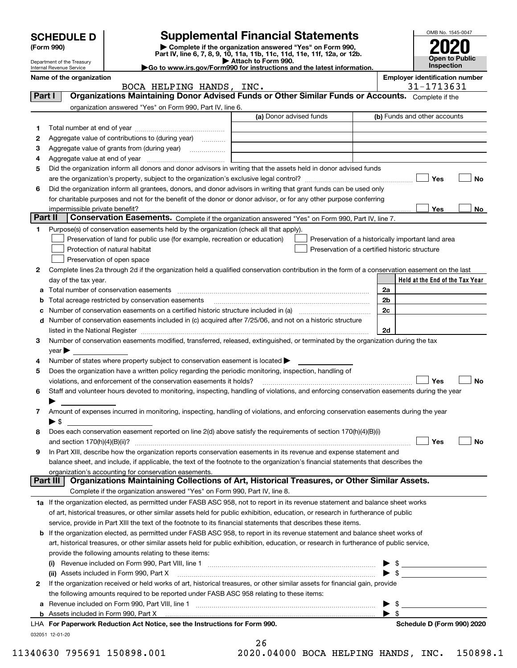|         |                                                                                                                      |                                                                                                        | <b>Supplemental Financial Statements</b>                                                                                                                                                                                                                                                                                                                          |                |                         | OMB No. 1545-0047               |  |
|---------|----------------------------------------------------------------------------------------------------------------------|--------------------------------------------------------------------------------------------------------|-------------------------------------------------------------------------------------------------------------------------------------------------------------------------------------------------------------------------------------------------------------------------------------------------------------------------------------------------------------------|----------------|-------------------------|---------------------------------|--|
|         | <b>SCHEDULE D</b><br>(Form 990)                                                                                      |                                                                                                        |                                                                                                                                                                                                                                                                                                                                                                   |                |                         |                                 |  |
|         |                                                                                                                      |                                                                                                        | Complete if the organization answered "Yes" on Form 990,<br>Part IV, line 6, 7, 8, 9, 10, 11a, 11b, 11c, 11d, 11e, 11f, 12a, or 12b.<br>Attach to Form 990.                                                                                                                                                                                                       |                |                         | <b>Open to Public</b>           |  |
|         | Department of the Treasury<br>Internal Revenue Service                                                               |                                                                                                        | Go to www.irs.gov/Form990 for instructions and the latest information.                                                                                                                                                                                                                                                                                            |                |                         | Inspection                      |  |
|         | Name of the organization                                                                                             |                                                                                                        | <b>Employer identification number</b>                                                                                                                                                                                                                                                                                                                             |                |                         |                                 |  |
| Part I  |                                                                                                                      | BOCA HELPING HANDS, INC.                                                                               | Organizations Maintaining Donor Advised Funds or Other Similar Funds or Accounts. Complete if the                                                                                                                                                                                                                                                                 |                |                         | 31-1713631                      |  |
|         |                                                                                                                      | organization answered "Yes" on Form 990, Part IV, line 6.                                              |                                                                                                                                                                                                                                                                                                                                                                   |                |                         |                                 |  |
|         |                                                                                                                      |                                                                                                        | (a) Donor advised funds                                                                                                                                                                                                                                                                                                                                           |                |                         | (b) Funds and other accounts    |  |
| 1       |                                                                                                                      |                                                                                                        |                                                                                                                                                                                                                                                                                                                                                                   |                |                         |                                 |  |
| 2       |                                                                                                                      | Aggregate value of contributions to (during year)                                                      |                                                                                                                                                                                                                                                                                                                                                                   |                |                         |                                 |  |
| з       |                                                                                                                      |                                                                                                        |                                                                                                                                                                                                                                                                                                                                                                   |                |                         |                                 |  |
| 4       |                                                                                                                      |                                                                                                        |                                                                                                                                                                                                                                                                                                                                                                   |                |                         |                                 |  |
| 5       |                                                                                                                      |                                                                                                        | Did the organization inform all donors and donor advisors in writing that the assets held in donor advised funds                                                                                                                                                                                                                                                  |                |                         |                                 |  |
|         |                                                                                                                      |                                                                                                        |                                                                                                                                                                                                                                                                                                                                                                   |                |                         | Yes<br>No                       |  |
| 6       |                                                                                                                      |                                                                                                        | Did the organization inform all grantees, donors, and donor advisors in writing that grant funds can be used only                                                                                                                                                                                                                                                 |                |                         |                                 |  |
|         |                                                                                                                      |                                                                                                        | for charitable purposes and not for the benefit of the donor or donor advisor, or for any other purpose conferring                                                                                                                                                                                                                                                |                |                         |                                 |  |
| Part II | impermissible private benefit?                                                                                       |                                                                                                        | Conservation Easements. Complete if the organization answered "Yes" on Form 990, Part IV, line 7.                                                                                                                                                                                                                                                                 |                |                         | Yes<br>No.                      |  |
| 1       |                                                                                                                      | Purpose(s) of conservation easements held by the organization (check all that apply).                  |                                                                                                                                                                                                                                                                                                                                                                   |                |                         |                                 |  |
|         |                                                                                                                      | Preservation of land for public use (for example, recreation or education)                             | Preservation of a historically important land area                                                                                                                                                                                                                                                                                                                |                |                         |                                 |  |
|         |                                                                                                                      | Protection of natural habitat                                                                          | Preservation of a certified historic structure                                                                                                                                                                                                                                                                                                                    |                |                         |                                 |  |
|         |                                                                                                                      | Preservation of open space                                                                             |                                                                                                                                                                                                                                                                                                                                                                   |                |                         |                                 |  |
| 2       |                                                                                                                      |                                                                                                        | Complete lines 2a through 2d if the organization held a qualified conservation contribution in the form of a conservation easement on the last                                                                                                                                                                                                                    |                |                         |                                 |  |
|         | day of the tax year.                                                                                                 |                                                                                                        |                                                                                                                                                                                                                                                                                                                                                                   |                |                         | Held at the End of the Tax Year |  |
| а       |                                                                                                                      |                                                                                                        |                                                                                                                                                                                                                                                                                                                                                                   | 2a             |                         |                                 |  |
|         |                                                                                                                      | Total acreage restricted by conservation easements                                                     |                                                                                                                                                                                                                                                                                                                                                                   | 2 <sub>b</sub> |                         |                                 |  |
|         | 2c<br>Number of conservation easements on a certified historic structure included in (a) manufacture included in (a) |                                                                                                        |                                                                                                                                                                                                                                                                                                                                                                   |                |                         |                                 |  |
| d       |                                                                                                                      |                                                                                                        | Number of conservation easements included in (c) acquired after 7/25/06, and not on a historic structure                                                                                                                                                                                                                                                          |                |                         |                                 |  |
|         |                                                                                                                      |                                                                                                        | listed in the National Register [111] increases and the National Property of the National Register [11] increases and the National Register [11] increases and the National Register [11] increases and the National Register<br>Number of conservation easements modified, transferred, released, extinguished, or terminated by the organization during the tax | 2d             |                         |                                 |  |
| 3       | $\vee$ ear                                                                                                           |                                                                                                        |                                                                                                                                                                                                                                                                                                                                                                   |                |                         |                                 |  |
| 4       |                                                                                                                      | Number of states where property subject to conservation easement is located $\blacktriangleright$      |                                                                                                                                                                                                                                                                                                                                                                   |                |                         |                                 |  |
| 5       |                                                                                                                      | Does the organization have a written policy regarding the periodic monitoring, inspection, handling of |                                                                                                                                                                                                                                                                                                                                                                   |                |                         |                                 |  |
|         |                                                                                                                      | violations, and enforcement of the conservation easements it holds?                                    |                                                                                                                                                                                                                                                                                                                                                                   |                |                         | Yes<br>No                       |  |
| 6       |                                                                                                                      |                                                                                                        | Staff and volunteer hours devoted to monitoring, inspecting, handling of violations, and enforcing conservation easements during the year                                                                                                                                                                                                                         |                |                         |                                 |  |
|         |                                                                                                                      |                                                                                                        |                                                                                                                                                                                                                                                                                                                                                                   |                |                         |                                 |  |
| 7       |                                                                                                                      |                                                                                                        | Amount of expenses incurred in monitoring, inspecting, handling of violations, and enforcing conservation easements during the year                                                                                                                                                                                                                               |                |                         |                                 |  |
|         | $\blacktriangleright$ \$                                                                                             |                                                                                                        |                                                                                                                                                                                                                                                                                                                                                                   |                |                         |                                 |  |
| 8       |                                                                                                                      |                                                                                                        | Does each conservation easement reported on line 2(d) above satisfy the requirements of section 170(h)(4)(B)(i)                                                                                                                                                                                                                                                   |                |                         |                                 |  |
|         | and section $170(h)(4)(B)(ii)?$                                                                                      |                                                                                                        | In Part XIII, describe how the organization reports conservation easements in its revenue and expense statement and                                                                                                                                                                                                                                               |                |                         | Yes<br><b>No</b>                |  |
| 9       |                                                                                                                      |                                                                                                        | balance sheet, and include, if applicable, the text of the footnote to the organization's financial statements that describes the                                                                                                                                                                                                                                 |                |                         |                                 |  |
|         |                                                                                                                      | organization's accounting for conservation easements.                                                  |                                                                                                                                                                                                                                                                                                                                                                   |                |                         |                                 |  |
|         | Part III                                                                                                             |                                                                                                        | Organizations Maintaining Collections of Art, Historical Treasures, or Other Similar Assets.                                                                                                                                                                                                                                                                      |                |                         |                                 |  |
|         |                                                                                                                      | Complete if the organization answered "Yes" on Form 990, Part IV, line 8.                              |                                                                                                                                                                                                                                                                                                                                                                   |                |                         |                                 |  |
|         |                                                                                                                      |                                                                                                        | 1a If the organization elected, as permitted under FASB ASC 958, not to report in its revenue statement and balance sheet works                                                                                                                                                                                                                                   |                |                         |                                 |  |
|         |                                                                                                                      |                                                                                                        | of art, historical treasures, or other similar assets held for public exhibition, education, or research in furtherance of public                                                                                                                                                                                                                                 |                |                         |                                 |  |
|         |                                                                                                                      |                                                                                                        | service, provide in Part XIII the text of the footnote to its financial statements that describes these items.                                                                                                                                                                                                                                                    |                |                         |                                 |  |
|         |                                                                                                                      |                                                                                                        | <b>b</b> If the organization elected, as permitted under FASB ASC 958, to report in its revenue statement and balance sheet works of                                                                                                                                                                                                                              |                |                         |                                 |  |
|         |                                                                                                                      |                                                                                                        | art, historical treasures, or other similar assets held for public exhibition, education, or research in furtherance of public service,                                                                                                                                                                                                                           |                |                         |                                 |  |
|         |                                                                                                                      | provide the following amounts relating to these items:                                                 |                                                                                                                                                                                                                                                                                                                                                                   |                |                         |                                 |  |
|         |                                                                                                                      |                                                                                                        |                                                                                                                                                                                                                                                                                                                                                                   |                |                         |                                 |  |
| 2       |                                                                                                                      | (ii) Assets included in Form 990, Part X                                                               | If the organization received or held works of art, historical treasures, or other similar assets for financial gain, provide                                                                                                                                                                                                                                      |                |                         | $\triangleright$ \$             |  |
|         |                                                                                                                      | the following amounts required to be reported under FASB ASC 958 relating to these items:              |                                                                                                                                                                                                                                                                                                                                                                   |                |                         |                                 |  |
| а       |                                                                                                                      |                                                                                                        |                                                                                                                                                                                                                                                                                                                                                                   |                | \$                      |                                 |  |
|         |                                                                                                                      |                                                                                                        | b Assets incl <u>uded in Form 990, Part X [Construction in the construction in the set of the set of the set of</u>                                                                                                                                                                                                                                               |                | $\blacktriangleright$ s |                                 |  |
|         |                                                                                                                      | LHA For Paperwork Reduction Act Notice, see the Instructions for Form 990.                             |                                                                                                                                                                                                                                                                                                                                                                   |                |                         | Schedule D (Form 990) 2020      |  |
|         | 032051 12-01-20                                                                                                      |                                                                                                        |                                                                                                                                                                                                                                                                                                                                                                   |                |                         |                                 |  |

|     | 26 |     |  |
|-----|----|-----|--|
| nnn |    | ົ ^ |  |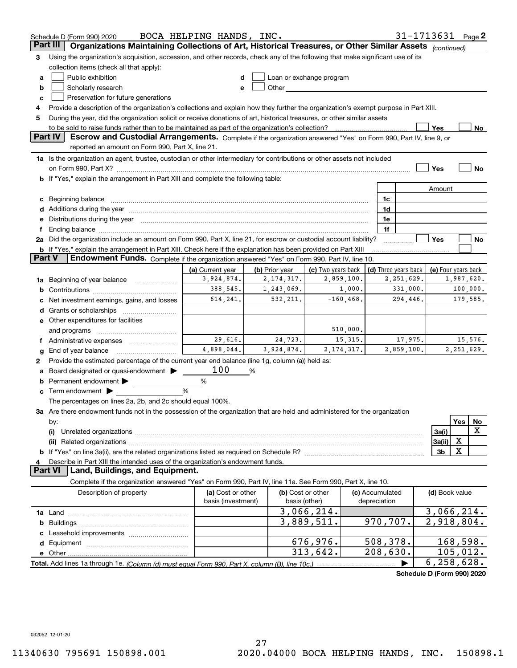|        | Schedule D (Form 990) 2020                                                                                                                                                                                                    | BOCA HELPING HANDS, INC. |                |                                                                                                                                                                                                                               |                 |                         | 31-1713631           |                | Page $2$                   |
|--------|-------------------------------------------------------------------------------------------------------------------------------------------------------------------------------------------------------------------------------|--------------------------|----------------|-------------------------------------------------------------------------------------------------------------------------------------------------------------------------------------------------------------------------------|-----------------|-------------------------|----------------------|----------------|----------------------------|
|        | Part III<br>Organizations Maintaining Collections of Art, Historical Treasures, or Other Similar Assets                                                                                                                       |                          |                |                                                                                                                                                                                                                               |                 |                         |                      | (continued)    |                            |
| з      | Using the organization's acquisition, accession, and other records, check any of the following that make significant use of its                                                                                               |                          |                |                                                                                                                                                                                                                               |                 |                         |                      |                |                            |
|        | collection items (check all that apply):                                                                                                                                                                                      |                          |                |                                                                                                                                                                                                                               |                 |                         |                      |                |                            |
| a      | Public exhibition                                                                                                                                                                                                             | d                        |                | Loan or exchange program                                                                                                                                                                                                      |                 |                         |                      |                |                            |
| b      | Scholarly research                                                                                                                                                                                                            | е                        |                | Other and the contract of the contract of the contract of the contract of the contract of the contract of the contract of the contract of the contract of the contract of the contract of the contract of the contract of the |                 |                         |                      |                |                            |
| c      | Preservation for future generations                                                                                                                                                                                           |                          |                |                                                                                                                                                                                                                               |                 |                         |                      |                |                            |
| 4      | Provide a description of the organization's collections and explain how they further the organization's exempt purpose in Part XIII.                                                                                          |                          |                |                                                                                                                                                                                                                               |                 |                         |                      |                |                            |
| 5      | During the year, did the organization solicit or receive donations of art, historical treasures, or other similar assets                                                                                                      |                          |                |                                                                                                                                                                                                                               |                 |                         |                      |                |                            |
|        | to be sold to raise funds rather than to be maintained as part of the organization's collection?                                                                                                                              |                          |                |                                                                                                                                                                                                                               |                 |                         |                      | Yes            | $N_{0}$                    |
|        | <b>Part IV</b><br>Escrow and Custodial Arrangements. Complete if the organization answered "Yes" on Form 990, Part IV, line 9, or                                                                                             |                          |                |                                                                                                                                                                                                                               |                 |                         |                      |                |                            |
|        | reported an amount on Form 990, Part X, line 21.                                                                                                                                                                              |                          |                |                                                                                                                                                                                                                               |                 |                         |                      |                |                            |
|        | 1a Is the organization an agent, trustee, custodian or other intermediary for contributions or other assets not included                                                                                                      |                          |                |                                                                                                                                                                                                                               |                 |                         |                      |                |                            |
|        | on Form 990, Part X? [11] matter contracts and contracts and contracts are contracted as a form 990, Part X?                                                                                                                  |                          |                |                                                                                                                                                                                                                               |                 |                         |                      | Yes            | No                         |
|        | b If "Yes," explain the arrangement in Part XIII and complete the following table:                                                                                                                                            |                          |                |                                                                                                                                                                                                                               |                 |                         |                      |                |                            |
|        |                                                                                                                                                                                                                               |                          |                |                                                                                                                                                                                                                               |                 |                         |                      | Amount         |                            |
| c      | Beginning balance material content contracts and all the content of the content of the content of the content of the content of the content of the content of the content of the content of the content of the content of the |                          |                |                                                                                                                                                                                                                               |                 | 1c                      |                      |                |                            |
|        |                                                                                                                                                                                                                               |                          |                |                                                                                                                                                                                                                               |                 | 1d                      |                      |                |                            |
| е      | Distributions during the year manufactured and an account of the state of the state of the state of the state o                                                                                                               |                          |                |                                                                                                                                                                                                                               |                 | 1e                      |                      |                |                            |
| Ť.     |                                                                                                                                                                                                                               |                          |                |                                                                                                                                                                                                                               |                 | 1f                      |                      |                |                            |
|        | 2a Did the organization include an amount on Form 990, Part X, line 21, for escrow or custodial account liability?                                                                                                            |                          |                |                                                                                                                                                                                                                               |                 |                         |                      | Yes            | No                         |
| Part V | <b>b</b> If "Yes," explain the arrangement in Part XIII. Check here if the explanation has been provided on Part XIII<br>Endowment Funds. Complete if the organization answered "Yes" on Form 990, Part IV, line 10.          |                          |                |                                                                                                                                                                                                                               |                 |                         |                      |                |                            |
|        |                                                                                                                                                                                                                               | (a) Current year         | (b) Prior year | (c) Two years back                                                                                                                                                                                                            |                 |                         | (d) Three years back |                | (e) Four years back        |
|        | Beginning of year balance                                                                                                                                                                                                     | 3,924,874.               | 2, 174, 317.   | 2,859,100.                                                                                                                                                                                                                    |                 |                         | 2, 251, 629.         |                | 1,987,620.                 |
| 1a     |                                                                                                                                                                                                                               | 388,545.                 | 1,243,069.     | 1,000.                                                                                                                                                                                                                        |                 |                         | 331,000.             |                | 100,000.                   |
|        | Net investment earnings, gains, and losses                                                                                                                                                                                    | 614, 241.                | 532,211.       | $-160, 468.$                                                                                                                                                                                                                  |                 |                         | 294,446.             |                | 179,585.                   |
| d      |                                                                                                                                                                                                                               |                          |                |                                                                                                                                                                                                                               |                 |                         |                      |                |                            |
|        | e Other expenditures for facilities                                                                                                                                                                                           |                          |                |                                                                                                                                                                                                                               |                 |                         |                      |                |                            |
|        | and programs                                                                                                                                                                                                                  |                          |                | 510,000.                                                                                                                                                                                                                      |                 |                         |                      |                |                            |
|        |                                                                                                                                                                                                                               | 29,616.                  | 24,723.        | 15, 315.                                                                                                                                                                                                                      |                 |                         | 17,975.              |                | 15,576.                    |
| g      | End of year balance                                                                                                                                                                                                           | 4,898,044.               | 3,924,874.     | 2, 174, 317.                                                                                                                                                                                                                  |                 |                         | 2,859,100.           |                | 2,251,629.                 |
| 2      | Provide the estimated percentage of the current year end balance (line 1g, column (a)) held as:                                                                                                                               |                          |                |                                                                                                                                                                                                                               |                 |                         |                      |                |                            |
| а      | Board designated or quasi-endowment                                                                                                                                                                                           | 100                      | %              |                                                                                                                                                                                                                               |                 |                         |                      |                |                            |
|        | Permanent endowment                                                                                                                                                                                                           | %                        |                |                                                                                                                                                                                                                               |                 |                         |                      |                |                            |
|        | Term endowment $\blacktriangleright$                                                                                                                                                                                          | %                        |                |                                                                                                                                                                                                                               |                 |                         |                      |                |                            |
|        | The percentages on lines 2a, 2b, and 2c should equal 100%.                                                                                                                                                                    |                          |                |                                                                                                                                                                                                                               |                 |                         |                      |                |                            |
|        | 3a Are there endowment funds not in the possession of the organization that are held and administered for the organization                                                                                                    |                          |                |                                                                                                                                                                                                                               |                 |                         |                      |                |                            |
|        | by:                                                                                                                                                                                                                           |                          |                |                                                                                                                                                                                                                               |                 |                         |                      |                | Yes<br>No                  |
|        | (i)                                                                                                                                                                                                                           |                          |                |                                                                                                                                                                                                                               |                 |                         |                      | 3a(i)          | X                          |
|        |                                                                                                                                                                                                                               |                          |                |                                                                                                                                                                                                                               |                 |                         |                      | 3a(ii)         | X                          |
|        |                                                                                                                                                                                                                               |                          |                |                                                                                                                                                                                                                               |                 |                         |                      | 3b             | X                          |
| 4      | Describe in Part XIII the intended uses of the organization's endowment funds.                                                                                                                                                |                          |                |                                                                                                                                                                                                                               |                 |                         |                      |                |                            |
|        | Land, Buildings, and Equipment.<br>Part VI                                                                                                                                                                                    |                          |                |                                                                                                                                                                                                                               |                 |                         |                      |                |                            |
|        | Complete if the organization answered "Yes" on Form 990, Part IV, line 11a. See Form 990, Part X, line 10.                                                                                                                    |                          |                |                                                                                                                                                                                                                               |                 |                         |                      |                |                            |
|        | Description of property                                                                                                                                                                                                       | (a) Cost or other        |                | (b) Cost or other                                                                                                                                                                                                             | (c) Accumulated |                         |                      | (d) Book value |                            |
|        |                                                                                                                                                                                                                               | basis (investment)       |                | basis (other)                                                                                                                                                                                                                 | depreciation    |                         |                      |                |                            |
|        |                                                                                                                                                                                                                               |                          |                | 3,066,214.                                                                                                                                                                                                                    |                 |                         |                      |                | 3,066,214.                 |
| b      |                                                                                                                                                                                                                               |                          |                | 3,889,511.                                                                                                                                                                                                                    |                 | 970,707.                |                      |                | $\overline{2}$ , 918, 804. |
|        |                                                                                                                                                                                                                               |                          |                |                                                                                                                                                                                                                               |                 |                         |                      |                |                            |
| d      |                                                                                                                                                                                                                               |                          |                | 676,976.                                                                                                                                                                                                                      |                 | 508,378.                |                      |                | 168,598.                   |
|        |                                                                                                                                                                                                                               |                          |                | 313,642.                                                                                                                                                                                                                      |                 | $\overline{208}$ , 630. |                      |                | 105,012.                   |
|        |                                                                                                                                                                                                                               |                          |                |                                                                                                                                                                                                                               |                 |                         |                      |                | 6,258,628.                 |

**Schedule D (Form 990) 2020**

032052 12-01-20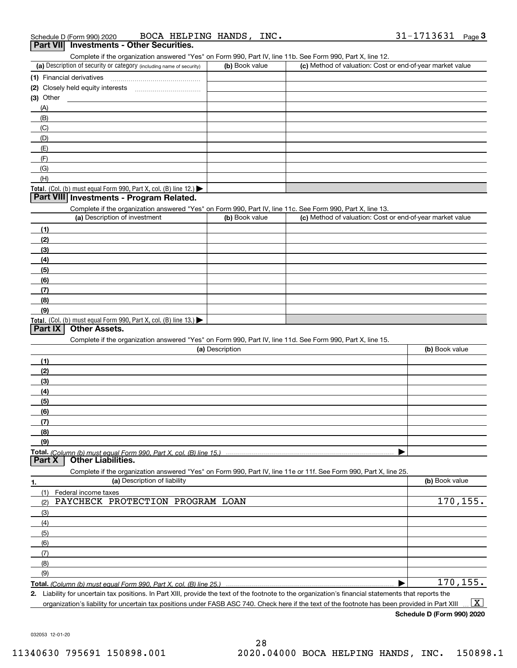| Schedule D (Form 990) 2020 | BOCA HELPING HANDS, | INC. | 31-1713631 | Page |
|----------------------------|---------------------|------|------------|------|
|                            |                     |      |            |      |

#### **Part VII Investments - Other Securities.**

Complete if the organization answered "Yes" on Form 990, Part IV, line 11b. See Form 990, Part X, line 12.

| (a) Description of security or category (including name of security)       | (b) Book value | (c) Method of valuation: Cost or end-of-year market value |
|----------------------------------------------------------------------------|----------------|-----------------------------------------------------------|
| (1) Financial derivatives                                                  |                |                                                           |
| (2) Closely held equity interests                                          |                |                                                           |
| $(3)$ Other                                                                |                |                                                           |
| (A)                                                                        |                |                                                           |
| (B)                                                                        |                |                                                           |
| (C)                                                                        |                |                                                           |
| (D)                                                                        |                |                                                           |
| (E)                                                                        |                |                                                           |
| (F)                                                                        |                |                                                           |
| (G)                                                                        |                |                                                           |
| (H)                                                                        |                |                                                           |
| <b>Total.</b> (Col. (b) must equal Form 990, Part X, col. (B) line $12$ .) |                |                                                           |

#### **Part VIII Investments - Program Related.**

Complete if the organization answered "Yes" on Form 990, Part IV, line 11c. See Form 990, Part X, line 13.

| (a) Description of investment                                       | (b) Book value | (c) Method of valuation: Cost or end-of-year market value |
|---------------------------------------------------------------------|----------------|-----------------------------------------------------------|
| (1)                                                                 |                |                                                           |
| (2)                                                                 |                |                                                           |
| $\frac{1}{2}$                                                       |                |                                                           |
| (4)                                                                 |                |                                                           |
| (5)                                                                 |                |                                                           |
| (6)                                                                 |                |                                                           |
| (7)                                                                 |                |                                                           |
| (8)                                                                 |                |                                                           |
| (9)                                                                 |                |                                                           |
| Total. (Col. (b) must equal Form 990, Part X, col. (B) line $13.$ ) |                |                                                           |

#### **Part IX Other Assets.**

Complete if the organization answered "Yes" on Form 990, Part IV, line 11d. See Form 990, Part X, line 15.

| (a) Description                                                                                                   | (b) Book value |
|-------------------------------------------------------------------------------------------------------------------|----------------|
| (1)                                                                                                               |                |
| (2)                                                                                                               |                |
| (3)                                                                                                               |                |
| (4)                                                                                                               |                |
| (5)                                                                                                               |                |
| (6)                                                                                                               |                |
| (7)                                                                                                               |                |
| (8)                                                                                                               |                |
| (9)                                                                                                               |                |
|                                                                                                                   |                |
| <b>Part X</b> Other Liabilities.                                                                                  |                |
| Complete if the organization answered "Yes" on Form 990, Part IV, line 11e or 11f. See Form 990, Part X, line 25. |                |

| 1.                | (a) Description of liability                                       | (b) Book value |
|-------------------|--------------------------------------------------------------------|----------------|
| (1)               | Federal income taxes                                               |                |
| (2)               | PAYCHECK PROTECTION PROGRAM LOAN                                   | 170, 155.      |
| (3)               |                                                                    |                |
| (4)               |                                                                    |                |
| $\frac{1}{2}$ (5) |                                                                    |                |
| (6)               |                                                                    |                |
| (7)               |                                                                    |                |
| (8)               |                                                                    |                |
| (9)               |                                                                    |                |
|                   | Total. (Column (b) must equal Form 990, Part X, col. (B) line 25.) | 170, 155.      |

**2.** Liability for uncertain tax positions. In Part XIII, provide the text of the footnote to the organization's financial statements that reports the organization's liability for uncertain tax positions under FASB ASC 740. Check here if the text of the footnote has been provided in Part XIII  $\boxed{\text{X}}$ 

**Schedule D (Form 990) 2020**

032053 12-01-20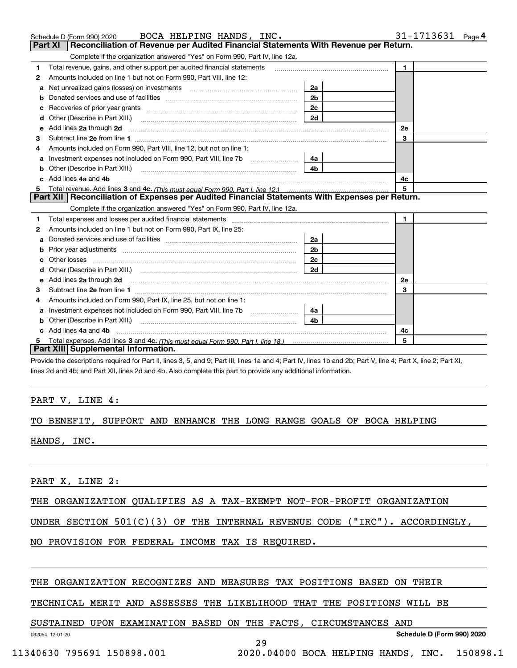|    | Schedule D (Form 990) 2020 BOCA HELPING HANDS, INC.                                                                      |                | 31-1713631<br>Page $4$ |
|----|--------------------------------------------------------------------------------------------------------------------------|----------------|------------------------|
|    | Part XI<br>Reconciliation of Revenue per Audited Financial Statements With Revenue per Return.                           |                |                        |
|    | Complete if the organization answered "Yes" on Form 990, Part IV, line 12a.                                              |                |                        |
| 1  | Total revenue, gains, and other support per audited financial statements                                                 |                | $\blacksquare$         |
| 2  | Amounts included on line 1 but not on Form 990, Part VIII, line 12:                                                      |                |                        |
| a  |                                                                                                                          | 2a             |                        |
|    |                                                                                                                          | 2 <sub>b</sub> |                        |
|    |                                                                                                                          | 2c             |                        |
| d  |                                                                                                                          | 2d             |                        |
| е  | Add lines 2a through 2d <b>must be a constructed as the constant of the constant of the constant of the construction</b> |                | <b>2e</b>              |
| З  |                                                                                                                          |                | 3                      |
| 4  | Amounts included on Form 990, Part VIII, line 12, but not on line 1:                                                     |                |                        |
|    |                                                                                                                          | 4a l           |                        |
| b  | Other (Describe in Part XIII.) <b>Construction Construction</b> Chern Construction Chern Chern Chern Chern Chern Chern   | 4 <sub>b</sub> |                        |
| c. | Add lines 4a and 4b                                                                                                      |                | 4с                     |
| 5  |                                                                                                                          |                | 5                      |
|    | Part XII   Reconciliation of Expenses per Audited Financial Statements With Expenses per Return.                         |                |                        |
|    | Complete if the organization answered "Yes" on Form 990, Part IV, line 12a.                                              |                |                        |
| 1  |                                                                                                                          |                | 1.                     |
| 2  | Amounts included on line 1 but not on Form 990, Part IX, line 25:                                                        |                |                        |
| a  |                                                                                                                          | 2a l           |                        |
|    |                                                                                                                          | 2 <sub>b</sub> |                        |
| c  |                                                                                                                          | 2c             |                        |
|    | Other (Describe in Part XIII.) (2000) (2000) (2000) (2010) (2010) (2010) (2010) (2010) (2010) (2010) (2010) (20          | 2d             |                        |
|    |                                                                                                                          |                | <b>2e</b>              |
| 3  |                                                                                                                          |                | 3                      |
| 4  | Amounts included on Form 990, Part IX, line 25, but not on line 1:                                                       |                |                        |
| a  | Investment expenses not included on Form 990, Part VIII, line 7b [1000000000000000000000000000000000                     | 4a l           |                        |
|    |                                                                                                                          | 4b.            |                        |
|    | Add lines 4a and 4b                                                                                                      |                | 4c                     |
|    |                                                                                                                          |                | 5                      |
|    | Part XIII Supplemental Information.                                                                                      |                |                        |

Provide the descriptions required for Part II, lines 3, 5, and 9; Part III, lines 1a and 4; Part IV, lines 1b and 2b; Part V, line 4; Part X, line 2; Part XI, lines 2d and 4b; and Part XII, lines 2d and 4b. Also complete this part to provide any additional information.

#### PART V, LINE 4:

#### TO BENEFIT, SUPPORT AND ENHANCE THE LONG RANGE GOALS OF BOCA HELPING

HANDS, INC.

PART X, LINE 2:

THE ORGANIZATION QUALIFIES AS A TAX-EXEMPT NOT-FOR-PROFIT ORGANIZATION

UNDER SECTION 501(C)(3) OF THE INTERNAL REVENUE CODE ("IRC"). ACCORDINGLY,

NO PROVISION FOR FEDERAL INCOME TAX IS REQUIRED.

#### THE ORGANIZATION RECOGNIZES AND MEASURES TAX POSITIONS BASED ON THEIR

### TECHNICAL MERIT AND ASSESSES THE LIKELIHOOD THAT THE POSITIONS WILL BE

#### SUSTAINED UPON EXAMINATION BASED ON THE FACTS, CIRCUMSTANCES AND

032054 12-01-20

29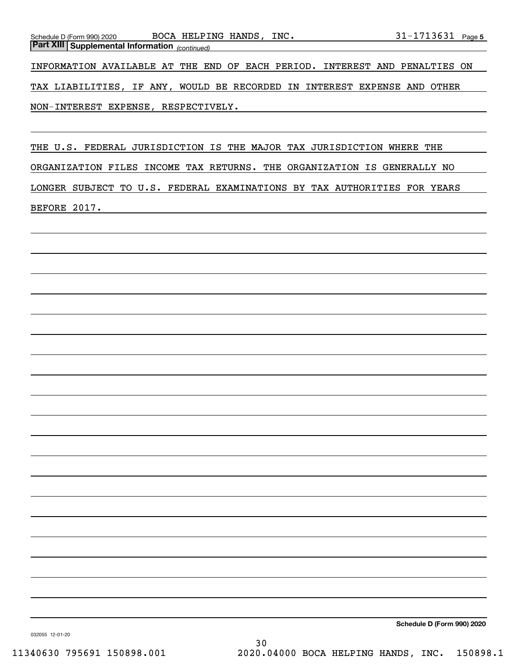| Schedule D (Form 990) 2020                            | BOCA HELPING HANDS, INC. | $31 - 1713631$ Page 5                                                      |
|-------------------------------------------------------|--------------------------|----------------------------------------------------------------------------|
| <b>Part XIII Supplemental Information</b> (continued) |                          |                                                                            |
|                                                       |                          |                                                                            |
|                                                       |                          | INFORMATION AVAILABLE AT THE END OF EACH PERIOD. INTEREST AND PENALTIES ON |
|                                                       |                          |                                                                            |
|                                                       |                          | TAX LIABILITIES, IF ANY, WOULD BE RECORDED IN INTEREST EXPENSE AND OTHER   |
|                                                       |                          |                                                                            |
| NON-INTEREST EXPENSE, RESPECTIVELY.                   |                          |                                                                            |

THE U.S. FEDERAL JURISDICTION IS THE MAJOR TAX JURISDICTION WHERE THE ORGANIZATION FILES INCOME TAX RETURNS. THE ORGANIZATION IS GENERALLY NO LONGER SUBJECT TO U.S. FEDERAL EXAMINATIONS BY TAX AUTHORITIES FOR YEARS BEFORE 2017.

**Schedule D (Form 990) 2020**

032055 12-01-20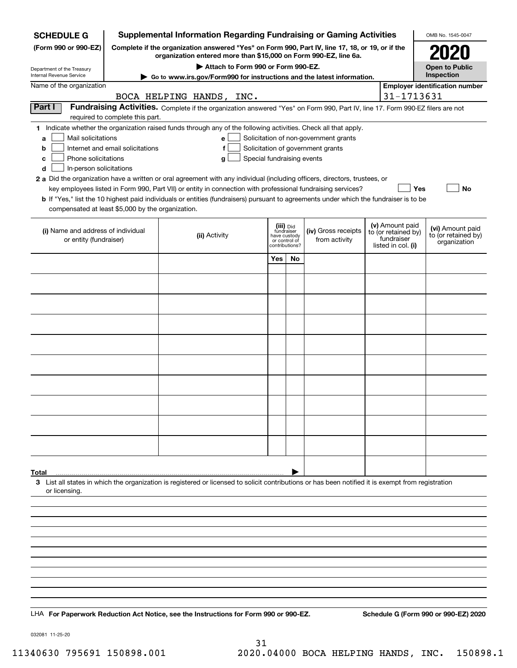| <b>SCHEDULE G</b>                                    | <b>Supplemental Information Regarding Fundraising or Gaming Activities</b>                                                                                          |                                                                                                                                                    |                                         |    |                                       |  |                                  | OMB No. 1545-0047                                   |
|------------------------------------------------------|---------------------------------------------------------------------------------------------------------------------------------------------------------------------|----------------------------------------------------------------------------------------------------------------------------------------------------|-----------------------------------------|----|---------------------------------------|--|----------------------------------|-----------------------------------------------------|
| (Form 990 or 990-EZ)                                 | Complete if the organization answered "Yes" on Form 990, Part IV, line 17, 18, or 19, or if the<br>organization entered more than \$15,000 on Form 990-EZ, line 6a. |                                                                                                                                                    |                                         |    |                                       |  |                                  | 2020                                                |
| Department of the Treasury                           | Attach to Form 990 or Form 990-EZ.                                                                                                                                  |                                                                                                                                                    |                                         |    |                                       |  |                                  | <b>Open to Public</b>                               |
| Internal Revenue Service<br>Name of the organization |                                                                                                                                                                     | Go to www.irs.gov/Form990 for instructions and the latest information.                                                                             |                                         |    |                                       |  |                                  | Inspection<br><b>Employer identification number</b> |
|                                                      |                                                                                                                                                                     | BOCA HELPING HANDS, INC.                                                                                                                           |                                         |    |                                       |  | 31-1713631                       |                                                     |
| Part I                                               | Fundraising Activities. Complete if the organization answered "Yes" on Form 990, Part IV, line 17. Form 990-EZ filers are not                                       |                                                                                                                                                    |                                         |    |                                       |  |                                  |                                                     |
|                                                      | required to complete this part.                                                                                                                                     |                                                                                                                                                    |                                         |    |                                       |  |                                  |                                                     |
| Mail solicitations<br>a                              |                                                                                                                                                                     | 1 Indicate whether the organization raised funds through any of the following activities. Check all that apply.<br>e                               |                                         |    | Solicitation of non-government grants |  |                                  |                                                     |
| b                                                    | Internet and email solicitations                                                                                                                                    | f                                                                                                                                                  |                                         |    | Solicitation of government grants     |  |                                  |                                                     |
| Phone solicitations<br>c                             |                                                                                                                                                                     | Special fundraising events<br>g                                                                                                                    |                                         |    |                                       |  |                                  |                                                     |
| In-person solicitations<br>d                         |                                                                                                                                                                     |                                                                                                                                                    |                                         |    |                                       |  |                                  |                                                     |
|                                                      |                                                                                                                                                                     | 2 a Did the organization have a written or oral agreement with any individual (including officers, directors, trustees, or                         |                                         |    |                                       |  |                                  |                                                     |
|                                                      |                                                                                                                                                                     | key employees listed in Form 990, Part VII) or entity in connection with professional fundraising services?                                        |                                         |    |                                       |  | Yes                              | No                                                  |
| compensated at least \$5,000 by the organization.    |                                                                                                                                                                     | b If "Yes," list the 10 highest paid individuals or entities (fundraisers) pursuant to agreements under which the fundraiser is to be              |                                         |    |                                       |  |                                  |                                                     |
|                                                      |                                                                                                                                                                     |                                                                                                                                                    |                                         |    |                                       |  | (v) Amount paid                  |                                                     |
| (i) Name and address of individual                   |                                                                                                                                                                     | (ii) Activity                                                                                                                                      | (iii) Did<br>fundraiser<br>have custody |    | (iv) Gross receipts                   |  | to (or retained by)              | (vi) Amount paid<br>to (or retained by)             |
| or entity (fundraiser)                               |                                                                                                                                                                     |                                                                                                                                                    | or control of<br>contributions?         |    | from activity                         |  | fundraiser<br>listed in col. (i) | organization                                        |
|                                                      |                                                                                                                                                                     |                                                                                                                                                    | Yes                                     | No |                                       |  |                                  |                                                     |
|                                                      |                                                                                                                                                                     |                                                                                                                                                    |                                         |    |                                       |  |                                  |                                                     |
|                                                      |                                                                                                                                                                     |                                                                                                                                                    |                                         |    |                                       |  |                                  |                                                     |
|                                                      |                                                                                                                                                                     |                                                                                                                                                    |                                         |    |                                       |  |                                  |                                                     |
|                                                      |                                                                                                                                                                     |                                                                                                                                                    |                                         |    |                                       |  |                                  |                                                     |
|                                                      |                                                                                                                                                                     |                                                                                                                                                    |                                         |    |                                       |  |                                  |                                                     |
|                                                      |                                                                                                                                                                     |                                                                                                                                                    |                                         |    |                                       |  |                                  |                                                     |
|                                                      |                                                                                                                                                                     |                                                                                                                                                    |                                         |    |                                       |  |                                  |                                                     |
|                                                      |                                                                                                                                                                     |                                                                                                                                                    |                                         |    |                                       |  |                                  |                                                     |
|                                                      |                                                                                                                                                                     |                                                                                                                                                    |                                         |    |                                       |  |                                  |                                                     |
|                                                      |                                                                                                                                                                     |                                                                                                                                                    |                                         |    |                                       |  |                                  |                                                     |
|                                                      |                                                                                                                                                                     |                                                                                                                                                    |                                         |    |                                       |  |                                  |                                                     |
|                                                      |                                                                                                                                                                     |                                                                                                                                                    |                                         |    |                                       |  |                                  |                                                     |
|                                                      |                                                                                                                                                                     |                                                                                                                                                    |                                         |    |                                       |  |                                  |                                                     |
|                                                      |                                                                                                                                                                     |                                                                                                                                                    |                                         |    |                                       |  |                                  |                                                     |
|                                                      |                                                                                                                                                                     |                                                                                                                                                    |                                         |    |                                       |  |                                  |                                                     |
|                                                      |                                                                                                                                                                     |                                                                                                                                                    |                                         |    |                                       |  |                                  |                                                     |
| Total                                                |                                                                                                                                                                     |                                                                                                                                                    |                                         |    |                                       |  |                                  |                                                     |
|                                                      |                                                                                                                                                                     | 3 List all states in which the organization is registered or licensed to solicit contributions or has been notified it is exempt from registration |                                         |    |                                       |  |                                  |                                                     |
| or licensing.                                        |                                                                                                                                                                     |                                                                                                                                                    |                                         |    |                                       |  |                                  |                                                     |
|                                                      |                                                                                                                                                                     |                                                                                                                                                    |                                         |    |                                       |  |                                  |                                                     |
|                                                      |                                                                                                                                                                     |                                                                                                                                                    |                                         |    |                                       |  |                                  |                                                     |
|                                                      |                                                                                                                                                                     |                                                                                                                                                    |                                         |    |                                       |  |                                  |                                                     |
|                                                      |                                                                                                                                                                     |                                                                                                                                                    |                                         |    |                                       |  |                                  |                                                     |
|                                                      |                                                                                                                                                                     |                                                                                                                                                    |                                         |    |                                       |  |                                  |                                                     |
|                                                      |                                                                                                                                                                     |                                                                                                                                                    |                                         |    |                                       |  |                                  |                                                     |
|                                                      |                                                                                                                                                                     |                                                                                                                                                    |                                         |    |                                       |  |                                  |                                                     |
|                                                      |                                                                                                                                                                     |                                                                                                                                                    |                                         |    |                                       |  |                                  |                                                     |
|                                                      |                                                                                                                                                                     | LHA For Paperwork Reduction Act Notice, see the Instructions for Form 990 or 990-EZ.                                                               |                                         |    |                                       |  |                                  | Schedule G (Form 990 or 990-EZ) 2020                |
|                                                      |                                                                                                                                                                     |                                                                                                                                                    |                                         |    |                                       |  |                                  |                                                     |

032081 11-25-20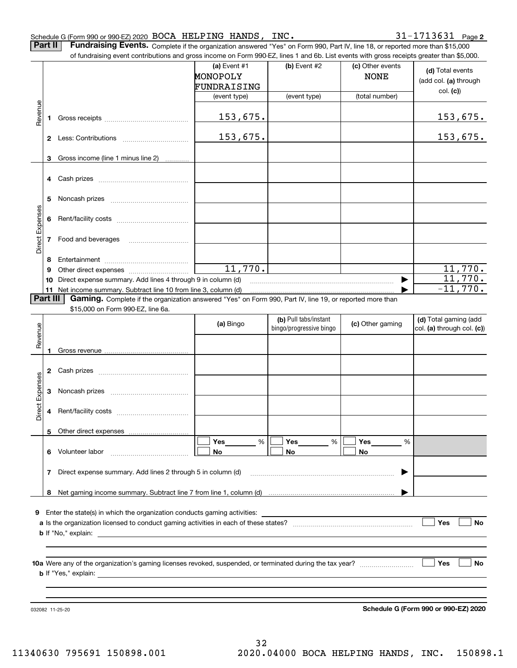#### Schedule G (Form 990 or 990-EZ) 2020 Page BOCA HELPING HANDS, INC. 31-1713631

**Part II** | Fundraising Events. Complete if the organization answered "Yes" on Form 990, Part IV, line 18, or reported more than \$15,000

|                 |          | of fundraising event contributions and gross income on Form 990-EZ, lines 1 and 6b. List events with gross receipts greater than \$5,000. |                |                         |                  |                                      |
|-----------------|----------|-------------------------------------------------------------------------------------------------------------------------------------------|----------------|-------------------------|------------------|--------------------------------------|
|                 |          |                                                                                                                                           | (a) Event $#1$ | $(b)$ Event #2          | (c) Other events | (d) Total events                     |
|                 |          |                                                                                                                                           | MONOPOLY       |                         | <b>NONE</b>      | (add col. (a) through                |
|                 |          |                                                                                                                                           | FUNDRAISING    |                         |                  | col. (c)                             |
|                 |          |                                                                                                                                           | (event type)   | (event type)            | (total number)   |                                      |
|                 |          |                                                                                                                                           |                |                         |                  |                                      |
| Revenue         | 1        |                                                                                                                                           | 153,675.       |                         |                  | <u>153,675.</u>                      |
|                 |          |                                                                                                                                           |                |                         |                  |                                      |
|                 |          |                                                                                                                                           | 153,675.       |                         |                  | <u>153,675.</u>                      |
|                 |          |                                                                                                                                           |                |                         |                  |                                      |
|                 | 3        | Gross income (line 1 minus line 2)                                                                                                        |                |                         |                  |                                      |
|                 |          |                                                                                                                                           |                |                         |                  |                                      |
|                 | 4        |                                                                                                                                           |                |                         |                  |                                      |
|                 |          |                                                                                                                                           |                |                         |                  |                                      |
|                 | 5        |                                                                                                                                           |                |                         |                  |                                      |
|                 |          |                                                                                                                                           |                |                         |                  |                                      |
| Direct Expenses | 6        |                                                                                                                                           |                |                         |                  |                                      |
|                 |          |                                                                                                                                           |                |                         |                  |                                      |
|                 | 7        | Food and beverages                                                                                                                        |                |                         |                  |                                      |
|                 |          |                                                                                                                                           |                |                         |                  |                                      |
|                 | 8        |                                                                                                                                           |                |                         |                  |                                      |
|                 | 9        |                                                                                                                                           | 11,770.        |                         |                  | 11,770.                              |
|                 | 10       | Direct expense summary. Add lines 4 through 9 in column (d)                                                                               |                |                         |                  | 11,770.                              |
|                 |          | 11 Net income summary. Subtract line 10 from line 3, column (d)                                                                           |                |                         |                  | $-11,770.$                           |
|                 | Part III | Gaming. Complete if the organization answered "Yes" on Form 990, Part IV, line 19, or reported more than                                  |                |                         |                  |                                      |
|                 |          | \$15,000 on Form 990-EZ, line 6a.                                                                                                         |                |                         |                  |                                      |
|                 |          |                                                                                                                                           |                | (b) Pull tabs/instant   |                  | (d) Total gaming (add                |
|                 |          |                                                                                                                                           | (a) Bingo      | bingo/progressive bingo | (c) Other gaming | col. (a) through col. (c))           |
| Revenue         |          |                                                                                                                                           |                |                         |                  |                                      |
|                 | 1.       |                                                                                                                                           |                |                         |                  |                                      |
|                 |          |                                                                                                                                           |                |                         |                  |                                      |
|                 | 2        |                                                                                                                                           |                |                         |                  |                                      |
| Expenses        |          |                                                                                                                                           |                |                         |                  |                                      |
|                 | З        |                                                                                                                                           |                |                         |                  |                                      |
|                 |          |                                                                                                                                           |                |                         |                  |                                      |
| <b>Direct</b>   | 4        |                                                                                                                                           |                |                         |                  |                                      |
|                 |          |                                                                                                                                           |                |                         |                  |                                      |
|                 |          | 5 Other direct expenses                                                                                                                   |                |                         |                  |                                      |
|                 |          |                                                                                                                                           | %<br>Yes       | Yes<br>%                | Yes<br>%         |                                      |
|                 | 6.       | Volunteer labor                                                                                                                           | No             | No                      | No               |                                      |
|                 |          |                                                                                                                                           |                |                         |                  |                                      |
|                 |          | 7 Direct expense summary. Add lines 2 through 5 in column (d)                                                                             |                |                         |                  |                                      |
|                 |          |                                                                                                                                           |                |                         |                  |                                      |
|                 |          |                                                                                                                                           |                |                         |                  |                                      |
|                 |          |                                                                                                                                           |                |                         |                  |                                      |
| 9               |          | Enter the state(s) in which the organization conducts gaming activities:                                                                  |                |                         |                  |                                      |
|                 |          |                                                                                                                                           |                |                         |                  | Yes<br>No                            |
|                 |          | <b>b</b> If "No," explain: $\qquad \qquad$                                                                                                |                |                         |                  |                                      |
|                 |          |                                                                                                                                           |                |                         |                  |                                      |
|                 |          |                                                                                                                                           |                |                         |                  |                                      |
|                 |          |                                                                                                                                           |                |                         |                  | Yes<br>No                            |
|                 |          |                                                                                                                                           |                |                         |                  |                                      |
|                 |          |                                                                                                                                           |                |                         |                  |                                      |
|                 |          |                                                                                                                                           |                |                         |                  |                                      |
|                 |          |                                                                                                                                           |                |                         |                  |                                      |
|                 |          | 032082 11-25-20                                                                                                                           |                |                         |                  | Schedule G (Form 990 or 990-EZ) 2020 |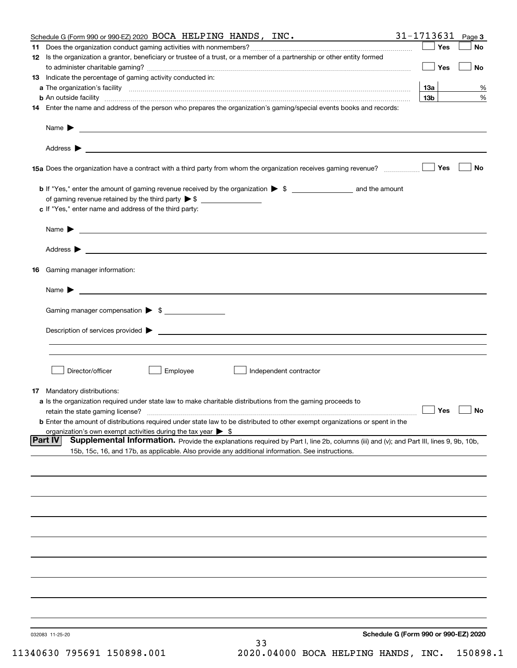| Schedule G (Form 990 or 990- $EZ$ ) 2020 BOCA HELPING HANDS, INC.                                                                                 | 31-1713631                           | Page 3    |
|---------------------------------------------------------------------------------------------------------------------------------------------------|--------------------------------------|-----------|
|                                                                                                                                                   | Yes                                  | No        |
| 12 Is the organization a grantor, beneficiary or trustee of a trust, or a member of a partnership or other entity formed                          |                                      |           |
|                                                                                                                                                   | Yes                                  | No        |
| 13 Indicate the percentage of gaming activity conducted in:                                                                                       |                                      |           |
|                                                                                                                                                   | <b>13a</b>                           | %         |
|                                                                                                                                                   | 13 <sub>b</sub>                      | %         |
| 14 Enter the name and address of the person who prepares the organization's gaming/special events books and records:                              |                                      |           |
|                                                                                                                                                   |                                      |           |
|                                                                                                                                                   |                                      |           |
|                                                                                                                                                   |                                      |           |
|                                                                                                                                                   |                                      |           |
|                                                                                                                                                   |                                      |           |
| 15a Does the organization have a contract with a third party from whom the organization receives gaming revenue?                                  | Yes                                  | No        |
|                                                                                                                                                   |                                      |           |
| <b>b</b> If "Yes," enter the amount of gaming revenue received by the organization $\triangleright$ \$                                            |                                      |           |
| of gaming revenue retained by the third party $\triangleright$ \$                                                                                 |                                      |           |
| c If "Yes," enter name and address of the third party:                                                                                            |                                      |           |
|                                                                                                                                                   |                                      |           |
|                                                                                                                                                   |                                      |           |
|                                                                                                                                                   |                                      |           |
|                                                                                                                                                   |                                      |           |
|                                                                                                                                                   |                                      |           |
| 16 Gaming manager information:                                                                                                                    |                                      |           |
|                                                                                                                                                   |                                      |           |
| Name $\blacktriangleright$ $\lrcorner$                                                                                                            |                                      |           |
|                                                                                                                                                   |                                      |           |
| Gaming manager compensation > \$                                                                                                                  |                                      |           |
|                                                                                                                                                   |                                      |           |
| $Description of services provided$ $\triangleright$                                                                                               |                                      |           |
|                                                                                                                                                   |                                      |           |
|                                                                                                                                                   |                                      |           |
|                                                                                                                                                   |                                      |           |
| Employee<br>Director/officer<br>Independent contractor                                                                                            |                                      |           |
|                                                                                                                                                   |                                      |           |
| 17 Mandatory distributions:                                                                                                                       |                                      |           |
| a Is the organization required under state law to make charitable distributions from the gaming proceeds to                                       |                                      |           |
| retain the state gaming license?                                                                                                                  | $\Box$ Yes                           | $\Box$ No |
| <b>b</b> Enter the amount of distributions required under state law to be distributed to other exempt organizations or spent in the               |                                      |           |
| organization's own exempt activities during the tax year $\triangleright$ \$                                                                      |                                      |           |
| Part IV<br>Supplemental Information. Provide the explanations required by Part I, line 2b, columns (iii) and (v); and Part III, lines 9, 9b, 10b, |                                      |           |
| 15b, 15c, 16, and 17b, as applicable. Also provide any additional information. See instructions.                                                  |                                      |           |
|                                                                                                                                                   |                                      |           |
|                                                                                                                                                   |                                      |           |
|                                                                                                                                                   |                                      |           |
|                                                                                                                                                   |                                      |           |
|                                                                                                                                                   |                                      |           |
|                                                                                                                                                   |                                      |           |
|                                                                                                                                                   |                                      |           |
|                                                                                                                                                   |                                      |           |
|                                                                                                                                                   |                                      |           |
|                                                                                                                                                   |                                      |           |
|                                                                                                                                                   |                                      |           |
|                                                                                                                                                   |                                      |           |
|                                                                                                                                                   |                                      |           |
|                                                                                                                                                   |                                      |           |
|                                                                                                                                                   |                                      |           |
|                                                                                                                                                   |                                      |           |
|                                                                                                                                                   |                                      |           |
| 032083 11-25-20                                                                                                                                   | Schedule G (Form 990 or 990-EZ) 2020 |           |
| 33<br>$\sim$ $\sim$ $\sim$ $\sim$ $\sim$ $\sim$                                                                                                   |                                      |           |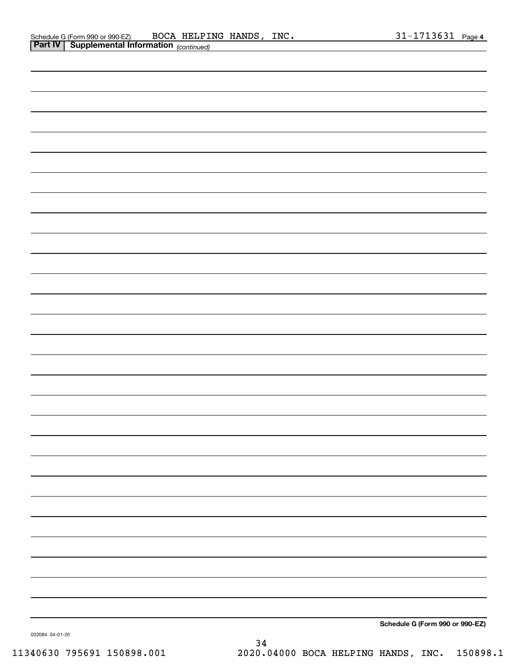|                | Schedule G (Form 990 or 990-EZ) | BOCA | HELPING     | HANDS | INC. | ـ دەد' | Page 4 |
|----------------|---------------------------------|------|-------------|-------|------|--------|--------|
| <b>Part IV</b> | Supplemental Information        |      | (continued) |       |      |        |        |

| . . | 10011111000 |                                 |
|-----|-------------|---------------------------------|
|     |             |                                 |
|     |             |                                 |
|     |             |                                 |
|     |             |                                 |
|     |             |                                 |
|     |             |                                 |
|     |             |                                 |
|     |             |                                 |
|     |             |                                 |
|     |             |                                 |
|     |             |                                 |
|     |             |                                 |
|     |             |                                 |
|     |             |                                 |
|     |             |                                 |
|     |             |                                 |
|     |             |                                 |
|     |             |                                 |
|     |             |                                 |
|     |             |                                 |
|     |             |                                 |
|     |             |                                 |
|     |             |                                 |
|     |             |                                 |
|     |             |                                 |
|     |             |                                 |
|     |             |                                 |
|     |             |                                 |
|     |             |                                 |
|     |             |                                 |
|     |             |                                 |
|     |             |                                 |
|     |             |                                 |
|     |             |                                 |
|     |             |                                 |
|     |             |                                 |
|     |             |                                 |
|     |             |                                 |
|     |             |                                 |
|     |             |                                 |
|     |             |                                 |
|     |             |                                 |
|     |             |                                 |
|     |             |                                 |
|     |             |                                 |
|     |             |                                 |
|     |             |                                 |
|     |             |                                 |
|     |             |                                 |
|     |             |                                 |
|     |             |                                 |
|     |             |                                 |
|     |             |                                 |
|     |             |                                 |
|     |             |                                 |
|     |             |                                 |
|     |             |                                 |
|     |             |                                 |
|     |             |                                 |
|     |             |                                 |
|     |             |                                 |
|     |             | Schedule G (Form 990 or 990-EZ) |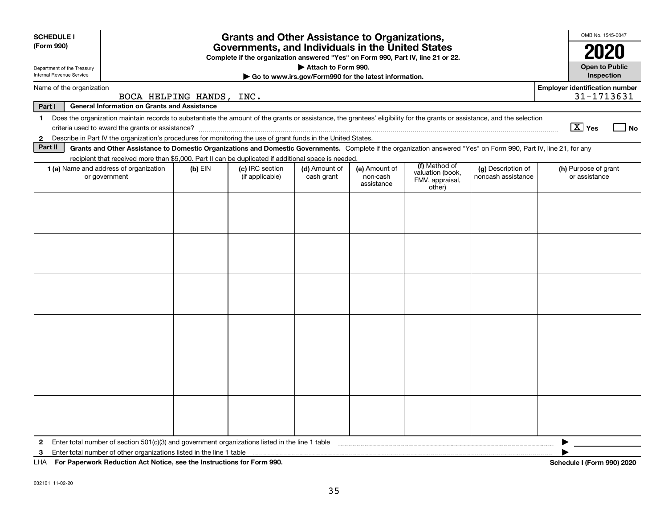| <b>SCHEDULE I</b>          |                                                                                                                                                                          |           | <b>Grants and Other Assistance to Organizations,</b>                                                                                  |                             |                                                       |                                                                |                                          | OMB No. 1545-0047                                   |
|----------------------------|--------------------------------------------------------------------------------------------------------------------------------------------------------------------------|-----------|---------------------------------------------------------------------------------------------------------------------------------------|-----------------------------|-------------------------------------------------------|----------------------------------------------------------------|------------------------------------------|-----------------------------------------------------|
| (Form 990)                 |                                                                                                                                                                          |           | Governments, and Individuals in the United States<br>Complete if the organization answered "Yes" on Form 990, Part IV, line 21 or 22. |                             |                                                       |                                                                |                                          | 2020                                                |
| Department of the Treasury |                                                                                                                                                                          |           |                                                                                                                                       | Attach to Form 990.         |                                                       |                                                                |                                          | <b>Open to Public</b>                               |
| Internal Revenue Service   |                                                                                                                                                                          |           |                                                                                                                                       |                             | Go to www.irs.gov/Form990 for the latest information. |                                                                |                                          | Inspection                                          |
| Name of the organization   | BOCA HELPING HANDS, INC.                                                                                                                                                 |           |                                                                                                                                       |                             |                                                       |                                                                |                                          | <b>Employer identification number</b><br>31-1713631 |
| Part I                     | <b>General Information on Grants and Assistance</b>                                                                                                                      |           |                                                                                                                                       |                             |                                                       |                                                                |                                          |                                                     |
| $\mathbf 1$                | Does the organization maintain records to substantiate the amount of the grants or assistance, the grantees' eligibility for the grants or assistance, and the selection |           |                                                                                                                                       |                             |                                                       |                                                                |                                          | $\boxed{\text{X}}$ Yes<br>l No                      |
| $\mathbf{2}$               | Describe in Part IV the organization's procedures for monitoring the use of grant funds in the United States.                                                            |           |                                                                                                                                       |                             |                                                       |                                                                |                                          |                                                     |
| Part II                    | Grants and Other Assistance to Domestic Organizations and Domestic Governments. Complete if the organization answered "Yes" on Form 990, Part IV, line 21, for any       |           |                                                                                                                                       |                             |                                                       |                                                                |                                          |                                                     |
|                            | recipient that received more than \$5,000. Part II can be duplicated if additional space is needed.                                                                      |           |                                                                                                                                       |                             |                                                       |                                                                |                                          |                                                     |
|                            | 1 (a) Name and address of organization<br>or government                                                                                                                  | $(b)$ EIN | (c) IRC section<br>(if applicable)                                                                                                    | (d) Amount of<br>cash grant | (e) Amount of<br>non-cash<br>assistance               | (f) Method of<br>valuation (book,<br>FMV, appraisal,<br>other) | (g) Description of<br>noncash assistance | (h) Purpose of grant<br>or assistance               |
|                            |                                                                                                                                                                          |           |                                                                                                                                       |                             |                                                       |                                                                |                                          |                                                     |
|                            |                                                                                                                                                                          |           |                                                                                                                                       |                             |                                                       |                                                                |                                          |                                                     |
|                            |                                                                                                                                                                          |           |                                                                                                                                       |                             |                                                       |                                                                |                                          |                                                     |
|                            |                                                                                                                                                                          |           |                                                                                                                                       |                             |                                                       |                                                                |                                          |                                                     |
|                            |                                                                                                                                                                          |           |                                                                                                                                       |                             |                                                       |                                                                |                                          |                                                     |
|                            |                                                                                                                                                                          |           |                                                                                                                                       |                             |                                                       |                                                                |                                          |                                                     |
|                            |                                                                                                                                                                          |           |                                                                                                                                       |                             |                                                       |                                                                |                                          |                                                     |
|                            |                                                                                                                                                                          |           |                                                                                                                                       |                             |                                                       |                                                                |                                          |                                                     |
|                            |                                                                                                                                                                          |           |                                                                                                                                       |                             |                                                       |                                                                |                                          |                                                     |
|                            |                                                                                                                                                                          |           |                                                                                                                                       |                             |                                                       |                                                                |                                          |                                                     |
|                            |                                                                                                                                                                          |           |                                                                                                                                       |                             |                                                       |                                                                |                                          |                                                     |
|                            |                                                                                                                                                                          |           |                                                                                                                                       |                             |                                                       |                                                                |                                          |                                                     |
| $\mathbf{2}$               | Enter total number of section $501(c)(3)$ and government organizations listed in the line 1 table                                                                        |           |                                                                                                                                       |                             |                                                       |                                                                |                                          |                                                     |
| 3                          | Enter total number of other organizations listed in the line 1 table                                                                                                     |           |                                                                                                                                       |                             |                                                       |                                                                |                                          |                                                     |
|                            | LHA For Paperwork Reduction Act Notice, see the Instructions for Form 990.                                                                                               |           |                                                                                                                                       |                             |                                                       |                                                                |                                          | Schedule I (Form 990) 2020                          |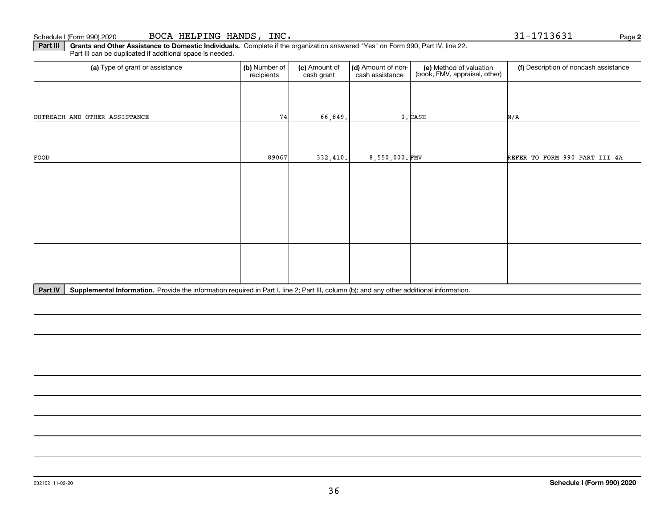**Part III | Grants and Other Assistance to Domestic Individuals. Complete if the organization answered "Yes" on Form 990, Part IV, line 22.** Part III can be duplicated if additional space is needed.

| (b) Number of<br>recipients | (c) Amount of<br>cash grant | cash assistance | (e) Method of valuation<br>(book, FMV, appraisal, other) | (f) Description of noncash assistance                 |
|-----------------------------|-----------------------------|-----------------|----------------------------------------------------------|-------------------------------------------------------|
|                             |                             |                 |                                                          |                                                       |
| 74                          |                             |                 |                                                          | N/A                                                   |
|                             |                             |                 |                                                          |                                                       |
|                             |                             |                 |                                                          | REFER TO FORM 990 PART III 4A                         |
|                             |                             |                 |                                                          |                                                       |
|                             |                             |                 |                                                          |                                                       |
|                             |                             |                 |                                                          |                                                       |
|                             |                             |                 |                                                          |                                                       |
|                             |                             |                 |                                                          |                                                       |
|                             |                             |                 |                                                          |                                                       |
|                             |                             | 89067           | 66,849.<br>332,410.                                      | (d) Amount of non-<br>$0$ . CASH<br>$8,550,000$ . FMV |

Part IV | Supplemental Information. Provide the information required in Part I, line 2; Part III, column (b); and any other additional information.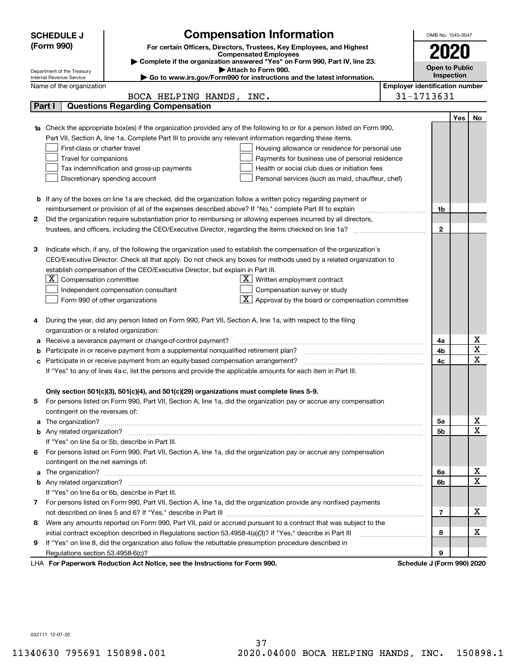| (Form 990)<br>For certain Officers, Directors, Trustees, Key Employees, and Highest<br>2020<br><b>Compensated Employees</b><br>Complete if the organization answered "Yes" on Form 990, Part IV, line 23.<br><b>Open to Public</b><br>Attach to Form 990.<br>Department of the Treasury<br>Inspection<br>Go to www.irs.gov/Form990 for instructions and the latest information.<br>Internal Revenue Service<br><b>Employer identification number</b><br>Name of the organization<br>31-1713631<br>BOCA HELPING HANDS, INC.<br><b>Questions Regarding Compensation</b><br>Part I<br><b>Yes</b><br>No<br><b>1a</b> Check the appropriate box(es) if the organization provided any of the following to or for a person listed on Form 990,<br>Part VII, Section A, line 1a. Complete Part III to provide any relevant information regarding these items.<br>First-class or charter travel<br>Housing allowance or residence for personal use<br>Travel for companions<br>Payments for business use of personal residence<br>Tax indemnification and gross-up payments<br>Health or social club dues or initiation fees<br>Discretionary spending account<br>Personal services (such as maid, chauffeur, chef)<br><b>b</b> If any of the boxes on line 1a are checked, did the organization follow a written policy regarding payment or<br>reimbursement or provision of all of the expenses described above? If "No," complete Part III to explain<br>1b<br>2<br>Did the organization require substantiation prior to reimbursing or allowing expenses incurred by all directors,<br>$\mathbf{2}$<br>trustees, and officers, including the CEO/Executive Director, regarding the items checked on line 1a?<br>з<br>Indicate which, if any, of the following the organization used to establish the compensation of the organization's<br>CEO/Executive Director. Check all that apply. Do not check any boxes for methods used by a related organization to<br>establish compensation of the CEO/Executive Director, but explain in Part III.<br>$X$ Compensation committee<br>$X$ Written employment contract<br>Compensation survey or study<br>Independent compensation consultant<br>$\boxed{\textbf{X}}$ Approval by the board or compensation committee<br>Form 990 of other organizations<br>During the year, did any person listed on Form 990, Part VII, Section A, line 1a, with respect to the filing<br>organization or a related organization:<br>х<br>Receive a severance payment or change-of-control payment?<br>4a<br>а<br>$\overline{\mathbf{x}}$<br>Participate in or receive payment from a supplemental nonqualified retirement plan?<br>4b<br>b<br>$\overline{\mathbf{x}}$<br>4c<br>Participate in or receive payment from an equity-based compensation arrangement?<br>с<br>If "Yes" to any of lines 4a-c, list the persons and provide the applicable amounts for each item in Part III.<br>Only section 501(c)(3), 501(c)(4), and 501(c)(29) organizations must complete lines 5-9.<br>For persons listed on Form 990, Part VII, Section A, line 1a, did the organization pay or accrue any compensation<br>contingent on the revenues of:<br>x<br>a The organization? <b>Entitation</b> and the organization?<br>5a<br>$\overline{\mathbf{x}}$<br>5b<br>If "Yes" on line 5a or 5b, describe in Part III.<br>For persons listed on Form 990, Part VII, Section A, line 1a, did the organization pay or accrue any compensation<br>6.<br>contingent on the net earnings of:<br>х<br>6a<br>a<br>$\overline{\mathbf{x}}$<br>6b<br>If "Yes" on line 6a or 6b, describe in Part III.<br>7 For persons listed on Form 990, Part VII, Section A, line 1a, did the organization provide any nonfixed payments<br>х<br>7<br>Were any amounts reported on Form 990, Part VII, paid or accrued pursuant to a contract that was subject to the<br>8<br>х<br>initial contract exception described in Regulations section 53.4958-4(a)(3)? If "Yes," describe in Part III<br>8<br>If "Yes" on line 8, did the organization also follow the rebuttable presumption procedure described in<br>9<br>9<br>Regulations section 53.4958-6(c)? | <b>Compensation Information</b><br><b>SCHEDULE J</b>                       | OMB No. 1545-0047 |  |
|--------------------------------------------------------------------------------------------------------------------------------------------------------------------------------------------------------------------------------------------------------------------------------------------------------------------------------------------------------------------------------------------------------------------------------------------------------------------------------------------------------------------------------------------------------------------------------------------------------------------------------------------------------------------------------------------------------------------------------------------------------------------------------------------------------------------------------------------------------------------------------------------------------------------------------------------------------------------------------------------------------------------------------------------------------------------------------------------------------------------------------------------------------------------------------------------------------------------------------------------------------------------------------------------------------------------------------------------------------------------------------------------------------------------------------------------------------------------------------------------------------------------------------------------------------------------------------------------------------------------------------------------------------------------------------------------------------------------------------------------------------------------------------------------------------------------------------------------------------------------------------------------------------------------------------------------------------------------------------------------------------------------------------------------------------------------------------------------------------------------------------------------------------------------------------------------------------------------------------------------------------------------------------------------------------------------------------------------------------------------------------------------------------------------------------------------------------------------------------------------------------------------------------------------------------------------------------------------------------------------------------------------------------------------------------------------------------------------------------------------------------------------------------------------------------------------------------------------------------------------------------------------------------------------------------------------------------------------------------------------------------------------------------------------------------------------------------------------------------------------------------------------------------------------------------------------------------------------------------------------------------------------------------------------------------------------------------------------------------------------------------------------------------------------------------------------------------------------------------------------------------------------------------------------------------------------------------------------------------------------------------------------------------------------------------------------------------------------------------------------------------------------------------------------------------------------------------------------------------------------------------------------------------------------------------------------------------------------------------------------------------------------------------------------------------------------------------------------------------------------------------------------------|----------------------------------------------------------------------------|-------------------|--|
|                                                                                                                                                                                                                                                                                                                                                                                                                                                                                                                                                                                                                                                                                                                                                                                                                                                                                                                                                                                                                                                                                                                                                                                                                                                                                                                                                                                                                                                                                                                                                                                                                                                                                                                                                                                                                                                                                                                                                                                                                                                                                                                                                                                                                                                                                                                                                                                                                                                                                                                                                                                                                                                                                                                                                                                                                                                                                                                                                                                                                                                                                                                                                                                                                                                                                                                                                                                                                                                                                                                                                                                                                                                                                                                                                                                                                                                                                                                                                                                                                                                                                                                                                  |                                                                            |                   |  |
|                                                                                                                                                                                                                                                                                                                                                                                                                                                                                                                                                                                                                                                                                                                                                                                                                                                                                                                                                                                                                                                                                                                                                                                                                                                                                                                                                                                                                                                                                                                                                                                                                                                                                                                                                                                                                                                                                                                                                                                                                                                                                                                                                                                                                                                                                                                                                                                                                                                                                                                                                                                                                                                                                                                                                                                                                                                                                                                                                                                                                                                                                                                                                                                                                                                                                                                                                                                                                                                                                                                                                                                                                                                                                                                                                                                                                                                                                                                                                                                                                                                                                                                                                  |                                                                            |                   |  |
|                                                                                                                                                                                                                                                                                                                                                                                                                                                                                                                                                                                                                                                                                                                                                                                                                                                                                                                                                                                                                                                                                                                                                                                                                                                                                                                                                                                                                                                                                                                                                                                                                                                                                                                                                                                                                                                                                                                                                                                                                                                                                                                                                                                                                                                                                                                                                                                                                                                                                                                                                                                                                                                                                                                                                                                                                                                                                                                                                                                                                                                                                                                                                                                                                                                                                                                                                                                                                                                                                                                                                                                                                                                                                                                                                                                                                                                                                                                                                                                                                                                                                                                                                  |                                                                            |                   |  |
|                                                                                                                                                                                                                                                                                                                                                                                                                                                                                                                                                                                                                                                                                                                                                                                                                                                                                                                                                                                                                                                                                                                                                                                                                                                                                                                                                                                                                                                                                                                                                                                                                                                                                                                                                                                                                                                                                                                                                                                                                                                                                                                                                                                                                                                                                                                                                                                                                                                                                                                                                                                                                                                                                                                                                                                                                                                                                                                                                                                                                                                                                                                                                                                                                                                                                                                                                                                                                                                                                                                                                                                                                                                                                                                                                                                                                                                                                                                                                                                                                                                                                                                                                  |                                                                            |                   |  |
|                                                                                                                                                                                                                                                                                                                                                                                                                                                                                                                                                                                                                                                                                                                                                                                                                                                                                                                                                                                                                                                                                                                                                                                                                                                                                                                                                                                                                                                                                                                                                                                                                                                                                                                                                                                                                                                                                                                                                                                                                                                                                                                                                                                                                                                                                                                                                                                                                                                                                                                                                                                                                                                                                                                                                                                                                                                                                                                                                                                                                                                                                                                                                                                                                                                                                                                                                                                                                                                                                                                                                                                                                                                                                                                                                                                                                                                                                                                                                                                                                                                                                                                                                  |                                                                            |                   |  |
|                                                                                                                                                                                                                                                                                                                                                                                                                                                                                                                                                                                                                                                                                                                                                                                                                                                                                                                                                                                                                                                                                                                                                                                                                                                                                                                                                                                                                                                                                                                                                                                                                                                                                                                                                                                                                                                                                                                                                                                                                                                                                                                                                                                                                                                                                                                                                                                                                                                                                                                                                                                                                                                                                                                                                                                                                                                                                                                                                                                                                                                                                                                                                                                                                                                                                                                                                                                                                                                                                                                                                                                                                                                                                                                                                                                                                                                                                                                                                                                                                                                                                                                                                  |                                                                            |                   |  |
|                                                                                                                                                                                                                                                                                                                                                                                                                                                                                                                                                                                                                                                                                                                                                                                                                                                                                                                                                                                                                                                                                                                                                                                                                                                                                                                                                                                                                                                                                                                                                                                                                                                                                                                                                                                                                                                                                                                                                                                                                                                                                                                                                                                                                                                                                                                                                                                                                                                                                                                                                                                                                                                                                                                                                                                                                                                                                                                                                                                                                                                                                                                                                                                                                                                                                                                                                                                                                                                                                                                                                                                                                                                                                                                                                                                                                                                                                                                                                                                                                                                                                                                                                  |                                                                            |                   |  |
|                                                                                                                                                                                                                                                                                                                                                                                                                                                                                                                                                                                                                                                                                                                                                                                                                                                                                                                                                                                                                                                                                                                                                                                                                                                                                                                                                                                                                                                                                                                                                                                                                                                                                                                                                                                                                                                                                                                                                                                                                                                                                                                                                                                                                                                                                                                                                                                                                                                                                                                                                                                                                                                                                                                                                                                                                                                                                                                                                                                                                                                                                                                                                                                                                                                                                                                                                                                                                                                                                                                                                                                                                                                                                                                                                                                                                                                                                                                                                                                                                                                                                                                                                  |                                                                            |                   |  |
|                                                                                                                                                                                                                                                                                                                                                                                                                                                                                                                                                                                                                                                                                                                                                                                                                                                                                                                                                                                                                                                                                                                                                                                                                                                                                                                                                                                                                                                                                                                                                                                                                                                                                                                                                                                                                                                                                                                                                                                                                                                                                                                                                                                                                                                                                                                                                                                                                                                                                                                                                                                                                                                                                                                                                                                                                                                                                                                                                                                                                                                                                                                                                                                                                                                                                                                                                                                                                                                                                                                                                                                                                                                                                                                                                                                                                                                                                                                                                                                                                                                                                                                                                  |                                                                            |                   |  |
|                                                                                                                                                                                                                                                                                                                                                                                                                                                                                                                                                                                                                                                                                                                                                                                                                                                                                                                                                                                                                                                                                                                                                                                                                                                                                                                                                                                                                                                                                                                                                                                                                                                                                                                                                                                                                                                                                                                                                                                                                                                                                                                                                                                                                                                                                                                                                                                                                                                                                                                                                                                                                                                                                                                                                                                                                                                                                                                                                                                                                                                                                                                                                                                                                                                                                                                                                                                                                                                                                                                                                                                                                                                                                                                                                                                                                                                                                                                                                                                                                                                                                                                                                  |                                                                            |                   |  |
|                                                                                                                                                                                                                                                                                                                                                                                                                                                                                                                                                                                                                                                                                                                                                                                                                                                                                                                                                                                                                                                                                                                                                                                                                                                                                                                                                                                                                                                                                                                                                                                                                                                                                                                                                                                                                                                                                                                                                                                                                                                                                                                                                                                                                                                                                                                                                                                                                                                                                                                                                                                                                                                                                                                                                                                                                                                                                                                                                                                                                                                                                                                                                                                                                                                                                                                                                                                                                                                                                                                                                                                                                                                                                                                                                                                                                                                                                                                                                                                                                                                                                                                                                  |                                                                            |                   |  |
|                                                                                                                                                                                                                                                                                                                                                                                                                                                                                                                                                                                                                                                                                                                                                                                                                                                                                                                                                                                                                                                                                                                                                                                                                                                                                                                                                                                                                                                                                                                                                                                                                                                                                                                                                                                                                                                                                                                                                                                                                                                                                                                                                                                                                                                                                                                                                                                                                                                                                                                                                                                                                                                                                                                                                                                                                                                                                                                                                                                                                                                                                                                                                                                                                                                                                                                                                                                                                                                                                                                                                                                                                                                                                                                                                                                                                                                                                                                                                                                                                                                                                                                                                  |                                                                            |                   |  |
|                                                                                                                                                                                                                                                                                                                                                                                                                                                                                                                                                                                                                                                                                                                                                                                                                                                                                                                                                                                                                                                                                                                                                                                                                                                                                                                                                                                                                                                                                                                                                                                                                                                                                                                                                                                                                                                                                                                                                                                                                                                                                                                                                                                                                                                                                                                                                                                                                                                                                                                                                                                                                                                                                                                                                                                                                                                                                                                                                                                                                                                                                                                                                                                                                                                                                                                                                                                                                                                                                                                                                                                                                                                                                                                                                                                                                                                                                                                                                                                                                                                                                                                                                  |                                                                            |                   |  |
|                                                                                                                                                                                                                                                                                                                                                                                                                                                                                                                                                                                                                                                                                                                                                                                                                                                                                                                                                                                                                                                                                                                                                                                                                                                                                                                                                                                                                                                                                                                                                                                                                                                                                                                                                                                                                                                                                                                                                                                                                                                                                                                                                                                                                                                                                                                                                                                                                                                                                                                                                                                                                                                                                                                                                                                                                                                                                                                                                                                                                                                                                                                                                                                                                                                                                                                                                                                                                                                                                                                                                                                                                                                                                                                                                                                                                                                                                                                                                                                                                                                                                                                                                  |                                                                            |                   |  |
|                                                                                                                                                                                                                                                                                                                                                                                                                                                                                                                                                                                                                                                                                                                                                                                                                                                                                                                                                                                                                                                                                                                                                                                                                                                                                                                                                                                                                                                                                                                                                                                                                                                                                                                                                                                                                                                                                                                                                                                                                                                                                                                                                                                                                                                                                                                                                                                                                                                                                                                                                                                                                                                                                                                                                                                                                                                                                                                                                                                                                                                                                                                                                                                                                                                                                                                                                                                                                                                                                                                                                                                                                                                                                                                                                                                                                                                                                                                                                                                                                                                                                                                                                  |                                                                            |                   |  |
|                                                                                                                                                                                                                                                                                                                                                                                                                                                                                                                                                                                                                                                                                                                                                                                                                                                                                                                                                                                                                                                                                                                                                                                                                                                                                                                                                                                                                                                                                                                                                                                                                                                                                                                                                                                                                                                                                                                                                                                                                                                                                                                                                                                                                                                                                                                                                                                                                                                                                                                                                                                                                                                                                                                                                                                                                                                                                                                                                                                                                                                                                                                                                                                                                                                                                                                                                                                                                                                                                                                                                                                                                                                                                                                                                                                                                                                                                                                                                                                                                                                                                                                                                  |                                                                            |                   |  |
|                                                                                                                                                                                                                                                                                                                                                                                                                                                                                                                                                                                                                                                                                                                                                                                                                                                                                                                                                                                                                                                                                                                                                                                                                                                                                                                                                                                                                                                                                                                                                                                                                                                                                                                                                                                                                                                                                                                                                                                                                                                                                                                                                                                                                                                                                                                                                                                                                                                                                                                                                                                                                                                                                                                                                                                                                                                                                                                                                                                                                                                                                                                                                                                                                                                                                                                                                                                                                                                                                                                                                                                                                                                                                                                                                                                                                                                                                                                                                                                                                                                                                                                                                  |                                                                            |                   |  |
|                                                                                                                                                                                                                                                                                                                                                                                                                                                                                                                                                                                                                                                                                                                                                                                                                                                                                                                                                                                                                                                                                                                                                                                                                                                                                                                                                                                                                                                                                                                                                                                                                                                                                                                                                                                                                                                                                                                                                                                                                                                                                                                                                                                                                                                                                                                                                                                                                                                                                                                                                                                                                                                                                                                                                                                                                                                                                                                                                                                                                                                                                                                                                                                                                                                                                                                                                                                                                                                                                                                                                                                                                                                                                                                                                                                                                                                                                                                                                                                                                                                                                                                                                  |                                                                            |                   |  |
|                                                                                                                                                                                                                                                                                                                                                                                                                                                                                                                                                                                                                                                                                                                                                                                                                                                                                                                                                                                                                                                                                                                                                                                                                                                                                                                                                                                                                                                                                                                                                                                                                                                                                                                                                                                                                                                                                                                                                                                                                                                                                                                                                                                                                                                                                                                                                                                                                                                                                                                                                                                                                                                                                                                                                                                                                                                                                                                                                                                                                                                                                                                                                                                                                                                                                                                                                                                                                                                                                                                                                                                                                                                                                                                                                                                                                                                                                                                                                                                                                                                                                                                                                  |                                                                            |                   |  |
|                                                                                                                                                                                                                                                                                                                                                                                                                                                                                                                                                                                                                                                                                                                                                                                                                                                                                                                                                                                                                                                                                                                                                                                                                                                                                                                                                                                                                                                                                                                                                                                                                                                                                                                                                                                                                                                                                                                                                                                                                                                                                                                                                                                                                                                                                                                                                                                                                                                                                                                                                                                                                                                                                                                                                                                                                                                                                                                                                                                                                                                                                                                                                                                                                                                                                                                                                                                                                                                                                                                                                                                                                                                                                                                                                                                                                                                                                                                                                                                                                                                                                                                                                  |                                                                            |                   |  |
|                                                                                                                                                                                                                                                                                                                                                                                                                                                                                                                                                                                                                                                                                                                                                                                                                                                                                                                                                                                                                                                                                                                                                                                                                                                                                                                                                                                                                                                                                                                                                                                                                                                                                                                                                                                                                                                                                                                                                                                                                                                                                                                                                                                                                                                                                                                                                                                                                                                                                                                                                                                                                                                                                                                                                                                                                                                                                                                                                                                                                                                                                                                                                                                                                                                                                                                                                                                                                                                                                                                                                                                                                                                                                                                                                                                                                                                                                                                                                                                                                                                                                                                                                  |                                                                            |                   |  |
|                                                                                                                                                                                                                                                                                                                                                                                                                                                                                                                                                                                                                                                                                                                                                                                                                                                                                                                                                                                                                                                                                                                                                                                                                                                                                                                                                                                                                                                                                                                                                                                                                                                                                                                                                                                                                                                                                                                                                                                                                                                                                                                                                                                                                                                                                                                                                                                                                                                                                                                                                                                                                                                                                                                                                                                                                                                                                                                                                                                                                                                                                                                                                                                                                                                                                                                                                                                                                                                                                                                                                                                                                                                                                                                                                                                                                                                                                                                                                                                                                                                                                                                                                  |                                                                            |                   |  |
|                                                                                                                                                                                                                                                                                                                                                                                                                                                                                                                                                                                                                                                                                                                                                                                                                                                                                                                                                                                                                                                                                                                                                                                                                                                                                                                                                                                                                                                                                                                                                                                                                                                                                                                                                                                                                                                                                                                                                                                                                                                                                                                                                                                                                                                                                                                                                                                                                                                                                                                                                                                                                                                                                                                                                                                                                                                                                                                                                                                                                                                                                                                                                                                                                                                                                                                                                                                                                                                                                                                                                                                                                                                                                                                                                                                                                                                                                                                                                                                                                                                                                                                                                  |                                                                            |                   |  |
|                                                                                                                                                                                                                                                                                                                                                                                                                                                                                                                                                                                                                                                                                                                                                                                                                                                                                                                                                                                                                                                                                                                                                                                                                                                                                                                                                                                                                                                                                                                                                                                                                                                                                                                                                                                                                                                                                                                                                                                                                                                                                                                                                                                                                                                                                                                                                                                                                                                                                                                                                                                                                                                                                                                                                                                                                                                                                                                                                                                                                                                                                                                                                                                                                                                                                                                                                                                                                                                                                                                                                                                                                                                                                                                                                                                                                                                                                                                                                                                                                                                                                                                                                  |                                                                            |                   |  |
|                                                                                                                                                                                                                                                                                                                                                                                                                                                                                                                                                                                                                                                                                                                                                                                                                                                                                                                                                                                                                                                                                                                                                                                                                                                                                                                                                                                                                                                                                                                                                                                                                                                                                                                                                                                                                                                                                                                                                                                                                                                                                                                                                                                                                                                                                                                                                                                                                                                                                                                                                                                                                                                                                                                                                                                                                                                                                                                                                                                                                                                                                                                                                                                                                                                                                                                                                                                                                                                                                                                                                                                                                                                                                                                                                                                                                                                                                                                                                                                                                                                                                                                                                  |                                                                            |                   |  |
|                                                                                                                                                                                                                                                                                                                                                                                                                                                                                                                                                                                                                                                                                                                                                                                                                                                                                                                                                                                                                                                                                                                                                                                                                                                                                                                                                                                                                                                                                                                                                                                                                                                                                                                                                                                                                                                                                                                                                                                                                                                                                                                                                                                                                                                                                                                                                                                                                                                                                                                                                                                                                                                                                                                                                                                                                                                                                                                                                                                                                                                                                                                                                                                                                                                                                                                                                                                                                                                                                                                                                                                                                                                                                                                                                                                                                                                                                                                                                                                                                                                                                                                                                  |                                                                            |                   |  |
|                                                                                                                                                                                                                                                                                                                                                                                                                                                                                                                                                                                                                                                                                                                                                                                                                                                                                                                                                                                                                                                                                                                                                                                                                                                                                                                                                                                                                                                                                                                                                                                                                                                                                                                                                                                                                                                                                                                                                                                                                                                                                                                                                                                                                                                                                                                                                                                                                                                                                                                                                                                                                                                                                                                                                                                                                                                                                                                                                                                                                                                                                                                                                                                                                                                                                                                                                                                                                                                                                                                                                                                                                                                                                                                                                                                                                                                                                                                                                                                                                                                                                                                                                  |                                                                            |                   |  |
|                                                                                                                                                                                                                                                                                                                                                                                                                                                                                                                                                                                                                                                                                                                                                                                                                                                                                                                                                                                                                                                                                                                                                                                                                                                                                                                                                                                                                                                                                                                                                                                                                                                                                                                                                                                                                                                                                                                                                                                                                                                                                                                                                                                                                                                                                                                                                                                                                                                                                                                                                                                                                                                                                                                                                                                                                                                                                                                                                                                                                                                                                                                                                                                                                                                                                                                                                                                                                                                                                                                                                                                                                                                                                                                                                                                                                                                                                                                                                                                                                                                                                                                                                  |                                                                            |                   |  |
|                                                                                                                                                                                                                                                                                                                                                                                                                                                                                                                                                                                                                                                                                                                                                                                                                                                                                                                                                                                                                                                                                                                                                                                                                                                                                                                                                                                                                                                                                                                                                                                                                                                                                                                                                                                                                                                                                                                                                                                                                                                                                                                                                                                                                                                                                                                                                                                                                                                                                                                                                                                                                                                                                                                                                                                                                                                                                                                                                                                                                                                                                                                                                                                                                                                                                                                                                                                                                                                                                                                                                                                                                                                                                                                                                                                                                                                                                                                                                                                                                                                                                                                                                  |                                                                            |                   |  |
|                                                                                                                                                                                                                                                                                                                                                                                                                                                                                                                                                                                                                                                                                                                                                                                                                                                                                                                                                                                                                                                                                                                                                                                                                                                                                                                                                                                                                                                                                                                                                                                                                                                                                                                                                                                                                                                                                                                                                                                                                                                                                                                                                                                                                                                                                                                                                                                                                                                                                                                                                                                                                                                                                                                                                                                                                                                                                                                                                                                                                                                                                                                                                                                                                                                                                                                                                                                                                                                                                                                                                                                                                                                                                                                                                                                                                                                                                                                                                                                                                                                                                                                                                  |                                                                            |                   |  |
|                                                                                                                                                                                                                                                                                                                                                                                                                                                                                                                                                                                                                                                                                                                                                                                                                                                                                                                                                                                                                                                                                                                                                                                                                                                                                                                                                                                                                                                                                                                                                                                                                                                                                                                                                                                                                                                                                                                                                                                                                                                                                                                                                                                                                                                                                                                                                                                                                                                                                                                                                                                                                                                                                                                                                                                                                                                                                                                                                                                                                                                                                                                                                                                                                                                                                                                                                                                                                                                                                                                                                                                                                                                                                                                                                                                                                                                                                                                                                                                                                                                                                                                                                  |                                                                            |                   |  |
|                                                                                                                                                                                                                                                                                                                                                                                                                                                                                                                                                                                                                                                                                                                                                                                                                                                                                                                                                                                                                                                                                                                                                                                                                                                                                                                                                                                                                                                                                                                                                                                                                                                                                                                                                                                                                                                                                                                                                                                                                                                                                                                                                                                                                                                                                                                                                                                                                                                                                                                                                                                                                                                                                                                                                                                                                                                                                                                                                                                                                                                                                                                                                                                                                                                                                                                                                                                                                                                                                                                                                                                                                                                                                                                                                                                                                                                                                                                                                                                                                                                                                                                                                  |                                                                            |                   |  |
|                                                                                                                                                                                                                                                                                                                                                                                                                                                                                                                                                                                                                                                                                                                                                                                                                                                                                                                                                                                                                                                                                                                                                                                                                                                                                                                                                                                                                                                                                                                                                                                                                                                                                                                                                                                                                                                                                                                                                                                                                                                                                                                                                                                                                                                                                                                                                                                                                                                                                                                                                                                                                                                                                                                                                                                                                                                                                                                                                                                                                                                                                                                                                                                                                                                                                                                                                                                                                                                                                                                                                                                                                                                                                                                                                                                                                                                                                                                                                                                                                                                                                                                                                  |                                                                            |                   |  |
|                                                                                                                                                                                                                                                                                                                                                                                                                                                                                                                                                                                                                                                                                                                                                                                                                                                                                                                                                                                                                                                                                                                                                                                                                                                                                                                                                                                                                                                                                                                                                                                                                                                                                                                                                                                                                                                                                                                                                                                                                                                                                                                                                                                                                                                                                                                                                                                                                                                                                                                                                                                                                                                                                                                                                                                                                                                                                                                                                                                                                                                                                                                                                                                                                                                                                                                                                                                                                                                                                                                                                                                                                                                                                                                                                                                                                                                                                                                                                                                                                                                                                                                                                  |                                                                            |                   |  |
|                                                                                                                                                                                                                                                                                                                                                                                                                                                                                                                                                                                                                                                                                                                                                                                                                                                                                                                                                                                                                                                                                                                                                                                                                                                                                                                                                                                                                                                                                                                                                                                                                                                                                                                                                                                                                                                                                                                                                                                                                                                                                                                                                                                                                                                                                                                                                                                                                                                                                                                                                                                                                                                                                                                                                                                                                                                                                                                                                                                                                                                                                                                                                                                                                                                                                                                                                                                                                                                                                                                                                                                                                                                                                                                                                                                                                                                                                                                                                                                                                                                                                                                                                  |                                                                            |                   |  |
|                                                                                                                                                                                                                                                                                                                                                                                                                                                                                                                                                                                                                                                                                                                                                                                                                                                                                                                                                                                                                                                                                                                                                                                                                                                                                                                                                                                                                                                                                                                                                                                                                                                                                                                                                                                                                                                                                                                                                                                                                                                                                                                                                                                                                                                                                                                                                                                                                                                                                                                                                                                                                                                                                                                                                                                                                                                                                                                                                                                                                                                                                                                                                                                                                                                                                                                                                                                                                                                                                                                                                                                                                                                                                                                                                                                                                                                                                                                                                                                                                                                                                                                                                  |                                                                            |                   |  |
|                                                                                                                                                                                                                                                                                                                                                                                                                                                                                                                                                                                                                                                                                                                                                                                                                                                                                                                                                                                                                                                                                                                                                                                                                                                                                                                                                                                                                                                                                                                                                                                                                                                                                                                                                                                                                                                                                                                                                                                                                                                                                                                                                                                                                                                                                                                                                                                                                                                                                                                                                                                                                                                                                                                                                                                                                                                                                                                                                                                                                                                                                                                                                                                                                                                                                                                                                                                                                                                                                                                                                                                                                                                                                                                                                                                                                                                                                                                                                                                                                                                                                                                                                  |                                                                            |                   |  |
|                                                                                                                                                                                                                                                                                                                                                                                                                                                                                                                                                                                                                                                                                                                                                                                                                                                                                                                                                                                                                                                                                                                                                                                                                                                                                                                                                                                                                                                                                                                                                                                                                                                                                                                                                                                                                                                                                                                                                                                                                                                                                                                                                                                                                                                                                                                                                                                                                                                                                                                                                                                                                                                                                                                                                                                                                                                                                                                                                                                                                                                                                                                                                                                                                                                                                                                                                                                                                                                                                                                                                                                                                                                                                                                                                                                                                                                                                                                                                                                                                                                                                                                                                  |                                                                            |                   |  |
|                                                                                                                                                                                                                                                                                                                                                                                                                                                                                                                                                                                                                                                                                                                                                                                                                                                                                                                                                                                                                                                                                                                                                                                                                                                                                                                                                                                                                                                                                                                                                                                                                                                                                                                                                                                                                                                                                                                                                                                                                                                                                                                                                                                                                                                                                                                                                                                                                                                                                                                                                                                                                                                                                                                                                                                                                                                                                                                                                                                                                                                                                                                                                                                                                                                                                                                                                                                                                                                                                                                                                                                                                                                                                                                                                                                                                                                                                                                                                                                                                                                                                                                                                  |                                                                            |                   |  |
|                                                                                                                                                                                                                                                                                                                                                                                                                                                                                                                                                                                                                                                                                                                                                                                                                                                                                                                                                                                                                                                                                                                                                                                                                                                                                                                                                                                                                                                                                                                                                                                                                                                                                                                                                                                                                                                                                                                                                                                                                                                                                                                                                                                                                                                                                                                                                                                                                                                                                                                                                                                                                                                                                                                                                                                                                                                                                                                                                                                                                                                                                                                                                                                                                                                                                                                                                                                                                                                                                                                                                                                                                                                                                                                                                                                                                                                                                                                                                                                                                                                                                                                                                  |                                                                            |                   |  |
|                                                                                                                                                                                                                                                                                                                                                                                                                                                                                                                                                                                                                                                                                                                                                                                                                                                                                                                                                                                                                                                                                                                                                                                                                                                                                                                                                                                                                                                                                                                                                                                                                                                                                                                                                                                                                                                                                                                                                                                                                                                                                                                                                                                                                                                                                                                                                                                                                                                                                                                                                                                                                                                                                                                                                                                                                                                                                                                                                                                                                                                                                                                                                                                                                                                                                                                                                                                                                                                                                                                                                                                                                                                                                                                                                                                                                                                                                                                                                                                                                                                                                                                                                  |                                                                            |                   |  |
|                                                                                                                                                                                                                                                                                                                                                                                                                                                                                                                                                                                                                                                                                                                                                                                                                                                                                                                                                                                                                                                                                                                                                                                                                                                                                                                                                                                                                                                                                                                                                                                                                                                                                                                                                                                                                                                                                                                                                                                                                                                                                                                                                                                                                                                                                                                                                                                                                                                                                                                                                                                                                                                                                                                                                                                                                                                                                                                                                                                                                                                                                                                                                                                                                                                                                                                                                                                                                                                                                                                                                                                                                                                                                                                                                                                                                                                                                                                                                                                                                                                                                                                                                  |                                                                            |                   |  |
|                                                                                                                                                                                                                                                                                                                                                                                                                                                                                                                                                                                                                                                                                                                                                                                                                                                                                                                                                                                                                                                                                                                                                                                                                                                                                                                                                                                                                                                                                                                                                                                                                                                                                                                                                                                                                                                                                                                                                                                                                                                                                                                                                                                                                                                                                                                                                                                                                                                                                                                                                                                                                                                                                                                                                                                                                                                                                                                                                                                                                                                                                                                                                                                                                                                                                                                                                                                                                                                                                                                                                                                                                                                                                                                                                                                                                                                                                                                                                                                                                                                                                                                                                  |                                                                            |                   |  |
|                                                                                                                                                                                                                                                                                                                                                                                                                                                                                                                                                                                                                                                                                                                                                                                                                                                                                                                                                                                                                                                                                                                                                                                                                                                                                                                                                                                                                                                                                                                                                                                                                                                                                                                                                                                                                                                                                                                                                                                                                                                                                                                                                                                                                                                                                                                                                                                                                                                                                                                                                                                                                                                                                                                                                                                                                                                                                                                                                                                                                                                                                                                                                                                                                                                                                                                                                                                                                                                                                                                                                                                                                                                                                                                                                                                                                                                                                                                                                                                                                                                                                                                                                  |                                                                            |                   |  |
|                                                                                                                                                                                                                                                                                                                                                                                                                                                                                                                                                                                                                                                                                                                                                                                                                                                                                                                                                                                                                                                                                                                                                                                                                                                                                                                                                                                                                                                                                                                                                                                                                                                                                                                                                                                                                                                                                                                                                                                                                                                                                                                                                                                                                                                                                                                                                                                                                                                                                                                                                                                                                                                                                                                                                                                                                                                                                                                                                                                                                                                                                                                                                                                                                                                                                                                                                                                                                                                                                                                                                                                                                                                                                                                                                                                                                                                                                                                                                                                                                                                                                                                                                  |                                                                            |                   |  |
|                                                                                                                                                                                                                                                                                                                                                                                                                                                                                                                                                                                                                                                                                                                                                                                                                                                                                                                                                                                                                                                                                                                                                                                                                                                                                                                                                                                                                                                                                                                                                                                                                                                                                                                                                                                                                                                                                                                                                                                                                                                                                                                                                                                                                                                                                                                                                                                                                                                                                                                                                                                                                                                                                                                                                                                                                                                                                                                                                                                                                                                                                                                                                                                                                                                                                                                                                                                                                                                                                                                                                                                                                                                                                                                                                                                                                                                                                                                                                                                                                                                                                                                                                  |                                                                            |                   |  |
|                                                                                                                                                                                                                                                                                                                                                                                                                                                                                                                                                                                                                                                                                                                                                                                                                                                                                                                                                                                                                                                                                                                                                                                                                                                                                                                                                                                                                                                                                                                                                                                                                                                                                                                                                                                                                                                                                                                                                                                                                                                                                                                                                                                                                                                                                                                                                                                                                                                                                                                                                                                                                                                                                                                                                                                                                                                                                                                                                                                                                                                                                                                                                                                                                                                                                                                                                                                                                                                                                                                                                                                                                                                                                                                                                                                                                                                                                                                                                                                                                                                                                                                                                  |                                                                            |                   |  |
|                                                                                                                                                                                                                                                                                                                                                                                                                                                                                                                                                                                                                                                                                                                                                                                                                                                                                                                                                                                                                                                                                                                                                                                                                                                                                                                                                                                                                                                                                                                                                                                                                                                                                                                                                                                                                                                                                                                                                                                                                                                                                                                                                                                                                                                                                                                                                                                                                                                                                                                                                                                                                                                                                                                                                                                                                                                                                                                                                                                                                                                                                                                                                                                                                                                                                                                                                                                                                                                                                                                                                                                                                                                                                                                                                                                                                                                                                                                                                                                                                                                                                                                                                  |                                                                            |                   |  |
|                                                                                                                                                                                                                                                                                                                                                                                                                                                                                                                                                                                                                                                                                                                                                                                                                                                                                                                                                                                                                                                                                                                                                                                                                                                                                                                                                                                                                                                                                                                                                                                                                                                                                                                                                                                                                                                                                                                                                                                                                                                                                                                                                                                                                                                                                                                                                                                                                                                                                                                                                                                                                                                                                                                                                                                                                                                                                                                                                                                                                                                                                                                                                                                                                                                                                                                                                                                                                                                                                                                                                                                                                                                                                                                                                                                                                                                                                                                                                                                                                                                                                                                                                  |                                                                            |                   |  |
|                                                                                                                                                                                                                                                                                                                                                                                                                                                                                                                                                                                                                                                                                                                                                                                                                                                                                                                                                                                                                                                                                                                                                                                                                                                                                                                                                                                                                                                                                                                                                                                                                                                                                                                                                                                                                                                                                                                                                                                                                                                                                                                                                                                                                                                                                                                                                                                                                                                                                                                                                                                                                                                                                                                                                                                                                                                                                                                                                                                                                                                                                                                                                                                                                                                                                                                                                                                                                                                                                                                                                                                                                                                                                                                                                                                                                                                                                                                                                                                                                                                                                                                                                  |                                                                            |                   |  |
| Schedule J (Form 990) 2020                                                                                                                                                                                                                                                                                                                                                                                                                                                                                                                                                                                                                                                                                                                                                                                                                                                                                                                                                                                                                                                                                                                                                                                                                                                                                                                                                                                                                                                                                                                                                                                                                                                                                                                                                                                                                                                                                                                                                                                                                                                                                                                                                                                                                                                                                                                                                                                                                                                                                                                                                                                                                                                                                                                                                                                                                                                                                                                                                                                                                                                                                                                                                                                                                                                                                                                                                                                                                                                                                                                                                                                                                                                                                                                                                                                                                                                                                                                                                                                                                                                                                                                       | LHA For Paperwork Reduction Act Notice, see the Instructions for Form 990. |                   |  |

032111 12-07-20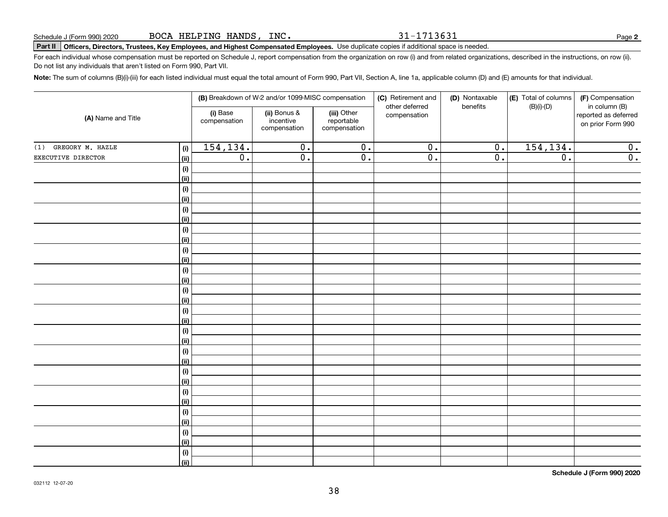31-1713631

**2**

# **Part II Officers, Directors, Trustees, Key Employees, and Highest Compensated Employees.**  Schedule J (Form 990) 2020 Page Use duplicate copies if additional space is needed.

For each individual whose compensation must be reported on Schedule J, report compensation from the organization on row (i) and from related organizations, described in the instructions, on row (ii). Do not list any individuals that aren't listed on Form 990, Part VII.

**Note:**  The sum of columns (B)(i)-(iii) for each listed individual must equal the total amount of Form 990, Part VII, Section A, line 1a, applicable column (D) and (E) amounts for that individual.

|                         |                    |                          | (B) Breakdown of W-2 and/or 1099-MISC compensation |                                           | (C) Retirement and<br>other deferred | (D) Nontaxable<br>benefits | (E) Total of columns | (F) Compensation<br>in column (B)         |
|-------------------------|--------------------|--------------------------|----------------------------------------------------|-------------------------------------------|--------------------------------------|----------------------------|----------------------|-------------------------------------------|
| (A) Name and Title      |                    | (i) Base<br>compensation | (ii) Bonus &<br>incentive<br>compensation          | (iii) Other<br>reportable<br>compensation | compensation                         |                            | $(B)(i)-(D)$         | reported as deferred<br>on prior Form 990 |
| GREGORY M. HAZLE<br>(1) | (i)                | 154, 134.                | $\overline{0}$ .                                   | $\overline{\mathbf{0}}$ .                 | $\overline{0}$ .                     | $\overline{0}$ .           | 154, 134.            | 0.                                        |
| EXECUTIVE DIRECTOR      | <u>(ii)</u>        | $\overline{0}$ .         | $\overline{0}$ .                                   | $\overline{0}$ .                          | $\overline{0}$ .                     | $\overline{0}$ .           | $\overline{0}$ .     | $\overline{0}$ .                          |
|                         | (i)                |                          |                                                    |                                           |                                      |                            |                      |                                           |
|                         | <u>(ii)</u>        |                          |                                                    |                                           |                                      |                            |                      |                                           |
|                         | (i)                |                          |                                                    |                                           |                                      |                            |                      |                                           |
|                         | <u>(ii)</u>        |                          |                                                    |                                           |                                      |                            |                      |                                           |
|                         | (i)                |                          |                                                    |                                           |                                      |                            |                      |                                           |
|                         | <u>(ii)</u>        |                          |                                                    |                                           |                                      |                            |                      |                                           |
|                         | $(\sf{i})$         |                          |                                                    |                                           |                                      |                            |                      |                                           |
|                         | <u>(ii)</u>        |                          |                                                    |                                           |                                      |                            |                      |                                           |
|                         | $(\sf{i})$         |                          |                                                    |                                           |                                      |                            |                      |                                           |
|                         | <u>(ii)</u>        |                          |                                                    |                                           |                                      |                            |                      |                                           |
|                         | $(\sf{i})$         |                          |                                                    |                                           |                                      |                            |                      |                                           |
|                         | <u>(ii)</u>        |                          |                                                    |                                           |                                      |                            |                      |                                           |
|                         | (i)<br><u>(ii)</u> |                          |                                                    |                                           |                                      |                            |                      |                                           |
|                         | (i)                |                          |                                                    |                                           |                                      |                            |                      |                                           |
|                         | <u>(ii)</u>        |                          |                                                    |                                           |                                      |                            |                      |                                           |
|                         | (i)                |                          |                                                    |                                           |                                      |                            |                      |                                           |
|                         | <u>(ii)</u>        |                          |                                                    |                                           |                                      |                            |                      |                                           |
|                         | (i)                |                          |                                                    |                                           |                                      |                            |                      |                                           |
|                         | <u>(ii)</u>        |                          |                                                    |                                           |                                      |                            |                      |                                           |
|                         | (i)                |                          |                                                    |                                           |                                      |                            |                      |                                           |
|                         | <u>(ii)</u>        |                          |                                                    |                                           |                                      |                            |                      |                                           |
|                         | (i)                |                          |                                                    |                                           |                                      |                            |                      |                                           |
|                         | <u>(ii)</u>        |                          |                                                    |                                           |                                      |                            |                      |                                           |
|                         | (i)                |                          |                                                    |                                           |                                      |                            |                      |                                           |
|                         | <u>(ii)</u>        |                          |                                                    |                                           |                                      |                            |                      |                                           |
|                         | (i)                |                          |                                                    |                                           |                                      |                            |                      |                                           |
|                         | <u>(ii)</u>        |                          |                                                    |                                           |                                      |                            |                      |                                           |
|                         | (i)                |                          |                                                    |                                           |                                      |                            |                      |                                           |
|                         | (ii)               |                          |                                                    |                                           |                                      |                            |                      |                                           |

**Schedule J (Form 990) 2020**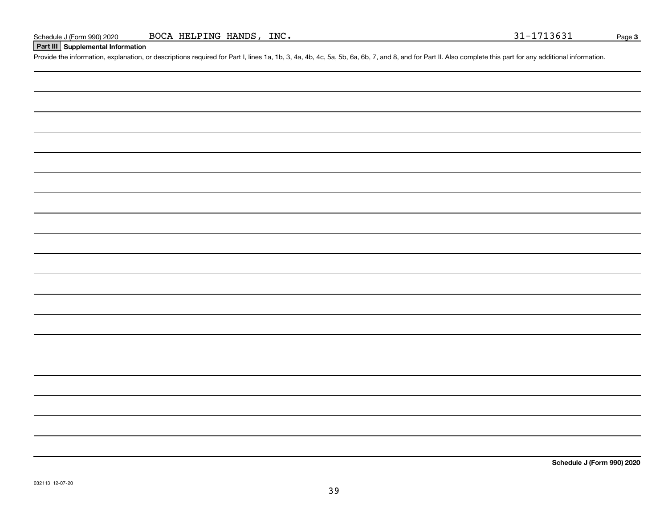#### **Part III Supplemental Information**

Schedule J (Form 990) 2020 BOCA HELPING HANDS, INC.<br>Part III Supplemental Information<br>Provide the information, explanation, or descriptions required for Part I, lines 1a, 1b, 3, 4a, 4b, 4c, 5a, 5b, 6a, 6b, 7, and 8, and fo

**Schedule J (Form 990) 2020**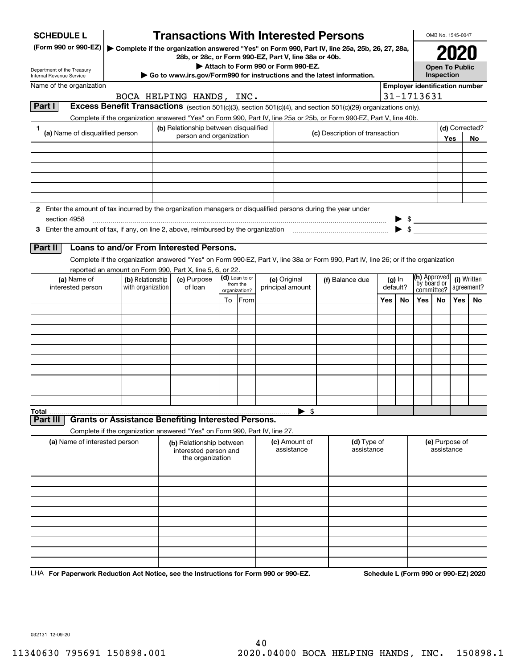| <b>SCHEDULE L</b>                                                                                                             |                                                                            | <b>Transactions With Interested Persons</b>                           |                            |                                    |                                                                                                                                    |     |          |                                       | OMB No. 1545-0047                   |       |                |
|-------------------------------------------------------------------------------------------------------------------------------|----------------------------------------------------------------------------|-----------------------------------------------------------------------|----------------------------|------------------------------------|------------------------------------------------------------------------------------------------------------------------------------|-----|----------|---------------------------------------|-------------------------------------|-------|----------------|
| (Form 990 or 990-EZ)                                                                                                          |                                                                            | 28b, or 28c, or Form 990-EZ, Part V, line 38a or 40b.                 |                            |                                    | ▶ Complete if the organization answered "Yes" on Form 990, Part IV, line 25a, 25b, 26, 27, 28a,                                    |     |          |                                       |                                     |       |                |
| Department of the Treasury                                                                                                    |                                                                            |                                                                       |                            | Attach to Form 990 or Form 990-EZ. |                                                                                                                                    |     |          |                                       | <b>Open To Public</b><br>Inspection |       |                |
| <b>Internal Revenue Service</b><br>Name of the organization                                                                   |                                                                            |                                                                       |                            |                                    | Go to www.irs.gov/Form990 for instructions and the latest information.                                                             |     |          | <b>Employer identification number</b> |                                     |       |                |
|                                                                                                                               |                                                                            | BOCA HELPING HANDS, INC.                                              |                            |                                    |                                                                                                                                    |     |          | 31-1713631                            |                                     |       |                |
| Part I                                                                                                                        |                                                                            |                                                                       |                            |                                    | Excess Benefit Transactions (section 501(c)(3), section 501(c)(4), and section 501(c)(29) organizations only).                     |     |          |                                       |                                     |       |                |
|                                                                                                                               |                                                                            |                                                                       |                            |                                    | Complete if the organization answered "Yes" on Form 990, Part IV, line 25a or 25b, or Form 990-EZ, Part V, line 40b.               |     |          |                                       |                                     |       |                |
| 1                                                                                                                             |                                                                            | (b) Relationship between disqualified                                 |                            |                                    |                                                                                                                                    |     |          |                                       |                                     |       | (d) Corrected? |
| (a) Name of disqualified person                                                                                               |                                                                            | person and organization                                               |                            |                                    | (c) Description of transaction                                                                                                     |     |          |                                       |                                     | Yes   | No             |
|                                                                                                                               |                                                                            |                                                                       |                            |                                    |                                                                                                                                    |     |          |                                       |                                     |       |                |
|                                                                                                                               |                                                                            |                                                                       |                            |                                    |                                                                                                                                    |     |          |                                       |                                     |       |                |
|                                                                                                                               |                                                                            |                                                                       |                            |                                    |                                                                                                                                    |     |          |                                       |                                     |       |                |
|                                                                                                                               |                                                                            |                                                                       |                            |                                    |                                                                                                                                    |     |          |                                       |                                     |       |                |
|                                                                                                                               |                                                                            |                                                                       |                            |                                    |                                                                                                                                    |     |          |                                       |                                     |       |                |
|                                                                                                                               |                                                                            |                                                                       |                            |                                    |                                                                                                                                    |     |          |                                       |                                     |       |                |
| 2 Enter the amount of tax incurred by the organization managers or disqualified persons during the year under<br>section 4958 |                                                                            |                                                                       |                            |                                    |                                                                                                                                    |     |          |                                       |                                     |       |                |
|                                                                                                                               |                                                                            |                                                                       |                            |                                    |                                                                                                                                    |     |          | $\frac{1}{2}$                         |                                     |       |                |
|                                                                                                                               |                                                                            |                                                                       |                            |                                    |                                                                                                                                    |     |          |                                       |                                     |       |                |
| Part II                                                                                                                       | Loans to and/or From Interested Persons.                                   |                                                                       |                            |                                    |                                                                                                                                    |     |          |                                       |                                     |       |                |
|                                                                                                                               |                                                                            |                                                                       |                            |                                    | Complete if the organization answered "Yes" on Form 990-EZ, Part V, line 38a or Form 990, Part IV, line 26; or if the organization |     |          |                                       |                                     |       |                |
|                                                                                                                               | reported an amount on Form 990, Part X, line 5, 6, or 22.                  |                                                                       |                            |                                    |                                                                                                                                    |     |          |                                       |                                     |       |                |
| (a) Name of                                                                                                                   | (b) Relationship                                                           | (c) Purpose                                                           | (d) Loan to or<br>from the | (e) Original                       | (f) Balance due                                                                                                                    |     | $(g)$ In | (h) Approved<br>by board or           |                                     |       | (i) Written    |
| interested person                                                                                                             | with organization                                                          | of loan                                                               | organization?              | principal amount                   |                                                                                                                                    |     | default? | committee?                            |                                     |       | agreement?     |
|                                                                                                                               |                                                                            |                                                                       | To From                    |                                    |                                                                                                                                    | Yes | No       | Yes                                   | No                                  | Yes l | <b>No</b>      |
|                                                                                                                               |                                                                            |                                                                       |                            |                                    |                                                                                                                                    |     |          |                                       |                                     |       |                |
|                                                                                                                               |                                                                            |                                                                       |                            |                                    |                                                                                                                                    |     |          |                                       |                                     |       |                |
|                                                                                                                               |                                                                            |                                                                       |                            |                                    |                                                                                                                                    |     |          |                                       |                                     |       |                |
|                                                                                                                               |                                                                            |                                                                       |                            |                                    |                                                                                                                                    |     |          |                                       |                                     |       |                |
|                                                                                                                               |                                                                            |                                                                       |                            |                                    |                                                                                                                                    |     |          |                                       |                                     |       |                |
|                                                                                                                               |                                                                            |                                                                       |                            |                                    |                                                                                                                                    |     |          |                                       |                                     |       |                |
|                                                                                                                               |                                                                            |                                                                       |                            |                                    |                                                                                                                                    |     |          |                                       |                                     |       |                |
|                                                                                                                               |                                                                            |                                                                       |                            |                                    |                                                                                                                                    |     |          |                                       |                                     |       |                |
|                                                                                                                               |                                                                            |                                                                       |                            |                                    |                                                                                                                                    |     |          |                                       |                                     |       |                |
| Total                                                                                                                         |                                                                            |                                                                       |                            | $\blacktriangleright$ \$           |                                                                                                                                    |     |          |                                       |                                     |       |                |
| Part II                                                                                                                       | <b>Grants or Assistance Benefiting Interested Persons.</b>                 |                                                                       |                            |                                    |                                                                                                                                    |     |          |                                       |                                     |       |                |
|                                                                                                                               | Complete if the organization answered "Yes" on Form 990, Part IV, line 27. |                                                                       |                            |                                    |                                                                                                                                    |     |          |                                       |                                     |       |                |
| (a) Name of interested person                                                                                                 |                                                                            | (b) Relationship between<br>interested person and<br>the organization |                            | (c) Amount of<br>assistance        | (d) Type of<br>assistance                                                                                                          |     |          |                                       | (e) Purpose of<br>assistance        |       |                |
|                                                                                                                               |                                                                            |                                                                       |                            |                                    |                                                                                                                                    |     |          |                                       |                                     |       |                |
|                                                                                                                               |                                                                            |                                                                       |                            |                                    |                                                                                                                                    |     |          |                                       |                                     |       |                |
|                                                                                                                               |                                                                            |                                                                       |                            |                                    |                                                                                                                                    |     |          |                                       |                                     |       |                |
|                                                                                                                               |                                                                            |                                                                       |                            |                                    |                                                                                                                                    |     |          |                                       |                                     |       |                |
|                                                                                                                               |                                                                            |                                                                       |                            |                                    |                                                                                                                                    |     |          |                                       |                                     |       |                |
|                                                                                                                               |                                                                            |                                                                       |                            |                                    |                                                                                                                                    |     |          |                                       |                                     |       |                |
|                                                                                                                               |                                                                            |                                                                       |                            |                                    |                                                                                                                                    |     |          |                                       |                                     |       |                |
|                                                                                                                               |                                                                            |                                                                       |                            |                                    |                                                                                                                                    |     |          |                                       |                                     |       |                |
|                                                                                                                               |                                                                            |                                                                       |                            |                                    |                                                                                                                                    |     |          |                                       |                                     |       |                |
|                                                                                                                               |                                                                            |                                                                       |                            |                                    |                                                                                                                                    |     |          |                                       |                                     |       |                |

LHA For Paperwork Reduction Act Notice, see the Instructions for Form 990 or 990-EZ. Schedule L (Form 990 or 990-EZ) 2020

032131 12-09-20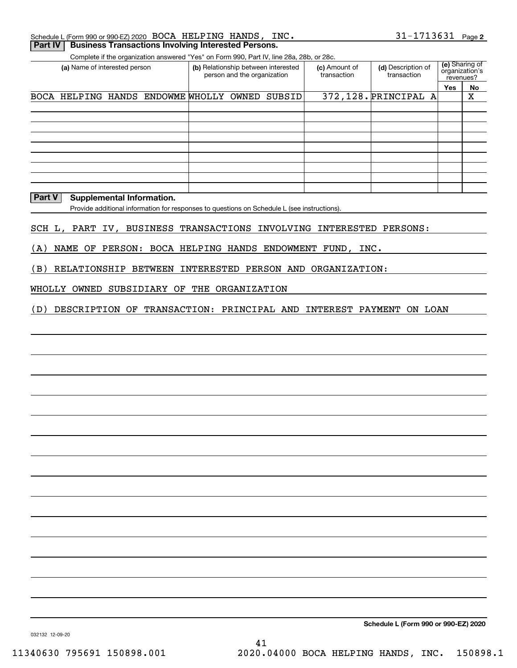| Schedule L (Form 990 or 990-EZ) 2020 $\,$ BOCA $\,$ HELPING $\,$ HANDS , $\,$ INC $\,$ . |  |  | 31-1713631 Page 2 |  |
|------------------------------------------------------------------------------------------|--|--|-------------------|--|
| Part IV   Business Transactions Involving Interested Persons.                            |  |  |                   |  |

Complete if the organization answered "Yes" on Form 990, Part IV, line 28a, 28b, or 28c.

| (a) Name of interested person |                                         | person and the organization | (b) Relationship between interested | (c) Amount of<br>transaction | (d) Description of<br>transaction | revenues? | (e) Sharing of<br>organization's |
|-------------------------------|-----------------------------------------|-----------------------------|-------------------------------------|------------------------------|-----------------------------------|-----------|----------------------------------|
|                               |                                         |                             |                                     |                              |                                   | Yes       | No                               |
|                               | BOCA HELPING HANDS ENDOWME WHOLLY OWNED |                             | <b>SUBSID</b>                       |                              | 372,128. PRINCIPAL A              |           | х                                |
|                               |                                         |                             |                                     |                              |                                   |           |                                  |
|                               |                                         |                             |                                     |                              |                                   |           |                                  |
|                               |                                         |                             |                                     |                              |                                   |           |                                  |
|                               |                                         |                             |                                     |                              |                                   |           |                                  |
|                               |                                         |                             |                                     |                              |                                   |           |                                  |
|                               |                                         |                             |                                     |                              |                                   |           |                                  |
|                               |                                         |                             |                                     |                              |                                   |           |                                  |
|                               |                                         |                             |                                     |                              |                                   |           |                                  |
|                               |                                         |                             |                                     |                              |                                   |           |                                  |

#### **Part V** Supplemental Information.

Provide additional information for responses to questions on Schedule L (see instructions).

#### SCH L, PART IV, BUSINESS TRANSACTIONS INVOLVING INTERESTED PERSONS:

(A) NAME OF PERSON: BOCA HELPING HANDS ENDOWMENT FUND, INC.

(B) RELATIONSHIP BETWEEN INTERESTED PERSON AND ORGANIZATION:

#### WHOLLY OWNED SUBSIDIARY OF THE ORGANIZATION

(D) DESCRIPTION OF TRANSACTION: PRINCIPAL AND INTEREST PAYMENT ON LOAN

**Schedule L (Form 990 or 990-EZ) 2020**

032132 12-09-20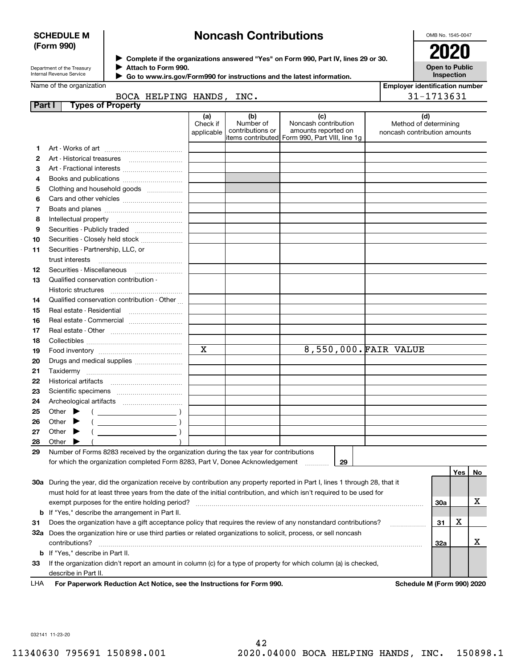#### **SCHEDULE M (Form 990)**

## **Noncash Contributions**

OMB No. 1545-0047

| Department of the Treasury |
|----------------------------|
| Internal Revenue Service   |

**Complete if the organizations answered "Yes" on Form 990, Part IV, lines 29 or 30.** <sup>J</sup>**2020 Attach to Form 990.** J

**Open to Public Inspection**

|  | Go to www.irs.gov/Form990 for instructions and the latest information. |  |  |  |
|--|------------------------------------------------------------------------|--|--|--|
|--|------------------------------------------------------------------------|--|--|--|

|        | Name of the organization                                                                                                       |                          |                  |                                                | <b>Employer identification number</b> |     |     |    |
|--------|--------------------------------------------------------------------------------------------------------------------------------|--------------------------|------------------|------------------------------------------------|---------------------------------------|-----|-----|----|
|        |                                                                                                                                | BOCA HELPING HANDS, INC. |                  |                                                | 31-1713631                            |     |     |    |
| Part I | <b>Types of Property</b>                                                                                                       |                          |                  |                                                |                                       |     |     |    |
|        |                                                                                                                                | (a)<br>Check if          | (b)<br>Number of | (c)<br>Noncash contribution                    | (d)<br>Method of determining          |     |     |    |
|        |                                                                                                                                | applicable               | contributions or | amounts reported on                            | noncash contribution amounts          |     |     |    |
|        |                                                                                                                                |                          |                  | items contributed Form 990, Part VIII, line 1q |                                       |     |     |    |
| 1      |                                                                                                                                |                          |                  |                                                |                                       |     |     |    |
| 2      |                                                                                                                                |                          |                  |                                                |                                       |     |     |    |
| З      | Art - Fractional interests                                                                                                     |                          |                  |                                                |                                       |     |     |    |
| 4      | Books and publications                                                                                                         |                          |                  |                                                |                                       |     |     |    |
| 5      | Clothing and household goods                                                                                                   |                          |                  |                                                |                                       |     |     |    |
| 6      |                                                                                                                                |                          |                  |                                                |                                       |     |     |    |
| 7      |                                                                                                                                |                          |                  |                                                |                                       |     |     |    |
| 8      | Intellectual property                                                                                                          |                          |                  |                                                |                                       |     |     |    |
| 9      | Securities - Publicly traded                                                                                                   |                          |                  |                                                |                                       |     |     |    |
| 10     | Securities - Closely held stock                                                                                                |                          |                  |                                                |                                       |     |     |    |
| 11     | Securities - Partnership, LLC, or                                                                                              |                          |                  |                                                |                                       |     |     |    |
|        | trust interests                                                                                                                |                          |                  |                                                |                                       |     |     |    |
| 12     |                                                                                                                                |                          |                  |                                                |                                       |     |     |    |
| 13     | Qualified conservation contribution -                                                                                          |                          |                  |                                                |                                       |     |     |    |
|        | Historic structures                                                                                                            |                          |                  |                                                |                                       |     |     |    |
| 14     | Qualified conservation contribution - Other                                                                                    |                          |                  |                                                |                                       |     |     |    |
| 15     | Real estate - Residential                                                                                                      |                          |                  |                                                |                                       |     |     |    |
| 16     | Real estate - Commercial                                                                                                       |                          |                  |                                                |                                       |     |     |    |
| 17     |                                                                                                                                |                          |                  |                                                |                                       |     |     |    |
| 18     |                                                                                                                                |                          |                  |                                                |                                       |     |     |    |
| 19     |                                                                                                                                | X                        |                  | 8,550,000. FAIR VALUE                          |                                       |     |     |    |
| 20     | Drugs and medical supplies                                                                                                     |                          |                  |                                                |                                       |     |     |    |
| 21     |                                                                                                                                |                          |                  |                                                |                                       |     |     |    |
| 22     |                                                                                                                                |                          |                  |                                                |                                       |     |     |    |
| 23     |                                                                                                                                |                          |                  |                                                |                                       |     |     |    |
| 24     |                                                                                                                                |                          |                  |                                                |                                       |     |     |    |
| 25     | Other $\blacktriangleright$                                                                                                    |                          |                  |                                                |                                       |     |     |    |
| 26     | Other<br>▶                                                                                                                     |                          |                  |                                                |                                       |     |     |    |
| 27     | Other<br>▸<br><u> 1999 - Johann Barn, mars ann an t-</u>                                                                       |                          |                  |                                                |                                       |     |     |    |
| 28     | Other                                                                                                                          |                          |                  |                                                |                                       |     |     |    |
| 29     | Number of Forms 8283 received by the organization during the tax year for contributions                                        |                          |                  |                                                |                                       |     |     |    |
|        | for which the organization completed Form 8283, Part V, Donee Acknowledgement                                                  |                          |                  | 29                                             |                                       |     |     |    |
|        |                                                                                                                                |                          |                  |                                                |                                       |     | Yes | No |
|        | 30a During the year, did the organization receive by contribution any property reported in Part I, lines 1 through 28, that it |                          |                  |                                                |                                       |     |     |    |
|        | must hold for at least three years from the date of the initial contribution, and which isn't required to be used for          |                          |                  |                                                |                                       |     |     |    |
|        | exempt purposes for the entire holding period?                                                                                 |                          |                  |                                                |                                       | 30a |     | х  |
| b      | If "Yes," describe the arrangement in Part II.                                                                                 |                          |                  |                                                |                                       |     |     |    |
| 31     | Does the organization have a gift acceptance policy that requires the review of any nonstandard contributions?                 |                          |                  |                                                |                                       | 31  | х   |    |
|        | 32a Does the organization hire or use third parties or related organizations to solicit, process, or sell noncash              |                          |                  |                                                |                                       |     |     |    |
|        |                                                                                                                                |                          |                  |                                                |                                       |     |     | X  |
|        | contributions?                                                                                                                 |                          |                  |                                                |                                       | 32a |     |    |
| b      | If "Yes," describe in Part II.                                                                                                 |                          |                  |                                                |                                       |     |     |    |
| 33     | If the organization didn't report an amount in column (c) for a type of property for which column (a) is checked,              |                          |                  |                                                |                                       |     |     |    |
|        | describe in Part II.                                                                                                           |                          |                  |                                                |                                       |     |     |    |

For Paperwork Reduction Act Notice, see the Instructions for Form 990. **Schedule M (Form 990) 2020** LHA

032141 11-23-20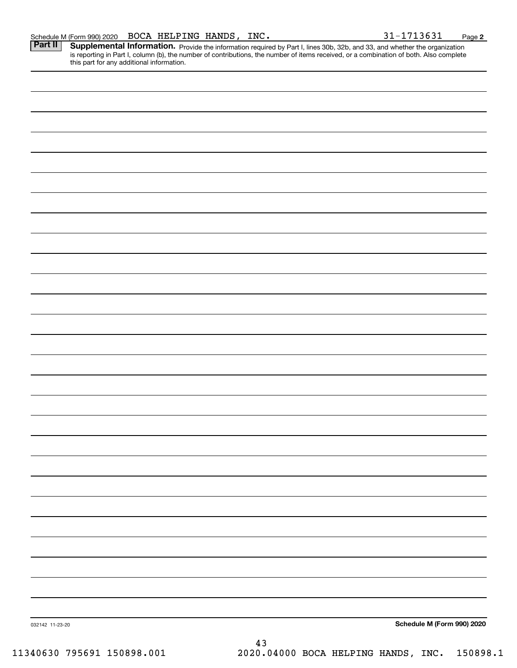Part II | Supplemental Information. Provide the information required by Part I, lines 30b, 32b, and 33, and whether the organization is reporting in Part I, column (b), the number of contributions, the number of items received, or a combination of both. Also complete this part for any additional information.

032142 11-23-20 **Schedule M (Form 990) 2020** 43 11340630 795691 150898.001 2020.04000 BOCA HELPING HANDS, INC. 150898.1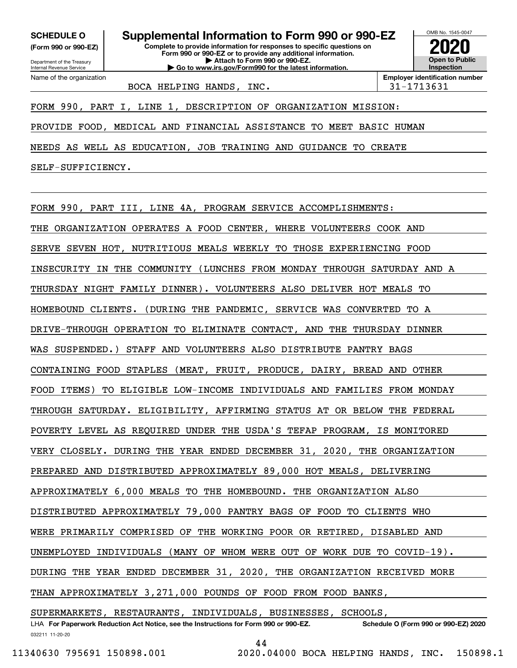**(Form 990 or 990-EZ)**

Department of the Treasury Internal Revenue Service Name of the organization

**Complete to provide information for responses to specific questions on SCHEDULE O Supplemental Information to Form 990 or 990-EZ**

**Form 990 or 990-EZ or to provide any additional information. | Attach to Form 990 or 990-EZ. | Go to www.irs.gov/Form990 for the latest information.**



BOCA HELPING HANDS, INC.  $\vert$  31-1713631

FORM 990, PART I, LINE 1, DESCRIPTION OF ORGANIZATION MISSION:

PROVIDE FOOD, MEDICAL AND FINANCIAL ASSISTANCE TO MEET BASIC HUMAN

NEEDS AS WELL AS EDUCATION, JOB TRAINING AND GUIDANCE TO CREATE

SELF-SUFFICIENCY.

FORM 990, PART III, LINE 4A, PROGRAM SERVICE ACCOMPLISHMENTS: THE ORGANIZATION OPERATES A FOOD CENTER, WHERE VOLUNTEERS COOK AND SERVE SEVEN HOT, NUTRITIOUS MEALS WEEKLY TO THOSE EXPERIENCING FOOD INSECURITY IN THE COMMUNITY (LUNCHES FROM MONDAY THROUGH SATURDAY AND A THURSDAY NIGHT FAMILY DINNER). VOLUNTEERS ALSO DELIVER HOT MEALS TO HOMEBOUND CLIENTS. (DURING THE PANDEMIC, SERVICE WAS CONVERTED TO A DRIVE-THROUGH OPERATION TO ELIMINATE CONTACT, AND THE THURSDAY DINNER WAS SUSPENDED.) STAFF AND VOLUNTEERS ALSO DISTRIBUTE PANTRY BAGS CONTAINING FOOD STAPLES (MEAT, FRUIT, PRODUCE, DAIRY, BREAD AND OTHER FOOD ITEMS) TO ELIGIBLE LOW-INCOME INDIVIDUALS AND FAMILIES FROM MONDAY THROUGH SATURDAY. ELIGIBILITY, AFFIRMING STATUS AT OR BELOW THE FEDERAL POVERTY LEVEL AS REQUIRED UNDER THE USDA'S TEFAP PROGRAM, IS MONITORED VERY CLOSELY. DURING THE YEAR ENDED DECEMBER 31, 2020, THE ORGANIZATION PREPARED AND DISTRIBUTED APPROXIMATELY 89,000 HOT MEALS, DELIVERING APPROXIMATELY 6,000 MEALS TO THE HOMEBOUND. THE ORGANIZATION ALSO DISTRIBUTED APPROXIMATELY 79,000 PANTRY BAGS OF FOOD TO CLIENTS WHO WERE PRIMARILY COMPRISED OF THE WORKING POOR OR RETIRED, DISABLED AND UNEMPLOYED INDIVIDUALS (MANY OF WHOM WERE OUT OF WORK DUE TO COVID-19). DURING THE YEAR ENDED DECEMBER 31, 2020, THE ORGANIZATION RECEIVED MORE THAN APPROXIMATELY 3,271,000 POUNDS OF FOOD FROM FOOD BANKS,

032211 11-20-20 LHA For Paperwork Reduction Act Notice, see the Instructions for Form 990 or 990-EZ. Schedule O (Form 990 or 990-EZ) 2020 SUPERMARKETS, RESTAURANTS, INDIVIDUALS, BUSINESSES, SCHOOLS,

44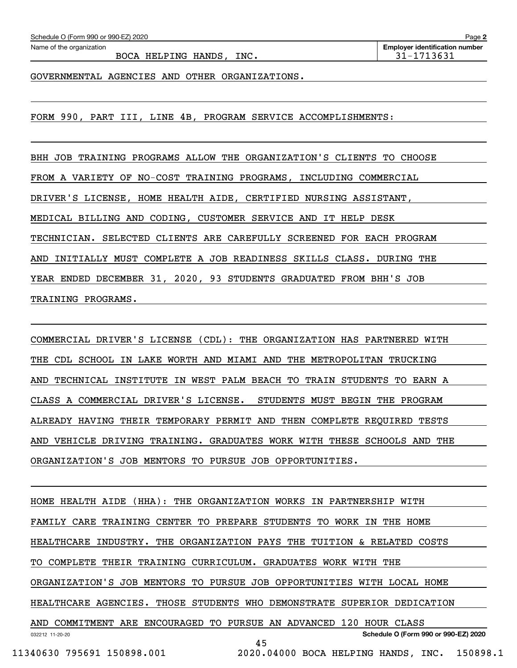BOCA HELPING HANDS, INC.  $\vert$  31-1713631

GOVERNMENTAL AGENCIES AND OTHER ORGANIZATIONS.

FORM 990, PART III, LINE 4B, PROGRAM SERVICE ACCOMPLISHMENTS:

BHH JOB TRAINING PROGRAMS ALLOW THE ORGANIZATION'S CLIENTS TO CHOOSE FROM A VARIETY OF NO-COST TRAINING PROGRAMS, INCLUDING COMMERCIAL DRIVER'S LICENSE, HOME HEALTH AIDE, CERTIFIED NURSING ASSISTANT, MEDICAL BILLING AND CODING, CUSTOMER SERVICE AND IT HELP DESK TECHNICIAN. SELECTED CLIENTS ARE CAREFULLY SCREENED FOR EACH PROGRAM AND INITIALLY MUST COMPLETE A JOB READINESS SKILLS CLASS. DURING THE YEAR ENDED DECEMBER 31, 2020, 93 STUDENTS GRADUATED FROM BHH'S JOB TRAINING PROGRAMS.

COMMERCIAL DRIVER'S LICENSE (CDL): THE ORGANIZATION HAS PARTNERED WITH THE CDL SCHOOL IN LAKE WORTH AND MIAMI AND THE METROPOLITAN TRUCKING AND TECHNICAL INSTITUTE IN WEST PALM BEACH TO TRAIN STUDENTS TO EARN A CLASS A COMMERCIAL DRIVER'S LICENSE. STUDENTS MUST BEGIN THE PROGRAM ALREADY HAVING THEIR TEMPORARY PERMIT AND THEN COMPLETE REQUIRED TESTS AND VEHICLE DRIVING TRAINING. GRADUATES WORK WITH THESE SCHOOLS AND THE ORGANIZATION'S JOB MENTORS TO PURSUE JOB OPPORTUNITIES.

032212 11-20-20 **Schedule O (Form 990 or 990-EZ) 2020** HOME HEALTH AIDE (HHA): THE ORGANIZATION WORKS IN PARTNERSHIP WITH FAMILY CARE TRAINING CENTER TO PREPARE STUDENTS TO WORK IN THE HOME HEALTHCARE INDUSTRY. THE ORGANIZATION PAYS THE TUITION & RELATED COSTS TO COMPLETE THEIR TRAINING CURRICULUM. GRADUATES WORK WITH THE ORGANIZATION'S JOB MENTORS TO PURSUE JOB OPPORTUNITIES WITH LOCAL HOME HEALTHCARE AGENCIES. THOSE STUDENTS WHO DEMONSTRATE SUPERIOR DEDICATION AND COMMITMENT ARE ENCOURAGED TO PURSUE AN ADVANCED 120 HOUR CLASS 45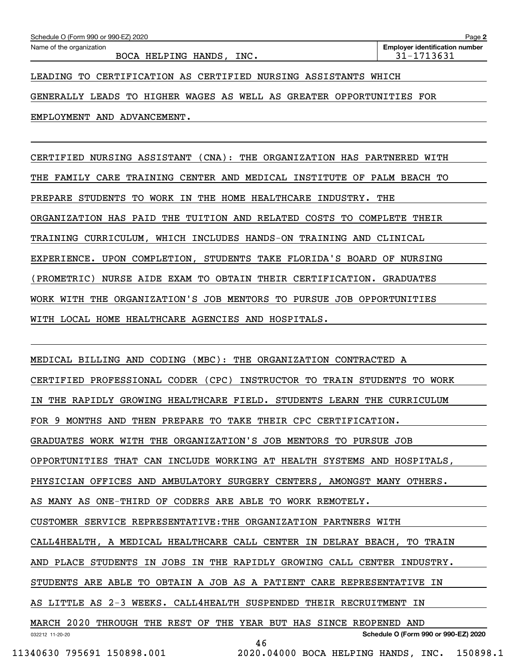GENERALLY LEADS TO HIGHER WAGES AS WELL AS GREATER OPPORTUNITIES FOR

EMPLOYMENT AND ADVANCEMENT.

CERTIFIED NURSING ASSISTANT (CNA): THE ORGANIZATION HAS PARTNERED WITH THE FAMILY CARE TRAINING CENTER AND MEDICAL INSTITUTE OF PALM BEACH TO PREPARE STUDENTS TO WORK IN THE HOME HEALTHCARE INDUSTRY. THE ORGANIZATION HAS PAID THE TUITION AND RELATED COSTS TO COMPLETE THEIR TRAINING CURRICULUM, WHICH INCLUDES HANDS-ON TRAINING AND CLINICAL EXPERIENCE. UPON COMPLETION, STUDENTS TAKE FLORIDA'S BOARD OF NURSING (PROMETRIC) NURSE AIDE EXAM TO OBTAIN THEIR CERTIFICATION. GRADUATES WORK WITH THE ORGANIZATION'S JOB MENTORS TO PURSUE JOB OPPORTUNITIES WITH LOCAL HOME HEALTHCARE AGENCIES AND HOSPITALS.

032212 11-20-20 **Schedule O (Form 990 or 990-EZ) 2020** MEDICAL BILLING AND CODING (MBC): THE ORGANIZATION CONTRACTED A CERTIFIED PROFESSIONAL CODER (CPC) INSTRUCTOR TO TRAIN STUDENTS TO WORK IN THE RAPIDLY GROWING HEALTHCARE FIELD. STUDENTS LEARN THE CURRICULUM FOR 9 MONTHS AND THEN PREPARE TO TAKE THEIR CPC CERTIFICATION. GRADUATES WORK WITH THE ORGANIZATION'S JOB MENTORS TO PURSUE JOB OPPORTUNITIES THAT CAN INCLUDE WORKING AT HEALTH SYSTEMS AND HOSPITALS, PHYSICIAN OFFICES AND AMBULATORY SURGERY CENTERS, AMONGST MANY OTHERS. AS MANY AS ONE-THIRD OF CODERS ARE ABLE TO WORK REMOTELY. CUSTOMER SERVICE REPRESENTATIVE:THE ORGANIZATION PARTNERS WITH CALL4HEALTH, A MEDICAL HEALTHCARE CALL CENTER IN DELRAY BEACH, TO TRAIN AND PLACE STUDENTS IN JOBS IN THE RAPIDLY GROWING CALL CENTER INDUSTRY. STUDENTS ARE ABLE TO OBTAIN A JOB AS A PATIENT CARE REPRESENTATIVE IN AS LITTLE AS 2-3 WEEKS. CALL4HEALTH SUSPENDED THEIR RECRUITMENT IN MARCH 2020 THROUGH THE REST OF THE YEAR BUT HAS SINCE REOPENED AND 46

 <sup>11340630 795691 150898.001 2020.04000</sup> BOCA HELPING HANDS, INC. 150898.1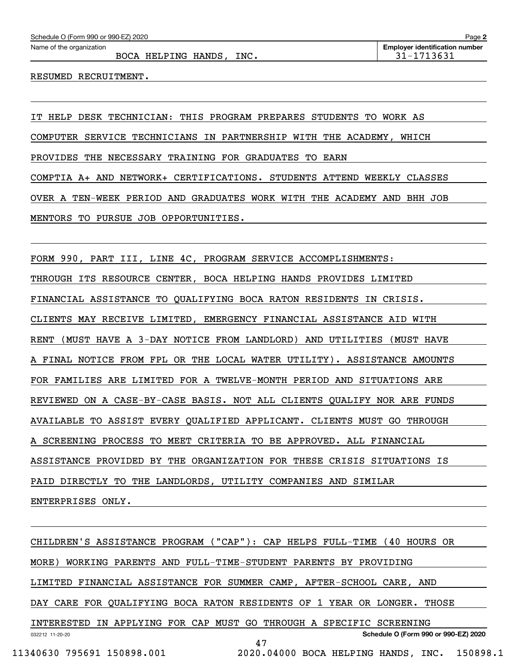BOCA HELPING HANDS, INC.  $31-1713631$ 

RESUMED RECRUITMENT.

IT HELP DESK TECHNICIAN: THIS PROGRAM PREPARES STUDENTS TO WORK AS COMPUTER SERVICE TECHNICIANS IN PARTNERSHIP WITH THE ACADEMY, WHICH PROVIDES THE NECESSARY TRAINING FOR GRADUATES TO EARN COMPTIA A+ AND NETWORK+ CERTIFICATIONS. STUDENTS ATTEND WEEKLY CLASSES OVER A TEN-WEEK PERIOD AND GRADUATES WORK WITH THE ACADEMY AND BHH JOB MENTORS TO PURSUE JOB OPPORTUNITIES.

FORM 990, PART III, LINE 4C, PROGRAM SERVICE ACCOMPLISHMENTS: THROUGH ITS RESOURCE CENTER, BOCA HELPING HANDS PROVIDES LIMITED FINANCIAL ASSISTANCE TO QUALIFYING BOCA RATON RESIDENTS IN CRISIS. CLIENTS MAY RECEIVE LIMITED, EMERGENCY FINANCIAL ASSISTANCE AID WITH RENT (MUST HAVE A 3-DAY NOTICE FROM LANDLORD) AND UTILITIES (MUST HAVE A FINAL NOTICE FROM FPL OR THE LOCAL WATER UTILITY). ASSISTANCE AMOUNTS FOR FAMILIES ARE LIMITED FOR A TWELVE-MONTH PERIOD AND SITUATIONS ARE REVIEWED ON A CASE-BY-CASE BASIS. NOT ALL CLIENTS QUALIFY NOR ARE FUNDS AVAILABLE TO ASSIST EVERY QUALIFIED APPLICANT. CLIENTS MUST GO THROUGH A SCREENING PROCESS TO MEET CRITERIA TO BE APPROVED. ALL FINANCIAL ASSISTANCE PROVIDED BY THE ORGANIZATION FOR THESE CRISIS SITUATIONS IS PAID DIRECTLY TO THE LANDLORDS, UTILITY COMPANIES AND SIMILAR ENTERPRISES ONLY.

032212 11-20-20 **Schedule O (Form 990 or 990-EZ) 2020** CHILDREN'S ASSISTANCE PROGRAM ("CAP"): CAP HELPS FULL-TIME (40 HOURS OR MORE) WORKING PARENTS AND FULL-TIME-STUDENT PARENTS BY PROVIDING LIMITED FINANCIAL ASSISTANCE FOR SUMMER CAMP, AFTER-SCHOOL CARE, AND DAY CARE FOR QUALIFYING BOCA RATON RESIDENTS OF 1 YEAR OR LONGER. THOSE INTERESTED IN APPLYING FOR CAP MUST GO THROUGH A SPECIFIC SCREENING 47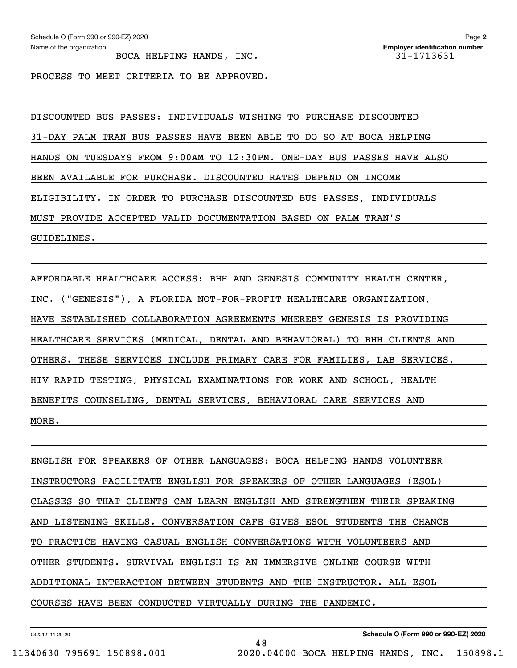BOCA HELPING HANDS, INC.  $\vert$  31-1713631

PROCESS TO MEET CRITERIA TO BE APPROVED.

DISCOUNTED BUS PASSES: INDIVIDUALS WISHING TO PURCHASE DISCOUNTED 31-DAY PALM TRAN BUS PASSES HAVE BEEN ABLE TO DO SO AT BOCA HELPING HANDS ON TUESDAYS FROM 9:00AM TO 12:30PM. ONE-DAY BUS PASSES HAVE ALSO BEEN AVAILABLE FOR PURCHASE. DISCOUNTED RATES DEPEND ON INCOME ELIGIBILITY. IN ORDER TO PURCHASE DISCOUNTED BUS PASSES, INDIVIDUALS MUST PROVIDE ACCEPTED VALID DOCUMENTATION BASED ON PALM TRAN'S GUIDELINES.

AFFORDABLE HEALTHCARE ACCESS: BHH AND GENESIS COMMUNITY HEALTH CENTER, INC. ("GENESIS"), A FLORIDA NOT-FOR-PROFIT HEALTHCARE ORGANIZATION, HAVE ESTABLISHED COLLABORATION AGREEMENTS WHEREBY GENESIS IS PROVIDING HEALTHCARE SERVICES (MEDICAL, DENTAL AND BEHAVIORAL) TO BHH CLIENTS AND OTHERS. THESE SERVICES INCLUDE PRIMARY CARE FOR FAMILIES, LAB SERVICES, HIV RAPID TESTING, PHYSICAL EXAMINATIONS FOR WORK AND SCHOOL, HEALTH BENEFITS COUNSELING, DENTAL SERVICES, BEHAVIORAL CARE SERVICES AND MORE.

ENGLISH FOR SPEAKERS OF OTHER LANGUAGES: BOCA HELPING HANDS VOLUNTEER INSTRUCTORS FACILITATE ENGLISH FOR SPEAKERS OF OTHER LANGUAGES (ESOL) CLASSES SO THAT CLIENTS CAN LEARN ENGLISH AND STRENGTHEN THEIR SPEAKING AND LISTENING SKILLS. CONVERSATION CAFE GIVES ESOL STUDENTS THE CHANCE TO PRACTICE HAVING CASUAL ENGLISH CONVERSATIONS WITH VOLUNTEERS AND OTHER STUDENTS. SURVIVAL ENGLISH IS AN IMMERSIVE ONLINE COURSE WITH ADDITIONAL INTERACTION BETWEEN STUDENTS AND THE INSTRUCTOR. ALL ESOL COURSES HAVE BEEN CONDUCTED VIRTUALLY DURING THE PANDEMIC.

48

032212 11-20-20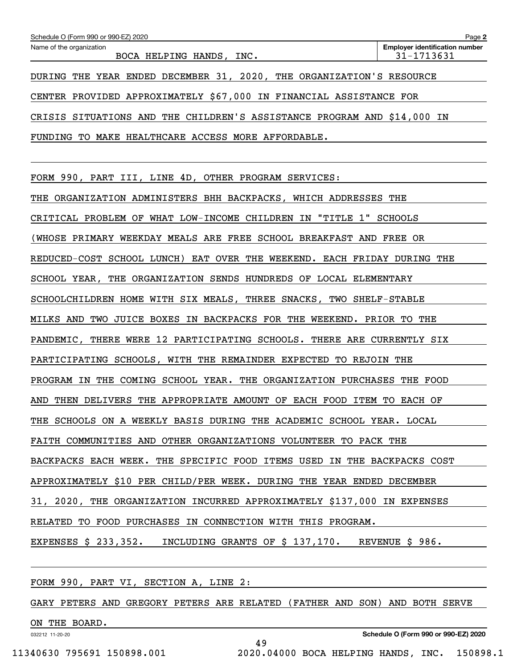| Schedule O (Form 990 or 990-EZ) 2020                                    | Page 2                                              |
|-------------------------------------------------------------------------|-----------------------------------------------------|
| Name of the organization<br>BOCA HELPING HANDS, INC.                    | <b>Employer identification number</b><br>31-1713631 |
| DURING THE YEAR ENDED DECEMBER 31, 2020, THE ORGANIZATION'S RESOURCE    |                                                     |
| CENTER PROVIDED APPROXIMATELY \$67,000 IN FINANCIAL ASSISTANCE FOR      |                                                     |
| CRISIS SITUATIONS AND THE CHILDREN'S ASSISTANCE PROGRAM AND \$14,000 IN |                                                     |
| TO MAKE HEALTHCARE ACCESS MORE AFFORDABLE.<br>FUNDING                   |                                                     |

FORM 990, PART III, LINE 4D, OTHER PROGRAM SERVICES:

THE ORGANIZATION ADMINISTERS BHH BACKPACKS, WHICH ADDRESSES THE CRITICAL PROBLEM OF WHAT LOW-INCOME CHILDREN IN "TITLE 1" SCHOOLS (WHOSE PRIMARY WEEKDAY MEALS ARE FREE SCHOOL BREAKFAST AND FREE OR REDUCED-COST SCHOOL LUNCH) EAT OVER THE WEEKEND. EACH FRIDAY DURING THE SCHOOL YEAR, THE ORGANIZATION SENDS HUNDREDS OF LOCAL ELEMENTARY SCHOOLCHILDREN HOME WITH SIX MEALS, THREE SNACKS, TWO SHELF-STABLE MILKS AND TWO JUICE BOXES IN BACKPACKS FOR THE WEEKEND. PRIOR TO THE PANDEMIC, THERE WERE 12 PARTICIPATING SCHOOLS. THERE ARE CURRENTLY SIX PARTICIPATING SCHOOLS, WITH THE REMAINDER EXPECTED TO REJOIN THE PROGRAM IN THE COMING SCHOOL YEAR. THE ORGANIZATION PURCHASES THE FOOD AND THEN DELIVERS THE APPROPRIATE AMOUNT OF EACH FOOD ITEM TO EACH OF THE SCHOOLS ON A WEEKLY BASIS DURING THE ACADEMIC SCHOOL YEAR. LOCAL FAITH COMMUNITIES AND OTHER ORGANIZATIONS VOLUNTEER TO PACK THE BACKPACKS EACH WEEK. THE SPECIFIC FOOD ITEMS USED IN THE BACKPACKS COST APPROXIMATELY \$10 PER CHILD/PER WEEK. DURING THE YEAR ENDED DECEMBER 31, 2020, THE ORGANIZATION INCURRED APPROXIMATELY \$137,000 IN EXPENSES RELATED TO FOOD PURCHASES IN CONNECTION WITH THIS PROGRAM. EXPENSES \$ 233,352. INCLUDING GRANTS OF \$ 137,170. REVENUE \$ 986.

FORM 990, PART VI, SECTION A, LINE 2:

GARY PETERS AND GREGORY PETERS ARE RELATED (FATHER AND SON) AND BOTH SERVE

49

ON THE BOARD.

032212 11-20-20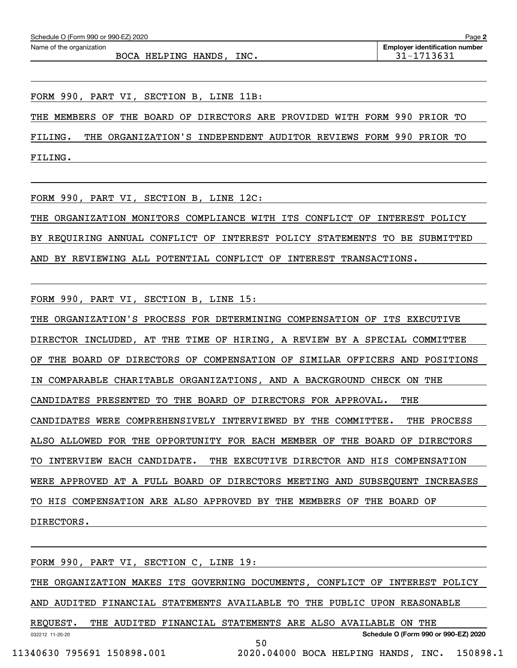BOCA HELPING HANDS, INC.  $\vert$  31-1713631

FORM 990, PART VI, SECTION B, LINE 11B:

THE MEMBERS OF THE BOARD OF DIRECTORS ARE PROVIDED WITH FORM 990 PRIOR TO

FILING. THE ORGANIZATION'S INDEPENDENT AUDITOR REVIEWS FORM 990 PRIOR TO FILING.

FORM 990, PART VI, SECTION B, LINE 12C:

THE ORGANIZATION MONITORS COMPLIANCE WITH ITS CONFLICT OF INTEREST POLICY BY REQUIRING ANNUAL CONFLICT OF INTEREST POLICY STATEMENTS TO BE SUBMITTED AND BY REVIEWING ALL POTENTIAL CONFLICT OF INTEREST TRANSACTIONS.

FORM 990, PART VI, SECTION B, LINE 15:

THE ORGANIZATION'S PROCESS FOR DETERMINING COMPENSATION OF ITS EXECUTIVE DIRECTOR INCLUDED, AT THE TIME OF HIRING, A REVIEW BY A SPECIAL COMMITTEE OF THE BOARD OF DIRECTORS OF COMPENSATION OF SIMILAR OFFICERS AND POSITIONS IN COMPARABLE CHARITABLE ORGANIZATIONS, AND A BACKGROUND CHECK ON THE CANDIDATES PRESENTED TO THE BOARD OF DIRECTORS FOR APPROVAL. THE CANDIDATES WERE COMPREHENSIVELY INTERVIEWED BY THE COMMITTEE. THE PROCESS ALSO ALLOWED FOR THE OPPORTUNITY FOR EACH MEMBER OF THE BOARD OF DIRECTORS TO INTERVIEW EACH CANDIDATE. THE EXECUTIVE DIRECTOR AND HIS COMPENSATION WERE APPROVED AT A FULL BOARD OF DIRECTORS MEETING AND SUBSEQUENT INCREASES TO HIS COMPENSATION ARE ALSO APPROVED BY THE MEMBERS OF THE BOARD OF DIRECTORS.

032212 11-20-20 **Schedule O (Form 990 or 990-EZ) 2020** FORM 990, PART VI, SECTION C, LINE 19: THE ORGANIZATION MAKES ITS GOVERNING DOCUMENTS, CONFLICT OF INTEREST POLICY AND AUDITED FINANCIAL STATEMENTS AVAILABLE TO THE PUBLIC UPON REASONABLE REQUEST. THE AUDITED FINANCIAL STATEMENTS ARE ALSO AVAILABLE ON THE 50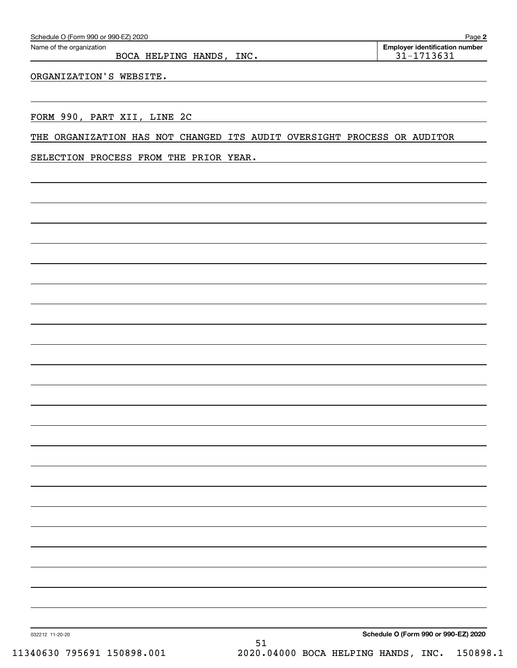|                 | SELECTION PROCESS FROM THE PRIOR YEAR. |    |                                              |                                      |  |
|-----------------|----------------------------------------|----|----------------------------------------------|--------------------------------------|--|
|                 |                                        |    |                                              |                                      |  |
|                 |                                        |    |                                              |                                      |  |
|                 |                                        |    |                                              |                                      |  |
|                 |                                        |    |                                              |                                      |  |
|                 |                                        |    |                                              |                                      |  |
|                 |                                        |    |                                              |                                      |  |
|                 |                                        |    |                                              |                                      |  |
|                 |                                        |    |                                              |                                      |  |
|                 |                                        |    |                                              |                                      |  |
|                 |                                        |    |                                              |                                      |  |
|                 |                                        |    |                                              |                                      |  |
|                 |                                        |    |                                              |                                      |  |
|                 |                                        |    |                                              |                                      |  |
|                 |                                        |    |                                              |                                      |  |
|                 |                                        |    |                                              |                                      |  |
|                 |                                        |    |                                              |                                      |  |
|                 |                                        |    |                                              |                                      |  |
|                 |                                        |    |                                              |                                      |  |
|                 |                                        |    |                                              |                                      |  |
|                 |                                        |    |                                              |                                      |  |
|                 |                                        |    |                                              |                                      |  |
|                 |                                        |    |                                              |                                      |  |
|                 |                                        |    |                                              |                                      |  |
|                 |                                        |    |                                              |                                      |  |
|                 |                                        |    |                                              |                                      |  |
|                 |                                        |    |                                              |                                      |  |
|                 |                                        |    |                                              |                                      |  |
|                 |                                        |    |                                              | Schedule O (Form 990 or 990-EZ) 2020 |  |
| 032212 11-20-20 |                                        | 51 |                                              |                                      |  |
|                 | 11340630 795691 150898.001             |    | 2020.04000 BOCA HELPING HANDS, INC. 150898.1 |                                      |  |
|                 |                                        |    |                                              |                                      |  |

ORGANIZATION'S WEBSITE.

BOCA HELPING HANDS, INC. 1980 1201 12021

Echedule O (Form 990 or 990-EZ) 2020<br>Name of the organization **number** Name of the organization **number**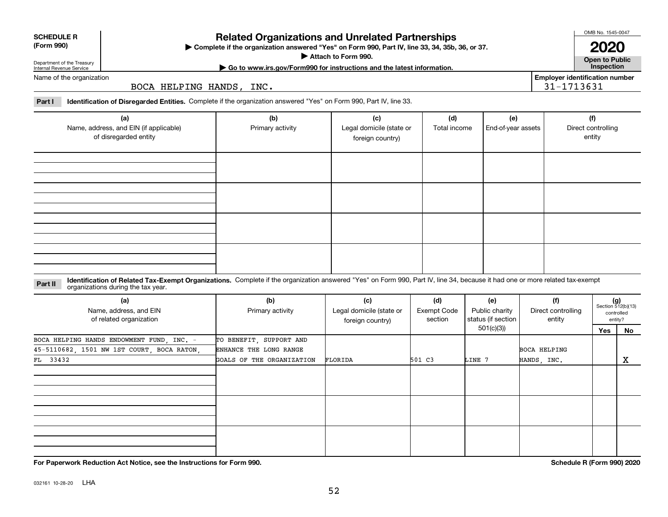**Related Organizations and Unrelated Partnerships**

**Complete if the organization answered "Yes" on Form 990, Part IV, line 33, 34, 35b, 36, or 37.** |

**Attach to Form 990.**  |

OMB No. 1545-0047

**Open to Public 2020**

**Employer identification number**

31-1713631

**| Go to www.irs.gov/Form990 for instructions and the latest information. Inspection**

Name of the organization

Department of the Treasury Internal Revenue Service

**SCHEDULE R (Form 990)**

BOCA HELPING HANDS, INC.

**Part I Identification of Disregarded Entities.**  Complete if the organization answered "Yes" on Form 990, Part IV, line 33.

| (a)<br>Name, address, and EIN (if applicable)<br>of disregarded entity | (b)<br>Primary activity | (c)<br>Legal domicile (state or<br>foreign country) | (d)<br>Total income | (e)<br>End-of-year assets | (f)<br>Direct controlling<br>entity |
|------------------------------------------------------------------------|-------------------------|-----------------------------------------------------|---------------------|---------------------------|-------------------------------------|
|                                                                        |                         |                                                     |                     |                           |                                     |
|                                                                        |                         |                                                     |                     |                           |                                     |
|                                                                        |                         |                                                     |                     |                           |                                     |
|                                                                        |                         |                                                     |                     |                           |                                     |

#### **Identification of Related Tax-Exempt Organizations.** Complete if the organization answered "Yes" on Form 990, Part IV, line 34, because it had one or more related tax-exempt **Part II** organizations during the tax year.

| (a)<br>Name, address, and EIN<br>of related organization | (b)<br>Primary activity   | (c)<br>Legal domicile (state or<br>foreign country) | (d)<br><b>Exempt Code</b><br>section | (e)<br>Public charity<br>status (if section | (f)<br>Direct controlling<br>entity |     | Section 512(b)(13)<br>controlled<br>entity? |
|----------------------------------------------------------|---------------------------|-----------------------------------------------------|--------------------------------------|---------------------------------------------|-------------------------------------|-----|---------------------------------------------|
|                                                          |                           |                                                     |                                      | 501(c)(3))                                  |                                     | Yes | No                                          |
| BOCA HELPING HANDS ENDOWMENT FUND, INC. -                | TO BENEFIT, SUPPORT AND   |                                                     |                                      |                                             |                                     |     |                                             |
| 45-5110682, 1501 NW 1ST COURT, BOCA RATON,               | ENHANCE THE LONG RANGE    |                                                     |                                      |                                             | <b>BOCA HELPING</b>                 |     |                                             |
| FL 33432                                                 | GOALS OF THE ORGANIZATION | FLORIDA                                             | 501 C3                               | LINE 7                                      | HANDS, INC.                         |     | X                                           |
|                                                          |                           |                                                     |                                      |                                             |                                     |     |                                             |
|                                                          |                           |                                                     |                                      |                                             |                                     |     |                                             |
|                                                          |                           |                                                     |                                      |                                             |                                     |     |                                             |

**For Paperwork Reduction Act Notice, see the Instructions for Form 990. Schedule R (Form 990) 2020**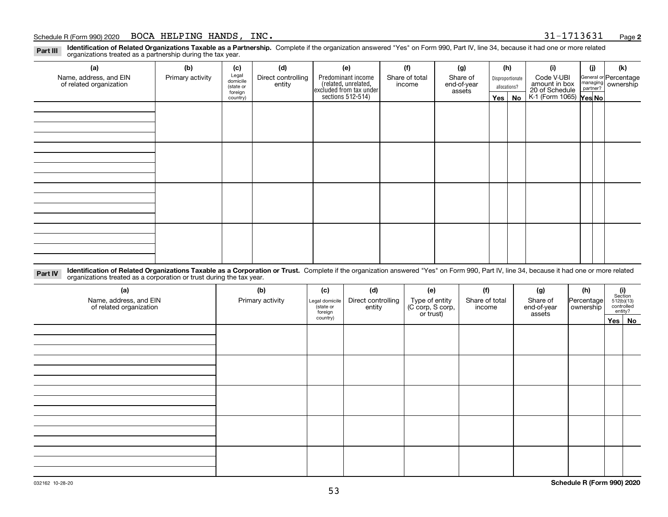**Identification of Related Organizations Taxable as a Partnership.** Complete if the organization answered "Yes" on Form 990, Part IV, line 34, because it had one or more related **Part III** organizations treated as a partnership during the tax year.

| (a)                                               | (b)              | (c)                  | (d)                          | (e)                                                                 | (f)                      | (g)                     |         | (h)              | (i)                                       | (j) | (k)                                                       |
|---------------------------------------------------|------------------|----------------------|------------------------------|---------------------------------------------------------------------|--------------------------|-------------------------|---------|------------------|-------------------------------------------|-----|-----------------------------------------------------------|
| Name, address, and EIN<br>of related organization | Primary activity | Legal<br>domicile    | Direct controlling<br>entity | Predominant income                                                  | Share of total<br>income | Share of<br>end-of-year |         | Disproportionate | Code V-UBI<br>amount in box               |     | General or Percentage<br>managing<br>partner?<br>partner? |
|                                                   |                  | (state or<br>foreign |                              |                                                                     |                          | assets                  |         | allocations?     |                                           |     |                                                           |
|                                                   |                  | country)             |                              | related, unrelated,<br>excluded from tax under<br>sections 512-514) |                          |                         | Yes $ $ | No               | 20 of Schedule<br>K-1 (Form 1065) Yes No. |     |                                                           |
|                                                   |                  |                      |                              |                                                                     |                          |                         |         |                  |                                           |     |                                                           |
|                                                   |                  |                      |                              |                                                                     |                          |                         |         |                  |                                           |     |                                                           |
|                                                   |                  |                      |                              |                                                                     |                          |                         |         |                  |                                           |     |                                                           |
|                                                   |                  |                      |                              |                                                                     |                          |                         |         |                  |                                           |     |                                                           |
|                                                   |                  |                      |                              |                                                                     |                          |                         |         |                  |                                           |     |                                                           |
|                                                   |                  |                      |                              |                                                                     |                          |                         |         |                  |                                           |     |                                                           |
|                                                   |                  |                      |                              |                                                                     |                          |                         |         |                  |                                           |     |                                                           |
|                                                   |                  |                      |                              |                                                                     |                          |                         |         |                  |                                           |     |                                                           |
|                                                   |                  |                      |                              |                                                                     |                          |                         |         |                  |                                           |     |                                                           |
|                                                   |                  |                      |                              |                                                                     |                          |                         |         |                  |                                           |     |                                                           |
|                                                   |                  |                      |                              |                                                                     |                          |                         |         |                  |                                           |     |                                                           |
|                                                   |                  |                      |                              |                                                                     |                          |                         |         |                  |                                           |     |                                                           |
|                                                   |                  |                      |                              |                                                                     |                          |                         |         |                  |                                           |     |                                                           |
|                                                   |                  |                      |                              |                                                                     |                          |                         |         |                  |                                           |     |                                                           |
|                                                   |                  |                      |                              |                                                                     |                          |                         |         |                  |                                           |     |                                                           |
|                                                   |                  |                      |                              |                                                                     |                          |                         |         |                  |                                           |     |                                                           |
|                                                   |                  |                      |                              |                                                                     |                          |                         |         |                  |                                           |     |                                                           |

**Identification of Related Organizations Taxable as a Corporation or Trust.** Complete if the organization answered "Yes" on Form 990, Part IV, line 34, because it had one or more related **Part IV** organizations treated as a corporation or trust during the tax year.

| (a)<br>Name, address, and EIN<br>of related organization | (b)<br>Primary activity | (c)<br>Legal domicile<br>(state or<br>foreign | (d)<br>Direct controlling<br>entity | (e)<br>Type of entity<br>(C corp, S corp,<br>or trust) | (f)<br>Share of total<br>income | (g)<br>Share of<br>end-of-year<br>assets | (h)<br>Percentage<br>ownership | $\begin{array}{c} \textbf{(i)}\\ \text{Section}\\ 512 \text{(b)} \text{(13)}\\ \text{controlled} \\ \text{entity?} \end{array}$ |
|----------------------------------------------------------|-------------------------|-----------------------------------------------|-------------------------------------|--------------------------------------------------------|---------------------------------|------------------------------------------|--------------------------------|---------------------------------------------------------------------------------------------------------------------------------|
|                                                          |                         | country)                                      |                                     |                                                        |                                 |                                          |                                | Yes No                                                                                                                          |
|                                                          |                         |                                               |                                     |                                                        |                                 |                                          |                                |                                                                                                                                 |
|                                                          |                         |                                               |                                     |                                                        |                                 |                                          |                                |                                                                                                                                 |
|                                                          |                         |                                               |                                     |                                                        |                                 |                                          |                                |                                                                                                                                 |
|                                                          |                         |                                               |                                     |                                                        |                                 |                                          |                                |                                                                                                                                 |
|                                                          |                         |                                               |                                     |                                                        |                                 |                                          |                                |                                                                                                                                 |
|                                                          |                         |                                               |                                     |                                                        |                                 |                                          |                                |                                                                                                                                 |
|                                                          |                         |                                               |                                     |                                                        |                                 |                                          |                                |                                                                                                                                 |
|                                                          |                         |                                               |                                     |                                                        |                                 |                                          |                                |                                                                                                                                 |
|                                                          |                         |                                               |                                     |                                                        |                                 |                                          |                                |                                                                                                                                 |
|                                                          |                         |                                               |                                     |                                                        |                                 |                                          |                                |                                                                                                                                 |
|                                                          |                         |                                               |                                     |                                                        |                                 |                                          |                                |                                                                                                                                 |
|                                                          |                         |                                               |                                     |                                                        |                                 |                                          |                                |                                                                                                                                 |
|                                                          |                         |                                               |                                     |                                                        |                                 |                                          |                                |                                                                                                                                 |
|                                                          |                         |                                               |                                     |                                                        |                                 |                                          |                                |                                                                                                                                 |
|                                                          |                         |                                               |                                     |                                                        |                                 |                                          |                                |                                                                                                                                 |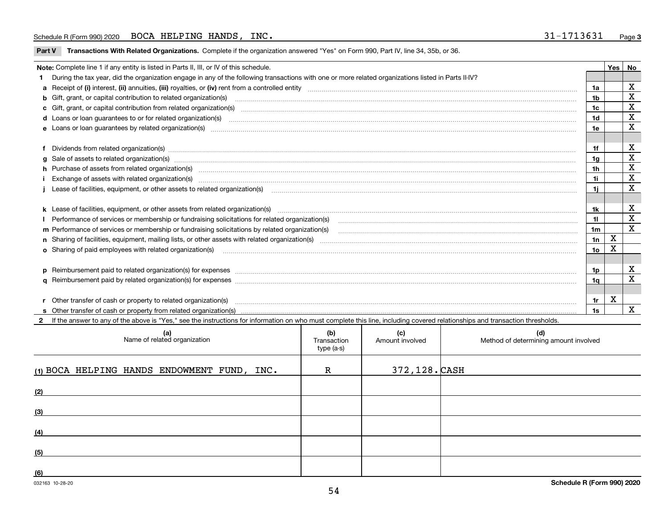**Part V** T**ransactions With Related Organizations.** Complete if the organization answered "Yes" on Form 990, Part IV, line 34, 35b, or 36.

| Note: Complete line 1 if any entity is listed in Parts II, III, or IV of this schedule.                                                                                                                                                                                                              |                 | Yes | No          |
|------------------------------------------------------------------------------------------------------------------------------------------------------------------------------------------------------------------------------------------------------------------------------------------------------|-----------------|-----|-------------|
| During the tax year, did the organization engage in any of the following transactions with one or more related organizations listed in Parts II-IV?                                                                                                                                                  |                 |     |             |
|                                                                                                                                                                                                                                                                                                      | 1a              |     | х           |
| b Gift, grant, or capital contribution to related organization(s) matching material content and contribution to related organization(s) matching material contribution to related organization(s) matching material material c                                                                       | 1b              |     | $\mathbf X$ |
| c Gift, grant, or capital contribution from related organization(s) www.communities.com/www.communities.com/www.communities.com/www.communities.com/www.communities.com/www.communities.com/www.communities.com/www.communitie                                                                       | 1c              |     | X           |
|                                                                                                                                                                                                                                                                                                      | 1 <sub>d</sub>  |     | $\mathbf X$ |
|                                                                                                                                                                                                                                                                                                      | 1e              |     | X           |
| Dividends from related organization(s) www.communically.communically.communically and all properties are constrained as a constrained organization of the constraint of the construction of the constraint of the constraint o                                                                       | 1f              |     | х           |
| g Sale of assets to related organization(s) www.communicallycommunicallycommunicallycommunicallycommunicallycommunicallycommunicallycommunicallycommunicallycommunicallycommunicallycommunicallycommunicallycommunicallycommun                                                                       | 1a              |     | X           |
| h Purchase of assets from related organization(s) manufactured and content to content and content and content and content and content and content and content and content and content and content and content and content and                                                                        | 1 <sub>h</sub>  |     | $\mathbf X$ |
| Exchange of assets with related organization(s) www.communically.communically contract and a set with related organization(s)                                                                                                                                                                        | 1i              |     | $\mathbf x$ |
| Lease of facilities, equipment, or other assets to related organization(s) manufactured content to the set of facilities, equipment, or other assets to related organization(s) manufactured content to the set of the set of                                                                        | 1i.             |     | X           |
| k Lease of facilities, equipment, or other assets from related organization(s) manufaction content and content to the assets from related organization(s) manufaction content and content and content and content and content                                                                        | 1k              |     | х           |
| Performance of services or membership or fundraising solicitations for related organization(s) manufaction manufactured content and the services or membership or fundraising solicitations for related organization(s) manufa                                                                       | 11              |     | $\mathbf x$ |
| m Performance of services or membership or fundraising solicitations by related organization(s)                                                                                                                                                                                                      | 1m              |     | X           |
|                                                                                                                                                                                                                                                                                                      | 1n              | X   |             |
| <b>o</b> Sharing of paid employees with related organization(s)                                                                                                                                                                                                                                      | 10 <sub>o</sub> | X   |             |
|                                                                                                                                                                                                                                                                                                      |                 |     | х           |
| p Reimbursement paid to related organization(s) for expenses [11111] [12] reasonal content of the separation (s) for expenses [11111] [12] reasonal content content of the separation (s) for expenses [1111] [12] reasonal co                                                                       | 1p.             |     | X           |
|                                                                                                                                                                                                                                                                                                      | 1q              |     |             |
|                                                                                                                                                                                                                                                                                                      |                 | X   |             |
| r Other transfer of cash or property to related organization(s)<br>r Other transfer of cash or property to related organization(s) www.community.com/www.community.com/www.communi<br>S Other transfer of cash or property from related organization(s) www.community.community.community.community. | 1r              |     | X           |
| 2 If the answer to any of the above is "Yes." see the instructions for information on who must complete this line, including covered relationships and transaction thresholds.                                                                                                                       | 1s              |     |             |

| (a)<br>Name of related organization         | (b)<br>Transaction<br>type (a-s) | (c)<br>Amount involved | (d)<br>Method of determining amount involved |
|---------------------------------------------|----------------------------------|------------------------|----------------------------------------------|
| (1) BOCA HELPING HANDS ENDOWMENT FUND, INC. | $\mathbf R$                      | 372,128. CASH          |                                              |
| (2)                                         |                                  |                        |                                              |
| (3)                                         |                                  |                        |                                              |
| (4)                                         |                                  |                        |                                              |
| (5)                                         |                                  |                        |                                              |
| (6)                                         |                                  |                        |                                              |

 $\overline{\phantom{a}}$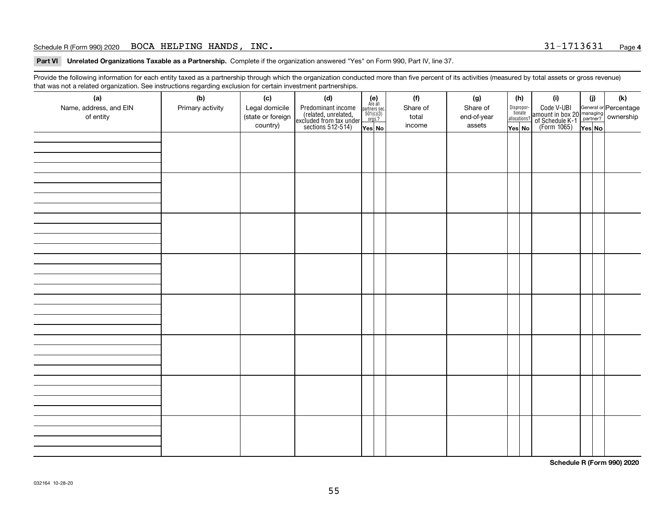#### Schedule R (Form 990) 2020 Page BOCA HELPING HANDS, INC. 31-1713631

**Part VI Unrelated Organizations Taxable as a Partnership. Complete if the organization answered "Yes" on Form 990, Part IV, line 37.** 

Provide the following information for each entity taxed as a partnership through which the organization conducted more than five percent of its activities (measured by total assets or gross revenue) that was not a related organization. See instructions regarding exclusion for certain investment partnerships.

| ັ                      | ັ<br>ັ           |                   |                                                                                            |                                                                                              |          |             |                                  |                                                                                                  |        |     |
|------------------------|------------------|-------------------|--------------------------------------------------------------------------------------------|----------------------------------------------------------------------------------------------|----------|-------------|----------------------------------|--------------------------------------------------------------------------------------------------|--------|-----|
| (a)                    | (b)              | (c)               | (d)                                                                                        | $(e)$<br>Are all                                                                             | (f)      | (g)         | (h)                              | (i)                                                                                              | (i)    | (k) |
| Name, address, and EIN | Primary activity | Legal domicile    |                                                                                            |                                                                                              | Share of | Share of    |                                  |                                                                                                  |        |     |
| of entity              |                  | (state or foreign | Predominant income<br>(related, unrelated,<br>excluded from tax under<br>sections 512-514) | $\begin{array}{c}\n\text{partners} & \text{sec.} \\ 501(c)(3) & \text{orgs.?} \n\end{array}$ | total    | end-of-year | Disproportionate<br>allocations? | Code V-UBI<br>amount in box 20 managing<br>of Schedule K-1<br>(Form 1065)<br>$\overline{Yes}$ No |        |     |
|                        |                  | country)          |                                                                                            |                                                                                              | income   | assets      |                                  |                                                                                                  |        |     |
|                        |                  |                   |                                                                                            | Yes No                                                                                       |          |             | Yes No                           |                                                                                                  | Yes No |     |
|                        |                  |                   |                                                                                            |                                                                                              |          |             |                                  |                                                                                                  |        |     |
|                        |                  |                   |                                                                                            |                                                                                              |          |             |                                  |                                                                                                  |        |     |
|                        |                  |                   |                                                                                            |                                                                                              |          |             |                                  |                                                                                                  |        |     |
|                        |                  |                   |                                                                                            |                                                                                              |          |             |                                  |                                                                                                  |        |     |
|                        |                  |                   |                                                                                            |                                                                                              |          |             |                                  |                                                                                                  |        |     |
|                        |                  |                   |                                                                                            |                                                                                              |          |             |                                  |                                                                                                  |        |     |
|                        |                  |                   |                                                                                            |                                                                                              |          |             |                                  |                                                                                                  |        |     |
|                        |                  |                   |                                                                                            |                                                                                              |          |             |                                  |                                                                                                  |        |     |
|                        |                  |                   |                                                                                            |                                                                                              |          |             |                                  |                                                                                                  |        |     |
|                        |                  |                   |                                                                                            |                                                                                              |          |             |                                  |                                                                                                  |        |     |
|                        |                  |                   |                                                                                            |                                                                                              |          |             |                                  |                                                                                                  |        |     |
|                        |                  |                   |                                                                                            |                                                                                              |          |             |                                  |                                                                                                  |        |     |
|                        |                  |                   |                                                                                            |                                                                                              |          |             |                                  |                                                                                                  |        |     |
|                        |                  |                   |                                                                                            |                                                                                              |          |             |                                  |                                                                                                  |        |     |
|                        |                  |                   |                                                                                            |                                                                                              |          |             |                                  |                                                                                                  |        |     |
|                        |                  |                   |                                                                                            |                                                                                              |          |             |                                  |                                                                                                  |        |     |
|                        |                  |                   |                                                                                            |                                                                                              |          |             |                                  |                                                                                                  |        |     |
|                        |                  |                   |                                                                                            |                                                                                              |          |             |                                  |                                                                                                  |        |     |
|                        |                  |                   |                                                                                            |                                                                                              |          |             |                                  |                                                                                                  |        |     |
|                        |                  |                   |                                                                                            |                                                                                              |          |             |                                  |                                                                                                  |        |     |
|                        |                  |                   |                                                                                            |                                                                                              |          |             |                                  |                                                                                                  |        |     |
|                        |                  |                   |                                                                                            |                                                                                              |          |             |                                  |                                                                                                  |        |     |
|                        |                  |                   |                                                                                            |                                                                                              |          |             |                                  |                                                                                                  |        |     |
|                        |                  |                   |                                                                                            |                                                                                              |          |             |                                  |                                                                                                  |        |     |
|                        |                  |                   |                                                                                            |                                                                                              |          |             |                                  |                                                                                                  |        |     |
|                        |                  |                   |                                                                                            |                                                                                              |          |             |                                  |                                                                                                  |        |     |
|                        |                  |                   |                                                                                            |                                                                                              |          |             |                                  |                                                                                                  |        |     |
|                        |                  |                   |                                                                                            |                                                                                              |          |             |                                  |                                                                                                  |        |     |
|                        |                  |                   |                                                                                            |                                                                                              |          |             |                                  |                                                                                                  |        |     |
|                        |                  |                   |                                                                                            |                                                                                              |          |             |                                  |                                                                                                  |        |     |
|                        |                  |                   |                                                                                            |                                                                                              |          |             |                                  |                                                                                                  |        |     |
|                        |                  |                   |                                                                                            |                                                                                              |          |             |                                  |                                                                                                  |        |     |
|                        |                  |                   |                                                                                            |                                                                                              |          |             |                                  |                                                                                                  |        |     |
|                        |                  |                   |                                                                                            |                                                                                              |          |             |                                  |                                                                                                  |        |     |
|                        |                  |                   |                                                                                            |                                                                                              |          |             |                                  |                                                                                                  |        |     |
|                        |                  |                   |                                                                                            |                                                                                              |          |             |                                  |                                                                                                  |        |     |
|                        |                  |                   |                                                                                            |                                                                                              |          |             |                                  |                                                                                                  |        |     |
|                        |                  |                   |                                                                                            |                                                                                              |          |             |                                  |                                                                                                  |        |     |
|                        |                  |                   |                                                                                            |                                                                                              |          |             |                                  |                                                                                                  |        |     |
|                        |                  |                   |                                                                                            |                                                                                              |          |             |                                  |                                                                                                  |        |     |
|                        |                  |                   |                                                                                            |                                                                                              |          |             |                                  |                                                                                                  |        |     |
|                        |                  |                   |                                                                                            |                                                                                              |          |             |                                  |                                                                                                  |        |     |

**Schedule R (Form 990) 2020**